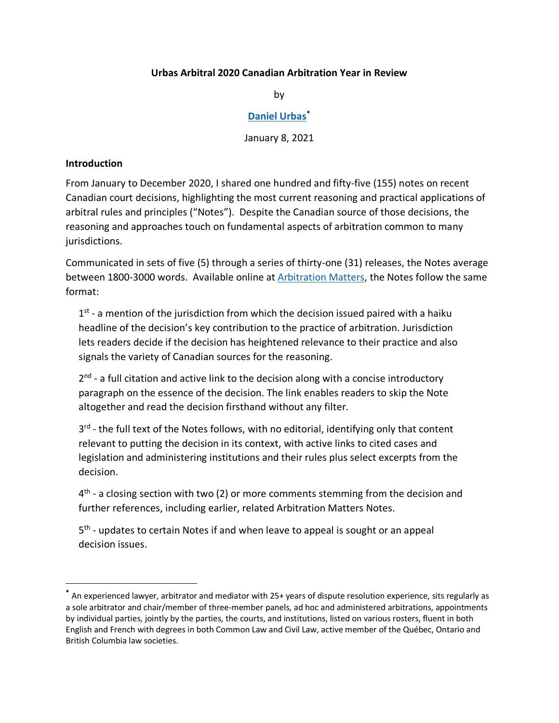### **Urbas Arbitral 2020 Canadian Arbitration Year in Review**

by

### **[Daniel Urbas](https://urbas.ca/)[\\*](#page-0-0)**

January 8, 2021

#### <span id="page-0-1"></span>**Introduction**

From January to December 2020, I shared one hundred and fifty-five (155) notes on recent Canadian court decisions, highlighting the most current reasoning and practical applications of arbitral rules and principles ("Notes"). Despite the Canadian source of those decisions, the reasoning and approaches touch on fundamental aspects of arbitration common to many jurisdictions.

Communicated in sets of five (5) through a series of thirty-one (31) releases, the Notes average between 1800-3000 words. Available online at [Arbitration Matters,](https://urbas.ca/?page_id=1733) the Notes follow the same format:

 $1<sup>st</sup>$  - a mention of the jurisdiction from which the decision issued paired with a haiku headline of the decision's key contribution to the practice of arbitration. Jurisdiction lets readers decide if the decision has heightened relevance to their practice and also signals the variety of Canadian sources for the reasoning.

 $2<sup>nd</sup>$  - a full citation and active link to the decision along with a concise introductory paragraph on the essence of the decision. The link enables readers to skip the Note altogether and read the decision firsthand without any filter.

3<sup>rd</sup> - the full text of the Notes follows, with no editorial, identifying only that content relevant to putting the decision in its context, with active links to cited cases and legislation and administering institutions and their rules plus select excerpts from the decision.

 $4<sup>th</sup>$  - a closing section with two (2) or more comments stemming from the decision and further references, including earlier, related Arbitration Matters Notes.

5<sup>th</sup> - updates to certain Notes if and when leave to appeal is sought or an appeal decision issues.

<span id="page-0-0"></span>**<sup>\*</sup>** An experienced lawyer, arbitrator and mediator with 25+ years of dispute resolution experience, sits regularly as a sole arbitrator and chair/member of three-member panels, ad hoc and administered arbitrations, appointments by individual parties, jointly by the parties, the courts, and institutions, listed on various rosters, fluent in both English and French with degrees in both Common Law and Civil Law, active member of the Québec, Ontario and British Columbia law societies.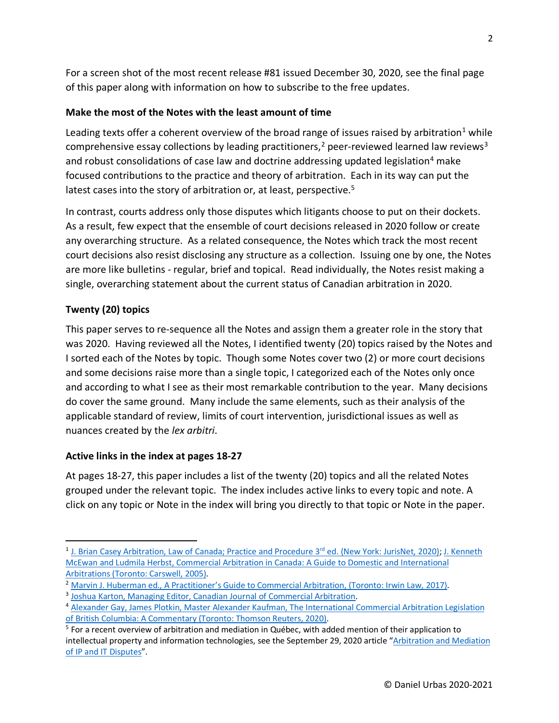For a screen shot of the most recent release #81 issued December 30, 2020, see the final page of this paper along with information on how to subscribe to the free updates.

## <span id="page-1-5"></span>**Make the most of the Notes with the least amount of time**

Leading texts offer a coherent overview of the broad range of issues raised by arbitration<sup>[1](#page-1-0)</sup> while comprehensive essay collections by leading practitioners,<sup>[2](#page-1-1)</sup> peer-reviewed learned law reviews<sup>[3](#page-1-2)</sup> and robust consolidations of case law and doctrine addressing updated legislation<sup>[4](#page-1-3)</sup> make focused contributions to the practice and theory of arbitration. Each in its way can put the latest cases into the story of arbitration or, at least, perspective.<sup>[5](#page-1-4)</sup>

In contrast, courts address only those disputes which litigants choose to put on their dockets. As a result, few expect that the ensemble of court decisions released in 2020 follow or create any overarching structure. As a related consequence, the Notes which track the most recent court decisions also resist disclosing any structure as a collection. Issuing one by one, the Notes are more like bulletins - regular, brief and topical. Read individually, the Notes resist making a single, overarching statement about the current status of Canadian arbitration in 2020.

## <span id="page-1-6"></span>**Twenty (20) topics**

This paper serves to re-sequence all the Notes and assign them a greater role in the story that was 2020. Having reviewed all the Notes, I identified twenty (20) topics raised by the Notes and I sorted each of the Notes by topic. Though some Notes cover two (2) or more court decisions and some decisions raise more than a single topic, I categorized each of the Notes only once and according to what I see as their most remarkable contribution to the year. Many decisions do cover the same ground. Many include the same elements, such as their analysis of the applicable standard of review, limits of court intervention, jurisdictional issues as well as nuances created by the *lex arbitri*.

## <span id="page-1-7"></span>**Active links in the index at pages 18-27**

At pages 18-27, this paper includes a list of the twenty (20) topics and all the related Notes grouped under the relevant topic. The index includes active links to every topic and note. A click on any topic or Note in the index will bring you directly to that topic or Note in the paper.

<span id="page-1-0"></span><sup>&</sup>lt;sup>1</sup> J. Brian Casey Arbitration, Law of Canada; Practice and Procedure 3<sup>rd</sup> ed. (New York: JurisNet, 2020); J. Kenneth [McEwan and Ludmila Herbst, Commercial Arbitration in Canada: A Guide to Domestic and International](https://store.thomsonreuters.ca/en-ca/pdp/commercial-arbitration-in-canada-a-guide-to-domestic-and-international-arbitrations/30851204)  [Arbitrations \(Toronto: Carswell, 2005\).](https://store.thomsonreuters.ca/en-ca/pdp/commercial-arbitration-in-canada-a-guide-to-domestic-and-international-arbitrations/30851204)<br><sup>2</sup> [Marvin J. Huberman ed., A Practitioner's Guide to Commercial Arbitration, \(Toronto: Irwin Law, 2017\).](https://irwinlaw.com/product/a-practitioners-guide-to-commercial-arbitration/)

<span id="page-1-1"></span>

<span id="page-1-2"></span><sup>3</sup> [Joshua Karton, Managing Editor, Canadian Journal of Commercial Arbitration.](https://cjca.queenslaw.ca/masthead)

<span id="page-1-3"></span><sup>4</sup> [Alexander Gay, James Plotkin, Master Alexander Kaufman, The International Commercial Arbitration Legislation](https://store.thomsonreuters.ca/en-ca/pdp/international-commercial-arbitration-legislation-in-british-columbia/42801632)  [of British Columbia: A Commentary \(Toronto: Thomson Reuters, 2020\).](https://store.thomsonreuters.ca/en-ca/pdp/international-commercial-arbitration-legislation-in-british-columbia/42801632)

<span id="page-1-4"></span><sup>&</sup>lt;sup>5</sup> For a recent overview of arbitration and mediation in Québec, with added mention of their application to intellectual property and information technologies, see the September 29, 2020 article ["Arbitration and Mediation](https://urbas.ca/wp-content/uploads/2020/12/Arbitration-and-Mediation-of-IT-and-IP-Disputes-Daniel-Urbas-September-29-2020.pdf)  [of IP and IT Disputes"](https://urbas.ca/wp-content/uploads/2020/12/Arbitration-and-Mediation-of-IT-and-IP-Disputes-Daniel-Urbas-September-29-2020.pdf).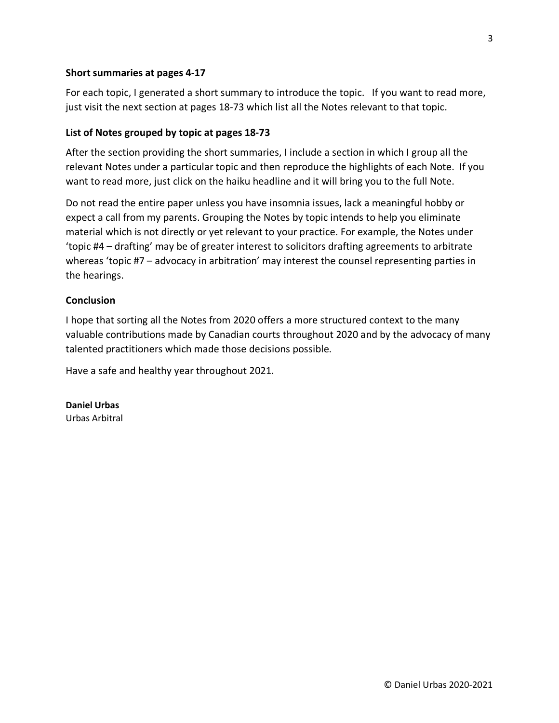#### <span id="page-2-0"></span>**Short summaries at pages 4-17**

For each topic, I generated a short summary to introduce the topic. If you want to read more, just visit the next section at pages 18-73 which list all the Notes relevant to that topic.

#### <span id="page-2-1"></span>**List of Notes grouped by topic at pages 18-73**

After the section providing the short summaries, I include a section in which I group all the relevant Notes under a particular topic and then reproduce the highlights of each Note. If you want to read more, just click on the haiku headline and it will bring you to the full Note.

Do not read the entire paper unless you have insomnia issues, lack a meaningful hobby or expect a call from my parents. Grouping the Notes by topic intends to help you eliminate material which is not directly or yet relevant to your practice. For example, the Notes under 'topic #4 – drafting' may be of greater interest to solicitors drafting agreements to arbitrate whereas 'topic #7 – advocacy in arbitration' may interest the counsel representing parties in the hearings.

#### <span id="page-2-2"></span>**Conclusion**

I hope that sorting all the Notes from 2020 offers a more structured context to the many valuable contributions made by Canadian courts throughout 2020 and by the advocacy of many talented practitioners which made those decisions possible.

Have a safe and healthy year throughout 2021.

**Daniel Urbas** Urbas Arbitral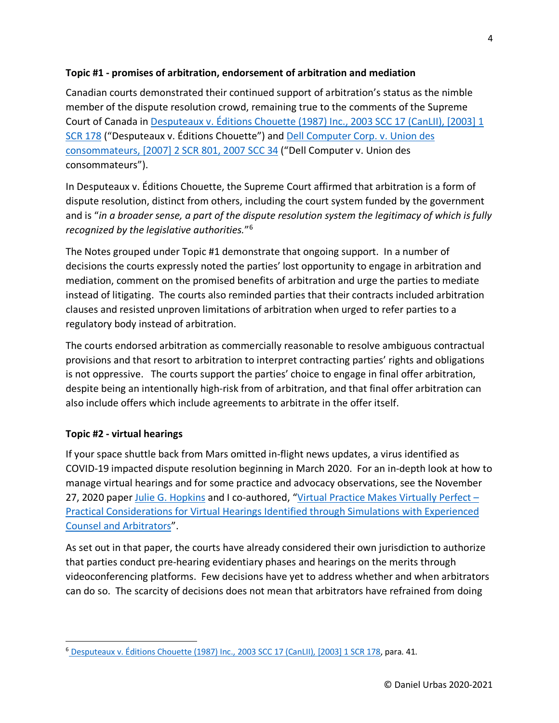#### <span id="page-3-1"></span>**Topic #1 - promises of arbitration, endorsement of arbitration and mediation**

Canadian courts demonstrated their continued support of arbitration's status as the nimble member of the dispute resolution crowd, remaining true to the comments of the Supreme Court of Canada in [Desputeaux v. Éditions Chouette \(1987\) Inc., 2003 SCC 17 \(CanLII\), \[2003\] 1](https://www.canlii.org/en/ca/scc/doc/2003/2003scc17/2003scc17.html)  [SCR 178](https://www.canlii.org/en/ca/scc/doc/2003/2003scc17/2003scc17.html) ("Desputeaux v. Éditions Chouette") and [Dell Computer Corp. v. Union des](https://www.canlii.org/en/ca/scc/doc/2007/2007scc34/2007scc34.html)  [consommateurs, \[2007\] 2 SCR 801, 2007 SCC 34](https://www.canlii.org/en/ca/scc/doc/2007/2007scc34/2007scc34.html) ("Dell Computer v. Union des consommateurs").

In Desputeaux v. Éditions Chouette, the Supreme Court affirmed that arbitration is a form of dispute resolution, distinct from others, including the court system funded by the government and is "*in a broader sense, a part of the dispute resolution system the legitimacy of which is fully recognized by the legislative authorities.*"[6](#page-3-0)

The Notes grouped under Topic #1 demonstrate that ongoing support. In a number of decisions the courts expressly noted the parties' lost opportunity to engage in arbitration and mediation, comment on the promised benefits of arbitration and urge the parties to mediate instead of litigating. The courts also reminded parties that their contracts included arbitration clauses and resisted unproven limitations of arbitration when urged to refer parties to a regulatory body instead of arbitration.

The courts endorsed arbitration as commercially reasonable to resolve ambiguous contractual provisions and that resort to arbitration to interpret contracting parties' rights and obligations is not oppressive. The courts support the parties' choice to engage in final offer arbitration, despite being an intentionally high-risk from of arbitration, and that final offer arbitration can also include offers which include agreements to arbitrate in the offer itself.

## <span id="page-3-2"></span>**Topic #2 - virtual hearings**

If your space shuttle back from Mars omitted in-flight news updates, a virus identified as COVID-19 impacted dispute resolution beginning in March 2020. For an in-depth look at how to manage virtual hearings and for some practice and advocacy observations, see the November 27, 2020 paper [Julie G. Hopkins](https://www.jghopkins.com/) and I co-authored, ["Virtual Practice Makes Virtually Perfect –](https://urbas.ca/wp-content/uploads/2020/12/Virtual-Practice-Makes-Virtually-Perfect-%E2%80%93-Julie-G.-Hopkins-and-Daniel-Urbas-November-27-2020.pdf) [Practical Considerations for Virtual Hearings Identified through Simulations with Experienced](https://urbas.ca/wp-content/uploads/2020/12/Virtual-Practice-Makes-Virtually-Perfect-%E2%80%93-Julie-G.-Hopkins-and-Daniel-Urbas-November-27-2020.pdf)  [Counsel and Arbitrators"](https://urbas.ca/wp-content/uploads/2020/12/Virtual-Practice-Makes-Virtually-Perfect-%E2%80%93-Julie-G.-Hopkins-and-Daniel-Urbas-November-27-2020.pdf).

As set out in that paper, the courts have already considered their own jurisdiction to authorize that parties conduct pre-hearing evidentiary phases and hearings on the merits through videoconferencing platforms. Few decisions have yet to address whether and when arbitrators can do so. The scarcity of decisions does not mean that arbitrators have refrained from doing

<span id="page-3-0"></span><sup>6</sup> [Desputeaux v. Éditions Chouette \(1987\) Inc., 2003 SCC 17 \(CanLII\), \[2003\] 1 SCR 178,](https://www.canlii.org/en/ca/scc/doc/2003/2003scc17/2003scc17.html) para. 41.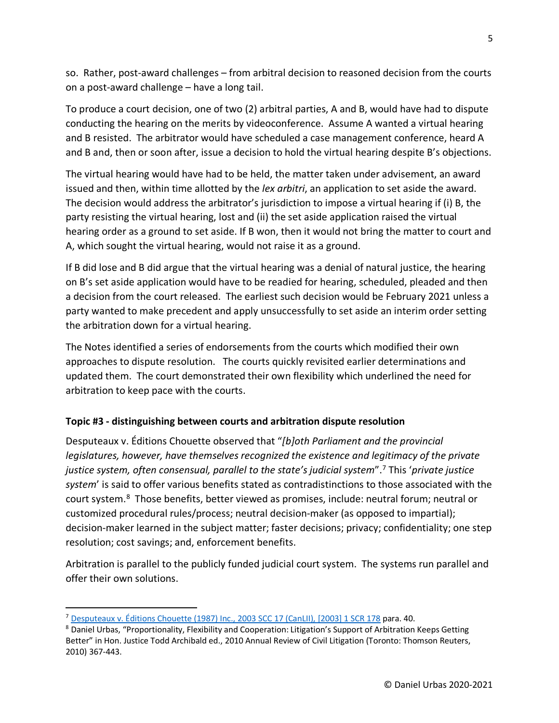so. Rather, post-award challenges – from arbitral decision to reasoned decision from the courts on a post-award challenge – have a long tail.

To produce a court decision, one of two (2) arbitral parties, A and B, would have had to dispute conducting the hearing on the merits by videoconference. Assume A wanted a virtual hearing and B resisted. The arbitrator would have scheduled a case management conference, heard A and B and, then or soon after, issue a decision to hold the virtual hearing despite B's objections.

The virtual hearing would have had to be held, the matter taken under advisement, an award issued and then, within time allotted by the *lex arbitri*, an application to set aside the award. The decision would address the arbitrator's jurisdiction to impose a virtual hearing if (i) B, the party resisting the virtual hearing, lost and (ii) the set aside application raised the virtual hearing order as a ground to set aside. If B won, then it would not bring the matter to court and A, which sought the virtual hearing, would not raise it as a ground.

If B did lose and B did argue that the virtual hearing was a denial of natural justice, the hearing on B's set aside application would have to be readied for hearing, scheduled, pleaded and then a decision from the court released. The earliest such decision would be February 2021 unless a party wanted to make precedent and apply unsuccessfully to set aside an interim order setting the arbitration down for a virtual hearing.

The Notes identified a series of endorsements from the courts which modified their own approaches to dispute resolution. The courts quickly revisited earlier determinations and updated them. The court demonstrated their own flexibility which underlined the need for arbitration to keep pace with the courts.

## <span id="page-4-2"></span>**Topic #3 - distinguishing between courts and arbitration dispute resolution**

Desputeaux v. Éditions Chouette observed that "*[b]oth Parliament and the provincial legislatures, however, have themselves recognized the existence and legitimacy of the private justice system, often consensual, parallel to the state's judicial system*".[7](#page-4-0) This '*private justice system*' is said to offer various benefits stated as contradistinctions to those associated with the court system.<sup>8</sup> Those benefits, better viewed as promises, include: neutral forum; neutral or customized procedural rules/process; neutral decision-maker (as opposed to impartial); decision-maker learned in the subject matter; faster decisions; privacy; confidentiality; one step resolution; cost savings; and, enforcement benefits.

Arbitration is parallel to the publicly funded judicial court system. The systems run parallel and offer their own solutions.

<span id="page-4-0"></span><sup>7</sup> [Desputeaux v. Éditions Chouette \(1987\) Inc., 2003 SCC 17 \(CanLII\), \[2003\] 1 SCR 178](https://www.canlii.org/en/ca/scc/doc/2003/2003scc17/2003scc17.html) para. 40.

<span id="page-4-1"></span><sup>8</sup> Daniel Urbas, "Proportionality, Flexibility and Cooperation: Litigation's Support of Arbitration Keeps Getting Better" in Hon. Justice Todd Archibald ed., 2010 Annual Review of Civil Litigation (Toronto: Thomson Reuters, 2010) 367-443.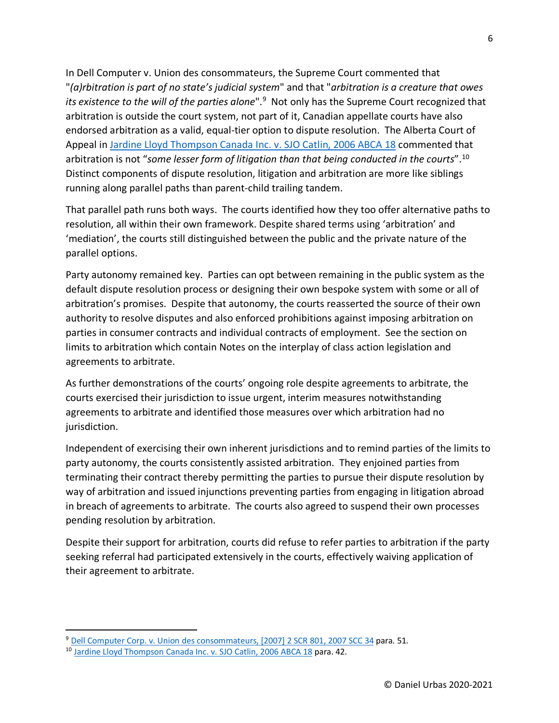In Dell Computer v. Union des consommateurs, the Supreme Court commented that "*(a)rbitration is part of no state's judicial system*" and that "*arbitration is a creature that owes its existence to the will of the parties alone*".[9](#page-5-0) Not only has the Supreme Court recognized that arbitration is outside the court system, not part of it, Canadian appellate courts have also endorsed arbitration as a valid, equal-tier option to dispute resolution. The Alberta Court of Appeal in [Jardine Lloyd Thompson Canada Inc. v. SJO Catlin, 2006 ABCA 18](https://www.canlii.org/en/ab/abca/doc/2006/2006abca18/2006abca18.html) commented that arbitration is not "*some lesser form of litigation than that being conducted in the courts*".[10](#page-5-1) Distinct components of dispute resolution, litigation and arbitration are more like siblings running along parallel paths than parent-child trailing tandem.

That parallel path runs both ways. The courts identified how they too offer alternative paths to resolution, all within their own framework. Despite shared terms using 'arbitration' and 'mediation', the courts still distinguished between the public and the private nature of the parallel options.

Party autonomy remained key. Parties can opt between remaining in the public system as the default dispute resolution process or designing their own bespoke system with some or all of arbitration's promises. Despite that autonomy, the courts reasserted the source of their own authority to resolve disputes and also enforced prohibitions against imposing arbitration on parties in consumer contracts and individual contracts of employment. See the section on limits to arbitration which contain Notes on the interplay of class action legislation and agreements to arbitrate.

As further demonstrations of the courts' ongoing role despite agreements to arbitrate, the courts exercised their jurisdiction to issue urgent, interim measures notwithstanding agreements to arbitrate and identified those measures over which arbitration had no jurisdiction.

Independent of exercising their own inherent jurisdictions and to remind parties of the limits to party autonomy, the courts consistently assisted arbitration. They enjoined parties from terminating their contract thereby permitting the parties to pursue their dispute resolution by way of arbitration and issued injunctions preventing parties from engaging in litigation abroad in breach of agreements to arbitrate. The courts also agreed to suspend their own processes pending resolution by arbitration.

Despite their support for arbitration, courts did refuse to refer parties to arbitration if the party seeking referral had participated extensively in the courts, effectively waiving application of their agreement to arbitrate.

<span id="page-5-0"></span><sup>9</sup> [Dell Computer Corp. v. Union des consommateurs, \[2007\] 2 SCR 801, 2007 SCC 34](https://www.canlii.org/en/ca/scc/doc/2007/2007scc34/2007scc34.html) para. 51.

<span id="page-5-1"></span><sup>&</sup>lt;sup>10</sup> [Jardine Lloyd Thompson Canada Inc. v. SJO Catlin, 2006 ABCA 18](https://www.canlii.org/en/ab/abca/doc/2006/2006abca18/2006abca18.html) para. 42.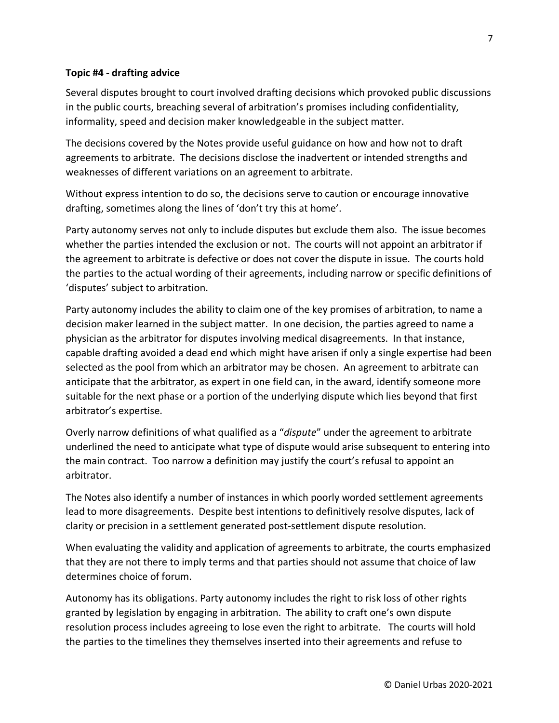#### <span id="page-6-0"></span>**Topic #4 - drafting advice**

Several disputes brought to court involved drafting decisions which provoked public discussions in the public courts, breaching several of arbitration's promises including confidentiality, informality, speed and decision maker knowledgeable in the subject matter.

The decisions covered by the Notes provide useful guidance on how and how not to draft agreements to arbitrate. The decisions disclose the inadvertent or intended strengths and weaknesses of different variations on an agreement to arbitrate.

Without express intention to do so, the decisions serve to caution or encourage innovative drafting, sometimes along the lines of 'don't try this at home'.

Party autonomy serves not only to include disputes but exclude them also. The issue becomes whether the parties intended the exclusion or not. The courts will not appoint an arbitrator if the agreement to arbitrate is defective or does not cover the dispute in issue. The courts hold the parties to the actual wording of their agreements, including narrow or specific definitions of 'disputes' subject to arbitration.

Party autonomy includes the ability to claim one of the key promises of arbitration, to name a decision maker learned in the subject matter. In one decision, the parties agreed to name a physician as the arbitrator for disputes involving medical disagreements. In that instance, capable drafting avoided a dead end which might have arisen if only a single expertise had been selected as the pool from which an arbitrator may be chosen. An agreement to arbitrate can anticipate that the arbitrator, as expert in one field can, in the award, identify someone more suitable for the next phase or a portion of the underlying dispute which lies beyond that first arbitrator's expertise.

Overly narrow definitions of what qualified as a "*dispute*" under the agreement to arbitrate underlined the need to anticipate what type of dispute would arise subsequent to entering into the main contract. Too narrow a definition may justify the court's refusal to appoint an arbitrator.

The Notes also identify a number of instances in which poorly worded settlement agreements lead to more disagreements. Despite best intentions to definitively resolve disputes, lack of clarity or precision in a settlement generated post-settlement dispute resolution.

When evaluating the validity and application of agreements to arbitrate, the courts emphasized that they are not there to imply terms and that parties should not assume that choice of law determines choice of forum.

Autonomy has its obligations. Party autonomy includes the right to risk loss of other rights granted by legislation by engaging in arbitration. The ability to craft one's own dispute resolution process includes agreeing to lose even the right to arbitrate. The courts will hold the parties to the timelines they themselves inserted into their agreements and refuse to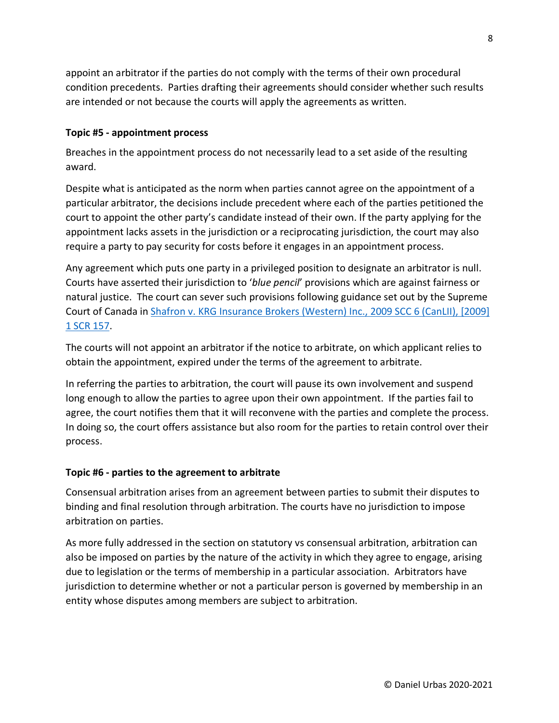appoint an arbitrator if the parties do not comply with the terms of their own procedural condition precedents. Parties drafting their agreements should consider whether such results are intended or not because the courts will apply the agreements as written.

#### <span id="page-7-0"></span>**Topic #5 - appointment process**

Breaches in the appointment process do not necessarily lead to a set aside of the resulting award.

Despite what is anticipated as the norm when parties cannot agree on the appointment of a particular arbitrator, the decisions include precedent where each of the parties petitioned the court to appoint the other party's candidate instead of their own. If the party applying for the appointment lacks assets in the jurisdiction or a reciprocating jurisdiction, the court may also require a party to pay security for costs before it engages in an appointment process.

Any agreement which puts one party in a privileged position to designate an arbitrator is null. Courts have asserted their jurisdiction to '*blue pencil*' provisions which are against fairness or natural justice. The court can sever such provisions following guidance set out by the Supreme Court of Canada in [Shafron v. KRG Insurance Brokers \(Western\) Inc., 2009 SCC 6 \(CanLII\), \[2009\]](https://www.canlii.org/en/ca/scc/doc/2009/2009scc6/2009scc6.html)  [1 SCR 157.](https://www.canlii.org/en/ca/scc/doc/2009/2009scc6/2009scc6.html)

The courts will not appoint an arbitrator if the notice to arbitrate, on which applicant relies to obtain the appointment, expired under the terms of the agreement to arbitrate.

In referring the parties to arbitration, the court will pause its own involvement and suspend long enough to allow the parties to agree upon their own appointment. If the parties fail to agree, the court notifies them that it will reconvene with the parties and complete the process. In doing so, the court offers assistance but also room for the parties to retain control over their process.

## <span id="page-7-1"></span>**Topic #6 - parties to the agreement to arbitrate**

Consensual arbitration arises from an agreement between parties to submit their disputes to binding and final resolution through arbitration. The courts have no jurisdiction to impose arbitration on parties.

As more fully addressed in the section on statutory vs consensual arbitration, arbitration can also be imposed on parties by the nature of the activity in which they agree to engage, arising due to legislation or the terms of membership in a particular association. Arbitrators have jurisdiction to determine whether or not a particular person is governed by membership in an entity whose disputes among members are subject to arbitration.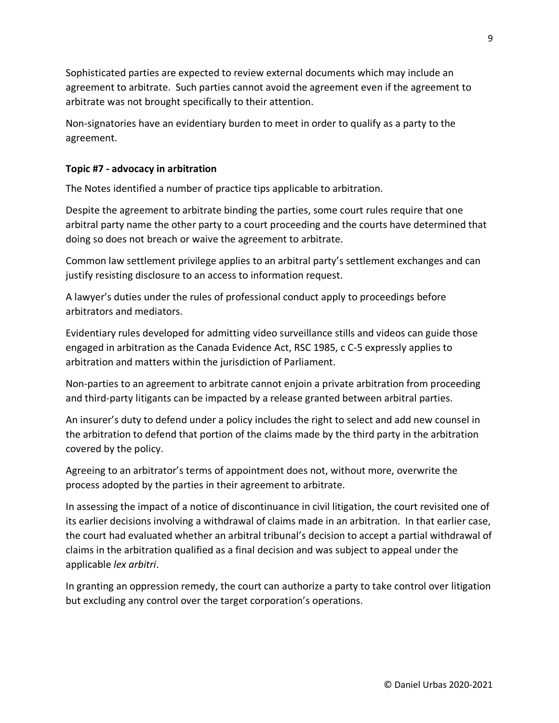Sophisticated parties are expected to review external documents which may include an agreement to arbitrate. Such parties cannot avoid the agreement even if the agreement to arbitrate was not brought specifically to their attention.

Non-signatories have an evidentiary burden to meet in order to qualify as a party to the agreement.

#### <span id="page-8-0"></span>**Topic #7 - advocacy in arbitration**

The Notes identified a number of practice tips applicable to arbitration.

Despite the agreement to arbitrate binding the parties, some court rules require that one arbitral party name the other party to a court proceeding and the courts have determined that doing so does not breach or waive the agreement to arbitrate.

Common law settlement privilege applies to an arbitral party's settlement exchanges and can justify resisting disclosure to an access to information request.

A lawyer's duties under the rules of professional conduct apply to proceedings before arbitrators and mediators.

Evidentiary rules developed for admitting video surveillance stills and videos can guide those engaged in arbitration as the Canada Evidence Act, RSC 1985, c C-5 expressly applies to arbitration and matters within the jurisdiction of Parliament.

Non-parties to an agreement to arbitrate cannot enjoin a private arbitration from proceeding and third-party litigants can be impacted by a release granted between arbitral parties.

An insurer's duty to defend under a policy includes the right to select and add new counsel in the arbitration to defend that portion of the claims made by the third party in the arbitration covered by the policy.

Agreeing to an arbitrator's terms of appointment does not, without more, overwrite the process adopted by the parties in their agreement to arbitrate.

In assessing the impact of a notice of discontinuance in civil litigation, the court revisited one of its earlier decisions involving a withdrawal of claims made in an arbitration. In that earlier case, the court had evaluated whether an arbitral tribunal's decision to accept a partial withdrawal of claims in the arbitration qualified as a final decision and was subject to appeal under the applicable *lex arbitri*.

In granting an oppression remedy, the court can authorize a party to take control over litigation but excluding any control over the target corporation's operations.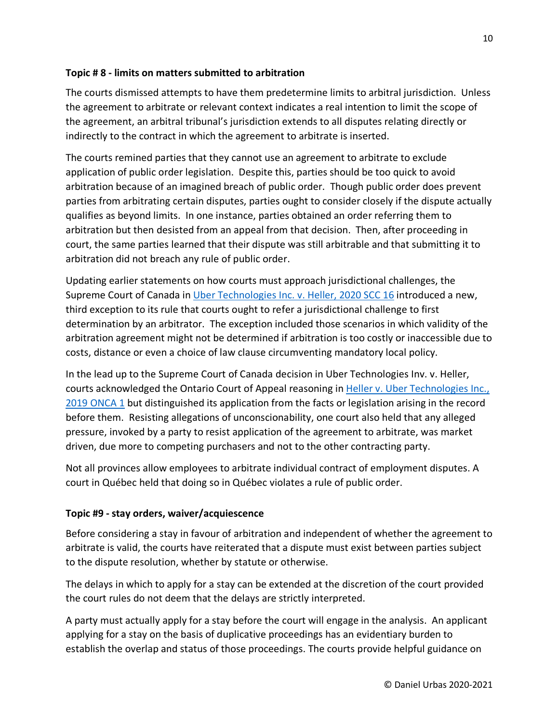#### <span id="page-9-0"></span>**Topic # 8 - limits on matters submitted to arbitration**

The courts dismissed attempts to have them predetermine limits to arbitral jurisdiction. Unless the agreement to arbitrate or relevant context indicates a real intention to limit the scope of the agreement, an arbitral tribunal's jurisdiction extends to all disputes relating directly or indirectly to the contract in which the agreement to arbitrate is inserted.

The courts remined parties that they cannot use an agreement to arbitrate to exclude application of public order legislation. Despite this, parties should be too quick to avoid arbitration because of an imagined breach of public order. Though public order does prevent parties from arbitrating certain disputes, parties ought to consider closely if the dispute actually qualifies as beyond limits. In one instance, parties obtained an order referring them to arbitration but then desisted from an appeal from that decision. Then, after proceeding in court, the same parties learned that their dispute was still arbitrable and that submitting it to arbitration did not breach any rule of public order.

Updating earlier statements on how courts must approach jurisdictional challenges, the Supreme Court of Canada in [Uber Technologies Inc. v. Heller, 2020 SCC 16](https://www.canlii.org/en/ca/scc/doc/2020/2020scc16/2020scc16.html) introduced a new, third exception to its rule that courts ought to refer a jurisdictional challenge to first determination by an arbitrator. The exception included those scenarios in which validity of the arbitration agreement might not be determined if arbitration is too costly or inaccessible due to costs, distance or even a choice of law clause circumventing mandatory local policy.

In the lead up to the Supreme Court of Canada decision in Uber Technologies Inv. v. Heller, courts acknowledged the Ontario Court of Appeal reasoning in Heller v. Uber Technologies Inc., [2019 ONCA 1](https://www.canlii.org/en/on/onca/doc/2019/2019onca1/2019onca1.html) but distinguished its application from the facts or legislation arising in the record before them. Resisting allegations of unconscionability, one court also held that any alleged pressure, invoked by a party to resist application of the agreement to arbitrate, was market driven, due more to competing purchasers and not to the other contracting party.

Not all provinces allow employees to arbitrate individual contract of employment disputes. A court in Québec held that doing so in Québec violates a rule of public order.

## <span id="page-9-1"></span>**Topic #9 - stay orders, waiver/acquiescence**

Before considering a stay in favour of arbitration and independent of whether the agreement to arbitrate is valid, the courts have reiterated that a dispute must exist between parties subject to the dispute resolution, whether by statute or otherwise.

The delays in which to apply for a stay can be extended at the discretion of the court provided the court rules do not deem that the delays are strictly interpreted.

A party must actually apply for a stay before the court will engage in the analysis. An applicant applying for a stay on the basis of duplicative proceedings has an evidentiary burden to establish the overlap and status of those proceedings. The courts provide helpful guidance on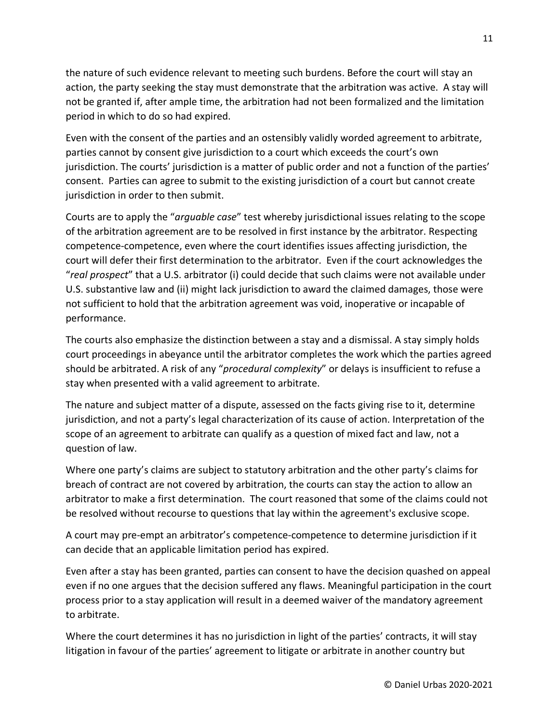the nature of such evidence relevant to meeting such burdens. Before the court will stay an action, the party seeking the stay must demonstrate that the arbitration was active. A stay will not be granted if, after ample time, the arbitration had not been formalized and the limitation period in which to do so had expired.

Even with the consent of the parties and an ostensibly validly worded agreement to arbitrate, parties cannot by consent give jurisdiction to a court which exceeds the court's own jurisdiction. The courts' jurisdiction is a matter of public order and not a function of the parties' consent. Parties can agree to submit to the existing jurisdiction of a court but cannot create jurisdiction in order to then submit.

Courts are to apply the "*arguable case*" test whereby jurisdictional issues relating to the scope of the arbitration agreement are to be resolved in first instance by the arbitrator. Respecting competence-competence, even where the court identifies issues affecting jurisdiction, the court will defer their first determination to the arbitrator. Even if the court acknowledges the "*real prospect*" that a U.S. arbitrator (i) could decide that such claims were not available under U.S. substantive law and (ii) might lack jurisdiction to award the claimed damages, those were not sufficient to hold that the arbitration agreement was void, inoperative or incapable of performance.

The courts also emphasize the distinction between a stay and a dismissal. A stay simply holds court proceedings in abeyance until the arbitrator completes the work which the parties agreed should be arbitrated. A risk of any "*procedural complexity*" or delays is insufficient to refuse a stay when presented with a valid agreement to arbitrate.

The nature and subject matter of a dispute, assessed on the facts giving rise to it, determine jurisdiction, and not a party's legal characterization of its cause of action. Interpretation of the scope of an agreement to arbitrate can qualify as a question of mixed fact and law, not a question of law.

Where one party's claims are subject to statutory arbitration and the other party's claims for breach of contract are not covered by arbitration, the courts can stay the action to allow an arbitrator to make a first determination. The court reasoned that some of the claims could not be resolved without recourse to questions that lay within the agreement's exclusive scope.

A court may pre-empt an arbitrator's competence-competence to determine jurisdiction if it can decide that an applicable limitation period has expired.

Even after a stay has been granted, parties can consent to have the decision quashed on appeal even if no one argues that the decision suffered any flaws. Meaningful participation in the court process prior to a stay application will result in a deemed waiver of the mandatory agreement to arbitrate.

Where the court determines it has no jurisdiction in light of the parties' contracts, it will stay litigation in favour of the parties' agreement to litigate or arbitrate in another country but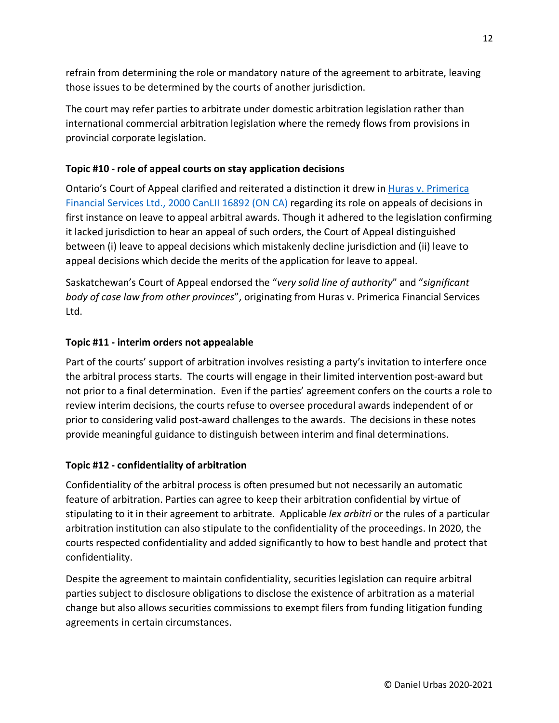refrain from determining the role or mandatory nature of the agreement to arbitrate, leaving those issues to be determined by the courts of another jurisdiction.

The court may refer parties to arbitrate under domestic arbitration legislation rather than international commercial arbitration legislation where the remedy flows from provisions in provincial corporate legislation.

## <span id="page-11-0"></span>**Topic #10 - role of appeal courts on stay application decisions**

Ontario's Court of Appeal clarified and reiterated a distinction it drew in [Huras v. Primerica](https://www.canlii.org/en/on/onca/doc/2000/2000canlii16892/2000canlii16892.html)  [Financial Services Ltd., 2000 CanLII 16892 \(ON CA\)](https://www.canlii.org/en/on/onca/doc/2000/2000canlii16892/2000canlii16892.html) regarding its role on appeals of decisions in first instance on leave to appeal arbitral awards. Though it adhered to the legislation confirming it lacked jurisdiction to hear an appeal of such orders, the Court of Appeal distinguished between (i) leave to appeal decisions which mistakenly decline jurisdiction and (ii) leave to appeal decisions which decide the merits of the application for leave to appeal.

Saskatchewan's Court of Appeal endorsed the "*very solid line of authority*" and "*significant body of case law from other provinces*", originating from Huras v. Primerica Financial Services Ltd.

## <span id="page-11-1"></span>**Topic #11 - interim orders not appealable**

Part of the courts' support of arbitration involves resisting a party's invitation to interfere once the arbitral process starts. The courts will engage in their limited intervention post-award but not prior to a final determination. Even if the parties' agreement confers on the courts a role to review interim decisions, the courts refuse to oversee procedural awards independent of or prior to considering valid post-award challenges to the awards. The decisions in these notes provide meaningful guidance to distinguish between interim and final determinations.

## <span id="page-11-2"></span>**Topic #12 - confidentiality of arbitration**

Confidentiality of the arbitral process is often presumed but not necessarily an automatic feature of arbitration. Parties can agree to keep their arbitration confidential by virtue of stipulating to it in their agreement to arbitrate. Applicable *lex arbitri* or the rules of a particular arbitration institution can also stipulate to the confidentiality of the proceedings. In 2020, the courts respected confidentiality and added significantly to how to best handle and protect that confidentiality.

Despite the agreement to maintain confidentiality, securities legislation can require arbitral parties subject to disclosure obligations to disclose the existence of arbitration as a material change but also allows securities commissions to exempt filers from funding litigation funding agreements in certain circumstances.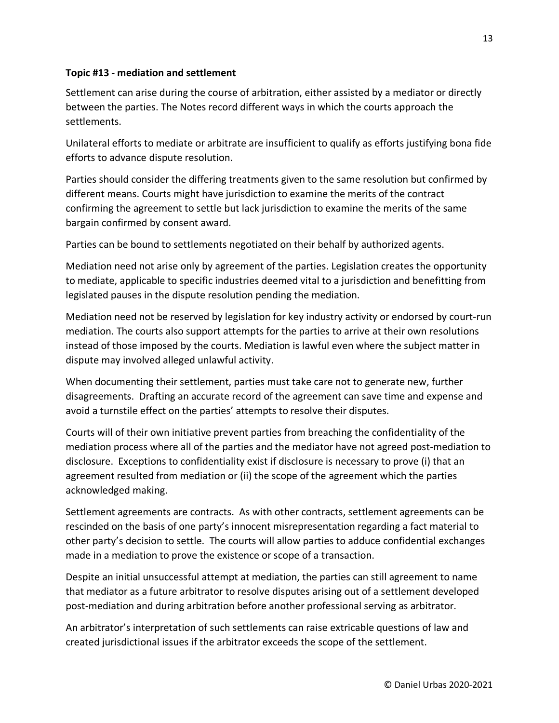#### <span id="page-12-0"></span>**Topic #13 - mediation and settlement**

Settlement can arise during the course of arbitration, either assisted by a mediator or directly between the parties. The Notes record different ways in which the courts approach the settlements.

Unilateral efforts to mediate or arbitrate are insufficient to qualify as efforts justifying bona fide efforts to advance dispute resolution.

Parties should consider the differing treatments given to the same resolution but confirmed by different means. Courts might have jurisdiction to examine the merits of the contract confirming the agreement to settle but lack jurisdiction to examine the merits of the same bargain confirmed by consent award.

Parties can be bound to settlements negotiated on their behalf by authorized agents.

Mediation need not arise only by agreement of the parties. Legislation creates the opportunity to mediate, applicable to specific industries deemed vital to a jurisdiction and benefitting from legislated pauses in the dispute resolution pending the mediation.

Mediation need not be reserved by legislation for key industry activity or endorsed by court-run mediation. The courts also support attempts for the parties to arrive at their own resolutions instead of those imposed by the courts. Mediation is lawful even where the subject matter in dispute may involved alleged unlawful activity.

When documenting their settlement, parties must take care not to generate new, further disagreements. Drafting an accurate record of the agreement can save time and expense and avoid a turnstile effect on the parties' attempts to resolve their disputes.

Courts will of their own initiative prevent parties from breaching the confidentiality of the mediation process where all of the parties and the mediator have not agreed post-mediation to disclosure. Exceptions to confidentiality exist if disclosure is necessary to prove (i) that an agreement resulted from mediation or (ii) the scope of the agreement which the parties acknowledged making.

Settlement agreements are contracts. As with other contracts, settlement agreements can be rescinded on the basis of one party's innocent misrepresentation regarding a fact material to other party's decision to settle. The courts will allow parties to adduce confidential exchanges made in a mediation to prove the existence or scope of a transaction.

Despite an initial unsuccessful attempt at mediation, the parties can still agreement to name that mediator as a future arbitrator to resolve disputes arising out of a settlement developed post-mediation and during arbitration before another professional serving as arbitrator.

An arbitrator's interpretation of such settlements can raise extricable questions of law and created jurisdictional issues if the arbitrator exceeds the scope of the settlement.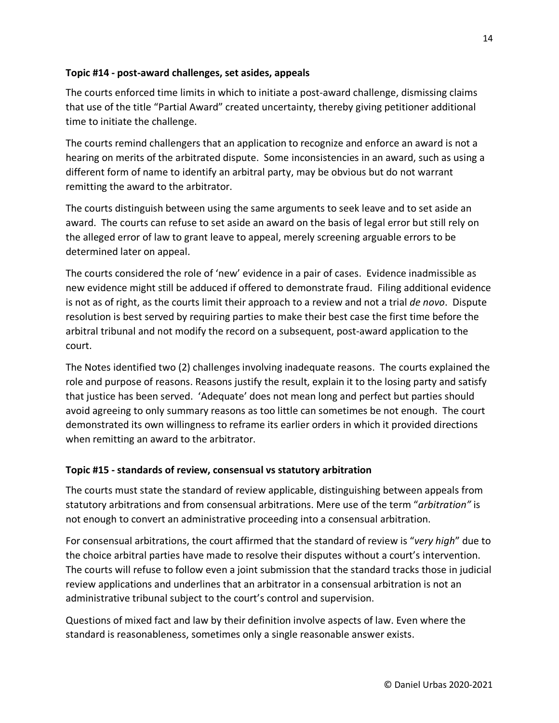#### <span id="page-13-0"></span>**Topic #14 - post-award challenges, set asides, appeals**

The courts enforced time limits in which to initiate a post-award challenge, dismissing claims that use of the title "Partial Award" created uncertainty, thereby giving petitioner additional time to initiate the challenge.

The courts remind challengers that an application to recognize and enforce an award is not a hearing on merits of the arbitrated dispute. Some inconsistencies in an award, such as using a different form of name to identify an arbitral party, may be obvious but do not warrant remitting the award to the arbitrator.

The courts distinguish between using the same arguments to seek leave and to set aside an award. The courts can refuse to set aside an award on the basis of legal error but still rely on the alleged error of law to grant leave to appeal, merely screening arguable errors to be determined later on appeal.

The courts considered the role of 'new' evidence in a pair of cases. Evidence inadmissible as new evidence might still be adduced if offered to demonstrate fraud. Filing additional evidence is not as of right, as the courts limit their approach to a review and not a trial *de novo*. Dispute resolution is best served by requiring parties to make their best case the first time before the arbitral tribunal and not modify the record on a subsequent, post-award application to the court.

The Notes identified two (2) challenges involving inadequate reasons. The courts explained the role and purpose of reasons. Reasons justify the result, explain it to the losing party and satisfy that justice has been served. 'Adequate' does not mean long and perfect but parties should avoid agreeing to only summary reasons as too little can sometimes be not enough. The court demonstrated its own willingness to reframe its earlier orders in which it provided directions when remitting an award to the arbitrator.

## <span id="page-13-1"></span>**Topic #15 - standards of review, consensual vs statutory arbitration**

The courts must state the standard of review applicable, distinguishing between appeals from statutory arbitrations and from consensual arbitrations. Mere use of the term "*arbitration"* is not enough to convert an administrative proceeding into a consensual arbitration.

For consensual arbitrations, the court affirmed that the standard of review is "*very high*" due to the choice arbitral parties have made to resolve their disputes without a court's intervention. The courts will refuse to follow even a joint submission that the standard tracks those in judicial review applications and underlines that an arbitrator in a consensual arbitration is not an administrative tribunal subject to the court's control and supervision.

Questions of mixed fact and law by their definition involve aspects of law. Even where the standard is reasonableness, sometimes only a single reasonable answer exists.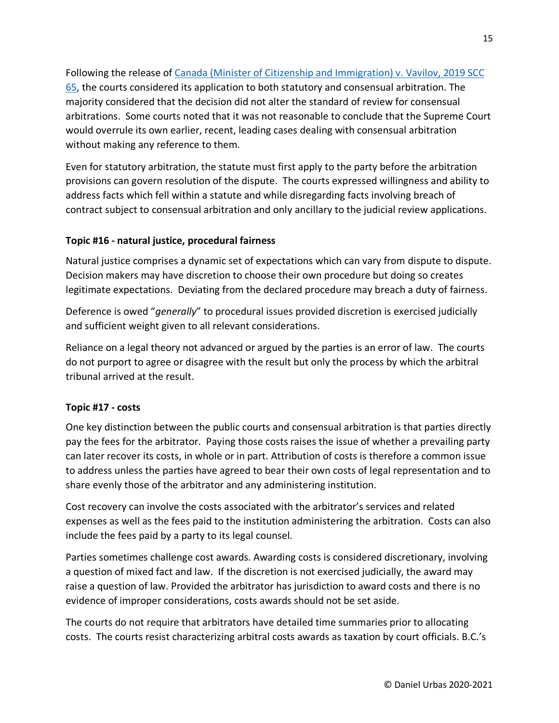Following the release of [Canada \(Minister of Citizenship and Immigration\) v. Vavilov, 2019 SCC](https://www.canlii.org/en/ca/scc/doc/2019/2019scc65/2019scc65.html)  [65,](https://www.canlii.org/en/ca/scc/doc/2019/2019scc65/2019scc65.html) the courts considered its application to both statutory and consensual arbitration. The majority considered that the decision did not alter the standard of review for consensual arbitrations. Some courts noted that it was not reasonable to conclude that the Supreme Court would overrule its own earlier, recent, leading cases dealing with consensual arbitration without making any reference to them.

Even for statutory arbitration, the statute must first apply to the party before the arbitration provisions can govern resolution of the dispute. The courts expressed willingness and ability to address facts which fell within a statute and while disregarding facts involving breach of contract subject to consensual arbitration and only ancillary to the judicial review applications.

#### <span id="page-14-0"></span>**Topic #16 - natural justice, procedural fairness**

Natural justice comprises a dynamic set of expectations which can vary from dispute to dispute. Decision makers may have discretion to choose their own procedure but doing so creates legitimate expectations. Deviating from the declared procedure may breach a duty of fairness.

Deference is owed "*generally*" to procedural issues provided discretion is exercised judicially and sufficient weight given to all relevant considerations.

Reliance on a legal theory not advanced or argued by the parties is an error of law. The courts do not purport to agree or disagree with the result but only the process by which the arbitral tribunal arrived at the result.

#### <span id="page-14-1"></span>**Topic #17 - costs**

One key distinction between the public courts and consensual arbitration is that parties directly pay the fees for the arbitrator. Paying those costs raises the issue of whether a prevailing party can later recover its costs, in whole or in part. Attribution of costs is therefore a common issue to address unless the parties have agreed to bear their own costs of legal representation and to share evenly those of the arbitrator and any administering institution.

Cost recovery can involve the costs associated with the arbitrator's services and related expenses as well as the fees paid to the institution administering the arbitration. Costs can also include the fees paid by a party to its legal counsel.

Parties sometimes challenge cost awards. Awarding costs is considered discretionary, involving a question of mixed fact and law. If the discretion is not exercised judicially, the award may raise a question of law. Provided the arbitrator has jurisdiction to award costs and there is no evidence of improper considerations, costs awards should not be set aside.

The courts do not require that arbitrators have detailed time summaries prior to allocating costs. The courts resist characterizing arbitral costs awards as taxation by court officials. B.C.'s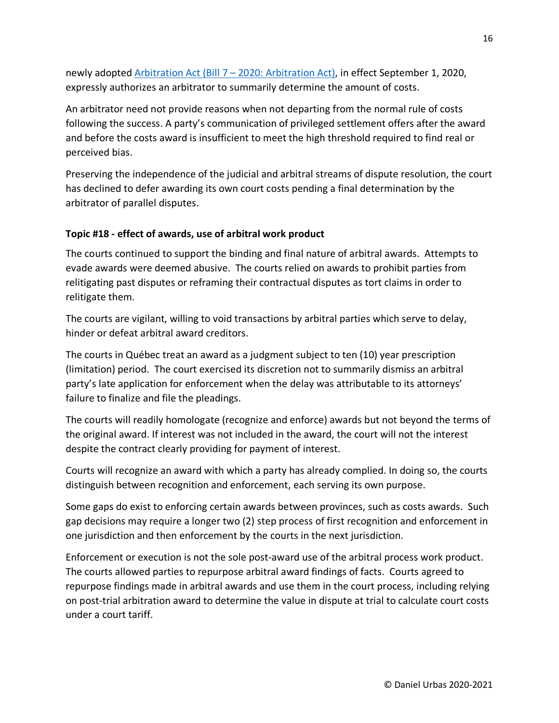newly adopted [Arbitration Act \(Bill 7 –](https://www.leg.bc.ca/parliamentary-business/legislation-debates-proceedings/41st-parliament/5th-session/bills/third-reading/gov07-3) 2020: Arbitration Act), in effect September 1, 2020, expressly authorizes an arbitrator to summarily determine the amount of costs.

An arbitrator need not provide reasons when not departing from the normal rule of costs following the success. A party's communication of privileged settlement offers after the award and before the costs award is insufficient to meet the high threshold required to find real or perceived bias.

Preserving the independence of the judicial and arbitral streams of dispute resolution, the court has declined to defer awarding its own court costs pending a final determination by the arbitrator of parallel disputes.

## <span id="page-15-0"></span>**Topic #18 - effect of awards, use of arbitral work product**

The courts continued to support the binding and final nature of arbitral awards. Attempts to evade awards were deemed abusive. The courts relied on awards to prohibit parties from relitigating past disputes or reframing their contractual disputes as tort claims in order to relitigate them.

The courts are vigilant, willing to void transactions by arbitral parties which serve to delay, hinder or defeat arbitral award creditors.

The courts in Québec treat an award as a judgment subject to ten (10) year prescription (limitation) period. The court exercised its discretion not to summarily dismiss an arbitral party's late application for enforcement when the delay was attributable to its attorneys' failure to finalize and file the pleadings.

The courts will readily homologate (recognize and enforce) awards but not beyond the terms of the original award. If interest was not included in the award, the court will not the interest despite the contract clearly providing for payment of interest.

Courts will recognize an award with which a party has already complied. In doing so, the courts distinguish between recognition and enforcement, each serving its own purpose.

Some gaps do exist to enforcing certain awards between provinces, such as costs awards. Such gap decisions may require a longer two (2) step process of first recognition and enforcement in one jurisdiction and then enforcement by the courts in the next jurisdiction.

Enforcement or execution is not the sole post-award use of the arbitral process work product. The courts allowed parties to repurpose arbitral award findings of facts. Courts agreed to repurpose findings made in arbitral awards and use them in the court process, including relying on post-trial arbitration award to determine the value in dispute at trial to calculate court costs under a court tariff.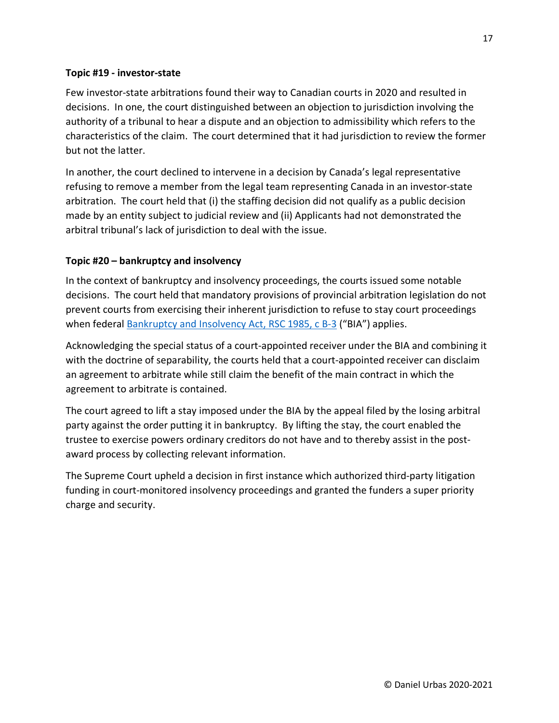#### <span id="page-16-0"></span>**Topic #19 - investor-state**

Few investor-state arbitrations found their way to Canadian courts in 2020 and resulted in decisions. In one, the court distinguished between an objection to jurisdiction involving the authority of a tribunal to hear a dispute and an objection to admissibility which refers to the characteristics of the claim. The court determined that it had jurisdiction to review the former but not the latter.

In another, the court declined to intervene in a decision by Canada's legal representative refusing to remove a member from the legal team representing Canada in an investor-state arbitration. The court held that (i) the staffing decision did not qualify as a public decision made by an entity subject to judicial review and (ii) Applicants had not demonstrated the arbitral tribunal's lack of jurisdiction to deal with the issue.

## <span id="page-16-1"></span>**Topic #20 – bankruptcy and insolvency**

In the context of bankruptcy and insolvency proceedings, the courts issued some notable decisions. The court held that mandatory provisions of provincial arbitration legislation do not prevent courts from exercising their inherent jurisdiction to refuse to stay court proceedings when federal [Bankruptcy and Insolvency Act, RSC 1985, c B-3](https://www.canlii.org/en/ca/laws/stat/rsc-1985-c-b-3/latest/rsc-1985-c-b-3.html) ("BIA") applies.

Acknowledging the special status of a court-appointed receiver under the BIA and combining it with the doctrine of separability, the courts held that a court-appointed receiver can disclaim an agreement to arbitrate while still claim the benefit of the main contract in which the agreement to arbitrate is contained.

The court agreed to lift a stay imposed under the BIA by the appeal filed by the losing arbitral party against the order putting it in bankruptcy. By lifting the stay, the court enabled the trustee to exercise powers ordinary creditors do not have and to thereby assist in the postaward process by collecting relevant information.

The Supreme Court upheld a decision in first instance which authorized third-party litigation funding in court-monitored insolvency proceedings and granted the funders a super priority charge and security.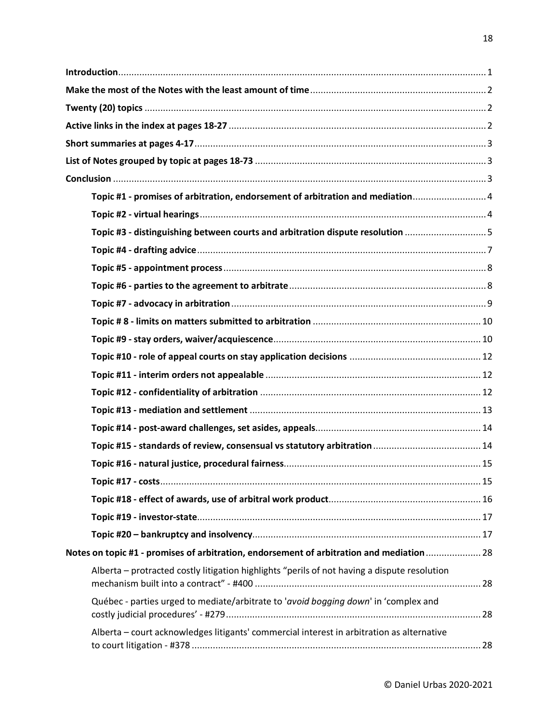| Topic #1 - promises of arbitration, endorsement of arbitration and mediation 4               |  |
|----------------------------------------------------------------------------------------------|--|
|                                                                                              |  |
| Topic #3 - distinguishing between courts and arbitration dispute resolution 5                |  |
|                                                                                              |  |
|                                                                                              |  |
|                                                                                              |  |
|                                                                                              |  |
|                                                                                              |  |
|                                                                                              |  |
|                                                                                              |  |
|                                                                                              |  |
|                                                                                              |  |
|                                                                                              |  |
|                                                                                              |  |
|                                                                                              |  |
|                                                                                              |  |
|                                                                                              |  |
|                                                                                              |  |
|                                                                                              |  |
|                                                                                              |  |
| Notes on topic #1 - promises of arbitration, endorsement of arbitration and mediation  28    |  |
| Alberta - protracted costly litigation highlights "perils of not having a dispute resolution |  |
| Québec - parties urged to mediate/arbitrate to 'avoid bogging down' in 'complex and          |  |
| Alberta - court acknowledges litigants' commercial interest in arbitration as alternative    |  |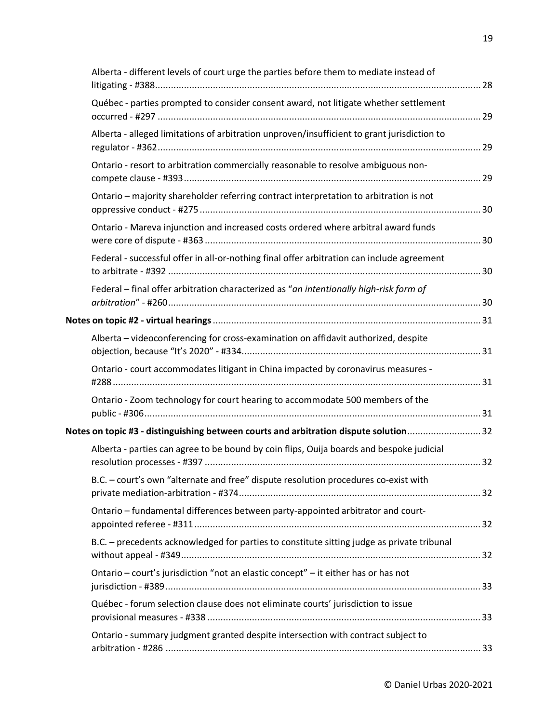| Alberta - different levels of court urge the parties before them to mediate instead of      |  |
|---------------------------------------------------------------------------------------------|--|
| Québec - parties prompted to consider consent award, not litigate whether settlement        |  |
| Alberta - alleged limitations of arbitration unproven/insufficient to grant jurisdiction to |  |
| Ontario - resort to arbitration commercially reasonable to resolve ambiguous non-           |  |
| Ontario - majority shareholder referring contract interpretation to arbitration is not      |  |
| Ontario - Mareva injunction and increased costs ordered where arbitral award funds          |  |
| Federal - successful offer in all-or-nothing final offer arbitration can include agreement  |  |
| Federal - final offer arbitration characterized as "an intentionally high-risk form of      |  |
|                                                                                             |  |
| Alberta - videoconferencing for cross-examination on affidavit authorized, despite          |  |
| Ontario - court accommodates litigant in China impacted by coronavirus measures -           |  |
| Ontario - Zoom technology for court hearing to accommodate 500 members of the               |  |
| Notes on topic #3 - distinguishing between courts and arbitration dispute solution32        |  |
| Alberta - parties can agree to be bound by coin flips, Ouija boards and bespoke judicial    |  |
| B.C. - court's own "alternate and free" dispute resolution procedures co-exist with         |  |
| Ontario - fundamental differences between party-appointed arbitrator and court-             |  |
| B.C. - precedents acknowledged for parties to constitute sitting judge as private tribunal  |  |
| Ontario - court's jurisdiction "not an elastic concept" - it either has or has not          |  |
| Québec - forum selection clause does not eliminate courts' jurisdiction to issue            |  |
| Ontario - summary judgment granted despite intersection with contract subject to            |  |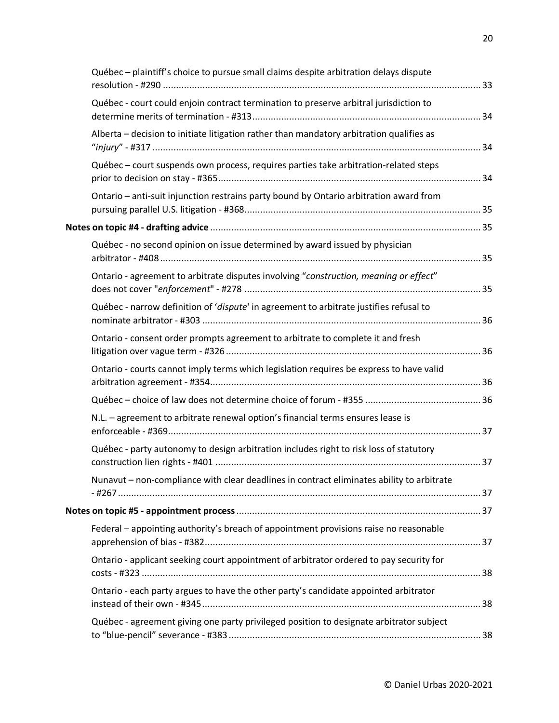| Québec - plaintiff's choice to pursue small claims despite arbitration delays dispute     |  |
|-------------------------------------------------------------------------------------------|--|
| Québec - court could enjoin contract termination to preserve arbitral jurisdiction to     |  |
| Alberta - decision to initiate litigation rather than mandatory arbitration qualifies as  |  |
| Québec - court suspends own process, requires parties take arbitration-related steps      |  |
| Ontario - anti-suit injunction restrains party bound by Ontario arbitration award from    |  |
|                                                                                           |  |
| Québec - no second opinion on issue determined by award issued by physician               |  |
| Ontario - agreement to arbitrate disputes involving "construction, meaning or effect"     |  |
| Québec - narrow definition of 'dispute' in agreement to arbitrate justifies refusal to    |  |
| Ontario - consent order prompts agreement to arbitrate to complete it and fresh           |  |
| Ontario - courts cannot imply terms which legislation requires be express to have valid   |  |
|                                                                                           |  |
| N.L. - agreement to arbitrate renewal option's financial terms ensures lease is           |  |
| Québec - party autonomy to design arbitration includes right to risk loss of statutory    |  |
| Nunavut - non-compliance with clear deadlines in contract eliminates ability to arbitrate |  |
|                                                                                           |  |
| Federal - appointing authority's breach of appointment provisions raise no reasonable     |  |
| Ontario - applicant seeking court appointment of arbitrator ordered to pay security for   |  |
| Ontario - each party argues to have the other party's candidate appointed arbitrator      |  |
| Québec - agreement giving one party privileged position to designate arbitrator subject   |  |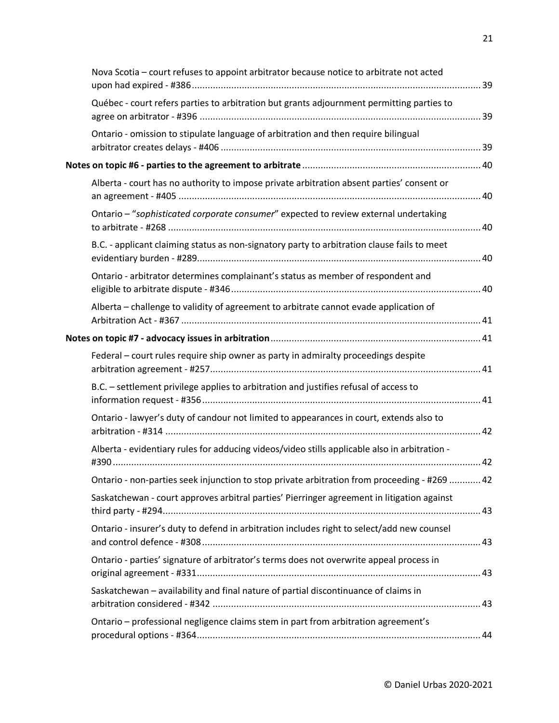| Nova Scotia - court refuses to appoint arbitrator because notice to arbitrate not acted       |  |
|-----------------------------------------------------------------------------------------------|--|
| Québec - court refers parties to arbitration but grants adjournment permitting parties to     |  |
| Ontario - omission to stipulate language of arbitration and then require bilingual            |  |
|                                                                                               |  |
| Alberta - court has no authority to impose private arbitration absent parties' consent or     |  |
| Ontario - "sophisticated corporate consumer" expected to review external undertaking          |  |
| B.C. - applicant claiming status as non-signatory party to arbitration clause fails to meet   |  |
| Ontario - arbitrator determines complainant's status as member of respondent and              |  |
| Alberta - challenge to validity of agreement to arbitrate cannot evade application of         |  |
|                                                                                               |  |
| Federal - court rules require ship owner as party in admiralty proceedings despite            |  |
| B.C. - settlement privilege applies to arbitration and justifies refusal of access to         |  |
| Ontario - lawyer's duty of candour not limited to appearances in court, extends also to       |  |
| Alberta - evidentiary rules for adducing videos/video stills applicable also in arbitration - |  |
| Ontario - non-parties seek injunction to stop private arbitration from proceeding - #269  42  |  |
| Saskatchewan - court approves arbitral parties' Pierringer agreement in litigation against    |  |
| Ontario - insurer's duty to defend in arbitration includes right to select/add new counsel    |  |
| Ontario - parties' signature of arbitrator's terms does not overwrite appeal process in       |  |
| Saskatchewan - availability and final nature of partial discontinuance of claims in           |  |
| Ontario - professional negligence claims stem in part from arbitration agreement's            |  |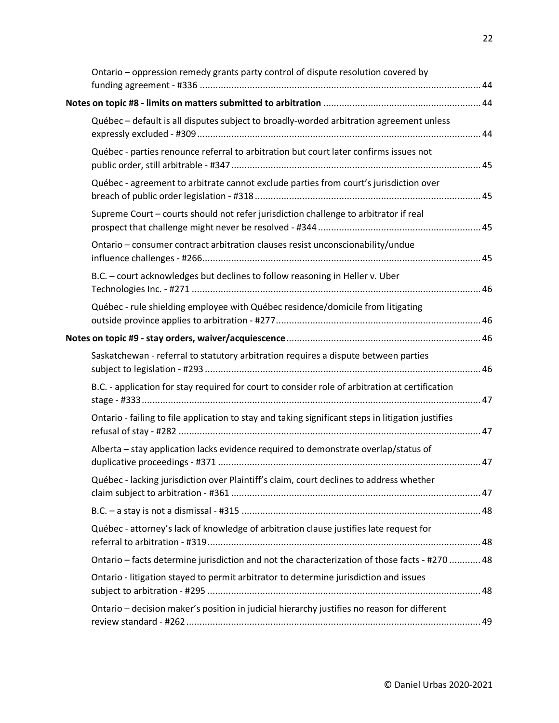| Ontario - oppression remedy grants party control of dispute resolution covered by                  |  |
|----------------------------------------------------------------------------------------------------|--|
|                                                                                                    |  |
| Québec - default is all disputes subject to broadly-worded arbitration agreement unless            |  |
| Québec - parties renounce referral to arbitration but court later confirms issues not              |  |
| Québec - agreement to arbitrate cannot exclude parties from court's jurisdiction over              |  |
| Supreme Court - courts should not refer jurisdiction challenge to arbitrator if real               |  |
| Ontario - consumer contract arbitration clauses resist unconscionability/undue                     |  |
| B.C. - court acknowledges but declines to follow reasoning in Heller v. Uber                       |  |
| Québec - rule shielding employee with Québec residence/domicile from litigating                    |  |
|                                                                                                    |  |
| Saskatchewan - referral to statutory arbitration requires a dispute between parties                |  |
| B.C. - application for stay required for court to consider role of arbitration at certification    |  |
| Ontario - failing to file application to stay and taking significant steps in litigation justifies |  |
| Alberta - stay application lacks evidence required to demonstrate overlap/status of                |  |
| Québec - lacking jurisdiction over Plaintiff's claim, court declines to address whether            |  |
|                                                                                                    |  |
| Québec - attorney's lack of knowledge of arbitration clause justifies late request for             |  |
| 0. Ontario – facts determine jurisdiction and not the characterization of those facts - #270  48   |  |
| Ontario - litigation stayed to permit arbitrator to determine jurisdiction and issues              |  |
| Ontario - decision maker's position in judicial hierarchy justifies no reason for different        |  |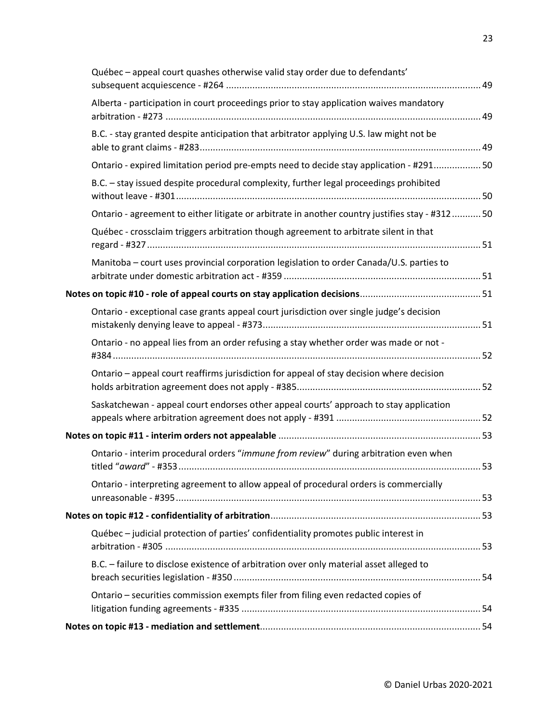| Québec - appeal court quashes otherwise valid stay order due to defendants'                    |  |
|------------------------------------------------------------------------------------------------|--|
| Alberta - participation in court proceedings prior to stay application waives mandatory        |  |
| B.C. - stay granted despite anticipation that arbitrator applying U.S. law might not be        |  |
| Ontario - expired limitation period pre-empts need to decide stay application - #291 50        |  |
| B.C. - stay issued despite procedural complexity, further legal proceedings prohibited         |  |
| Ontario - agreement to either litigate or arbitrate in another country justifies stay - #31250 |  |
| Québec - crossclaim triggers arbitration though agreement to arbitrate silent in that          |  |
| Manitoba - court uses provincial corporation legislation to order Canada/U.S. parties to       |  |
|                                                                                                |  |
| Ontario - exceptional case grants appeal court jurisdiction over single judge's decision       |  |
| Ontario - no appeal lies from an order refusing a stay whether order was made or not -         |  |
| Ontario - appeal court reaffirms jurisdiction for appeal of stay decision where decision       |  |
| Saskatchewan - appeal court endorses other appeal courts' approach to stay application         |  |
|                                                                                                |  |
| Ontario - interim procedural orders "immune from review" during arbitration even when          |  |
| Ontario - interpreting agreement to allow appeal of procedural orders is commercially          |  |
|                                                                                                |  |
| Québec - judicial protection of parties' confidentiality promotes public interest in           |  |
| B.C. - failure to disclose existence of arbitration over only material asset alleged to        |  |
| Ontario - securities commission exempts filer from filing even redacted copies of              |  |
|                                                                                                |  |
|                                                                                                |  |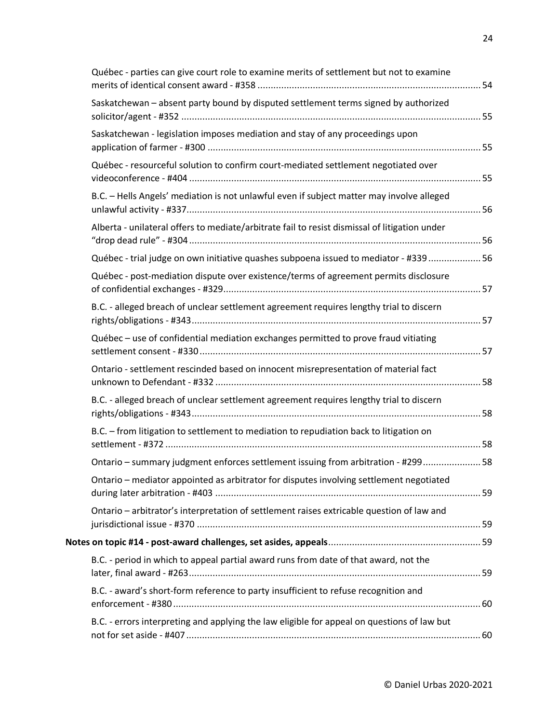| Québec - parties can give court role to examine merits of settlement but not to examine       |  |
|-----------------------------------------------------------------------------------------------|--|
| Saskatchewan - absent party bound by disputed settlement terms signed by authorized           |  |
| Saskatchewan - legislation imposes mediation and stay of any proceedings upon                 |  |
| Québec - resourceful solution to confirm court-mediated settlement negotiated over            |  |
| B.C. - Hells Angels' mediation is not unlawful even if subject matter may involve alleged     |  |
| Alberta - unilateral offers to mediate/arbitrate fail to resist dismissal of litigation under |  |
| Québec - trial judge on own initiative quashes subpoena issued to mediator - #339 56          |  |
| Québec - post-mediation dispute over existence/terms of agreement permits disclosure          |  |
| B.C. - alleged breach of unclear settlement agreement requires lengthy trial to discern       |  |
| Québec - use of confidential mediation exchanges permitted to prove fraud vitiating           |  |
| Ontario - settlement rescinded based on innocent misrepresentation of material fact           |  |
| B.C. - alleged breach of unclear settlement agreement requires lengthy trial to discern       |  |
| B.C. - from litigation to settlement to mediation to repudiation back to litigation on        |  |
| Ontario - summary judgment enforces settlement issuing from arbitration - #299 58             |  |
| Ontario - mediator appointed as arbitrator for disputes involving settlement negotiated       |  |
| Ontario - arbitrator's interpretation of settlement raises extricable question of law and     |  |
|                                                                                               |  |
| B.C. - period in which to appeal partial award runs from date of that award, not the          |  |
| B.C. - award's short-form reference to party insufficient to refuse recognition and           |  |
| B.C. - errors interpreting and applying the law eligible for appeal on questions of law but   |  |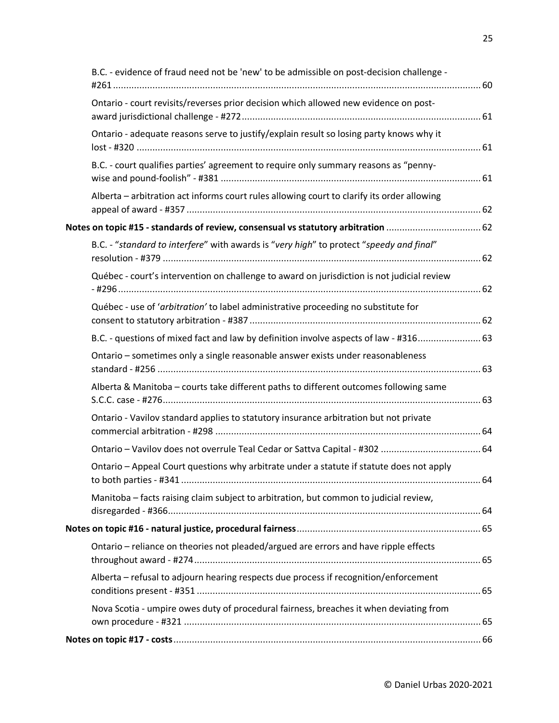| B.C. - evidence of fraud need not be 'new' to be admissible on post-decision challenge -   |  |
|--------------------------------------------------------------------------------------------|--|
| Ontario - court revisits/reverses prior decision which allowed new evidence on post-       |  |
| Ontario - adequate reasons serve to justify/explain result so losing party knows why it    |  |
| B.C. - court qualifies parties' agreement to require only summary reasons as "penny-       |  |
| Alberta - arbitration act informs court rules allowing court to clarify its order allowing |  |
| Notes on topic #15 - standards of review, consensual vs statutory arbitration  62          |  |
| B.C. - "standard to interfere" with awards is "very high" to protect "speedy and final"    |  |
| Québec - court's intervention on challenge to award on jurisdiction is not judicial review |  |
| Québec - use of 'arbitration' to label administrative proceeding no substitute for         |  |
| B.C. - questions of mixed fact and law by definition involve aspects of law - #316 63      |  |
| Ontario - sometimes only a single reasonable answer exists under reasonableness            |  |
| Alberta & Manitoba - courts take different paths to different outcomes following same      |  |
| Ontario - Vavilov standard applies to statutory insurance arbitration but not private      |  |
|                                                                                            |  |
| Ontario - Appeal Court questions why arbitrate under a statute if statute does not apply   |  |
| Manitoba - facts raising claim subject to arbitration, but common to judicial review,      |  |
|                                                                                            |  |
| Ontario - reliance on theories not pleaded/argued are errors and have ripple effects       |  |
| Alberta - refusal to adjourn hearing respects due process if recognition/enforcement       |  |
| Nova Scotia - umpire owes duty of procedural fairness, breaches it when deviating from     |  |
|                                                                                            |  |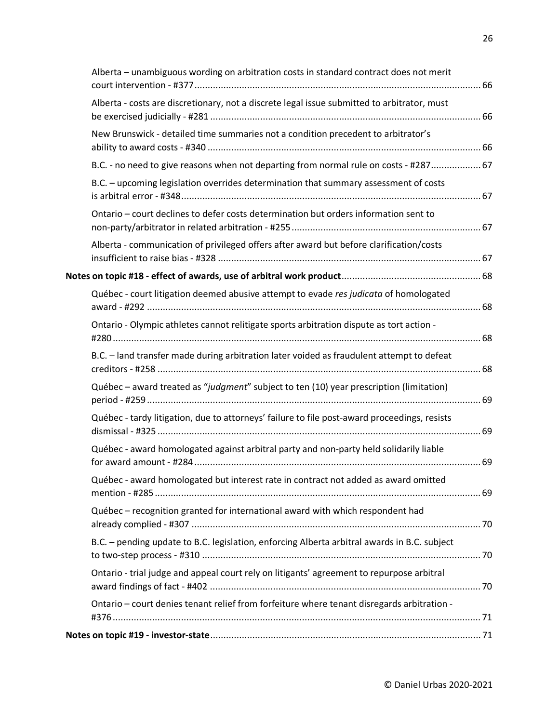| Alberta - unambiguous wording on arbitration costs in standard contract does not merit       |  |
|----------------------------------------------------------------------------------------------|--|
| Alberta - costs are discretionary, not a discrete legal issue submitted to arbitrator, must  |  |
| New Brunswick - detailed time summaries not a condition precedent to arbitrator's            |  |
| B.C. - no need to give reasons when not departing from normal rule on costs - #287 67        |  |
| B.C. - upcoming legislation overrides determination that summary assessment of costs         |  |
| Ontario - court declines to defer costs determination but orders information sent to         |  |
| Alberta - communication of privileged offers after award but before clarification/costs      |  |
|                                                                                              |  |
| Québec - court litigation deemed abusive attempt to evade res judicata of homologated        |  |
| Ontario - Olympic athletes cannot relitigate sports arbitration dispute as tort action -     |  |
| B.C. - land transfer made during arbitration later voided as fraudulent attempt to defeat    |  |
| Québec - award treated as "judgment" subject to ten (10) year prescription (limitation)      |  |
| Québec - tardy litigation, due to attorneys' failure to file post-award proceedings, resists |  |
| Québec - award homologated against arbitral party and non-party held solidarily liable       |  |
| Québec - award homologated but interest rate in contract not added as award omitted          |  |
| Québec - recognition granted for international award with which respondent had               |  |
| B.C. - pending update to B.C. legislation, enforcing Alberta arbitral awards in B.C. subject |  |
| Ontario - trial judge and appeal court rely on litigants' agreement to repurpose arbitral    |  |
| Ontario - court denies tenant relief from forfeiture where tenant disregards arbitration -   |  |
|                                                                                              |  |
|                                                                                              |  |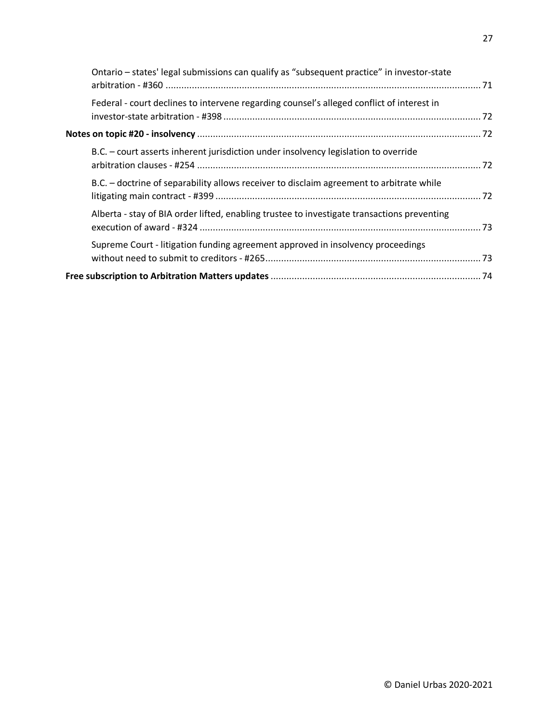| Ontario - states' legal submissions can qualify as "subsequent practice" in investor-state  |  |
|---------------------------------------------------------------------------------------------|--|
| Federal - court declines to intervene regarding counsel's alleged conflict of interest in   |  |
|                                                                                             |  |
| B.C. - court asserts inherent jurisdiction under insolvency legislation to override         |  |
| B.C. – doctrine of separability allows receiver to disclaim agreement to arbitrate while    |  |
| Alberta - stay of BIA order lifted, enabling trustee to investigate transactions preventing |  |
| Supreme Court - litigation funding agreement approved in insolvency proceedings             |  |
|                                                                                             |  |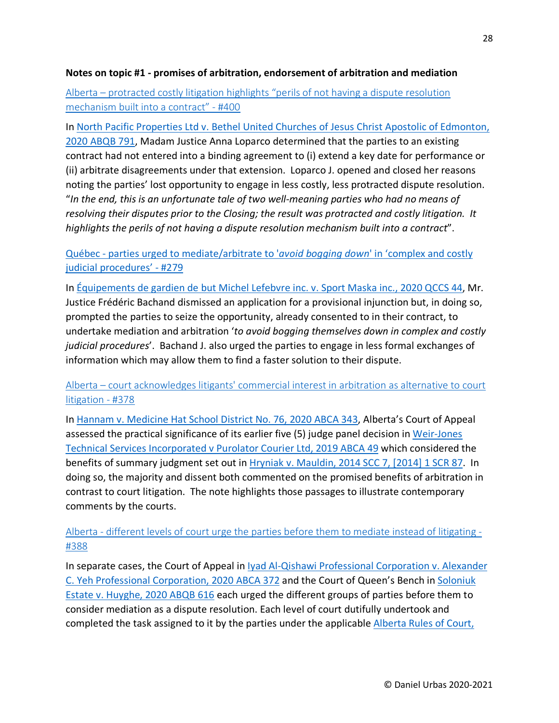#### <span id="page-27-0"></span>**Notes on topic #1 - promises of arbitration, endorsement of arbitration and mediation**

<span id="page-27-1"></span>Alberta – [protracted costly litigation highlights "perils of not having a dispute resolution](https://urbas.ca/?p=2828)  [mechanism built into a contract" -](https://urbas.ca/?p=2828) #400

In [North Pacific Properties Ltd v. Bethel United Churches of Jesus Christ Apostolic of Edmonton,](https://www.canlii.org/en/ab/abqb/doc/2020/2020abqb791/2020abqb791.html)  [2020 ABQB 791,](https://www.canlii.org/en/ab/abqb/doc/2020/2020abqb791/2020abqb791.html) Madam Justice Anna Loparco determined that the parties to an existing contract had not entered into a binding agreement to (i) extend a key date for performance or (ii) arbitrate disagreements under that extension. Loparco J. opened and closed her reasons noting the parties' lost opportunity to engage in less costly, less protracted dispute resolution. "*In the end, this is an unfortunate tale of two well-meaning parties who had no means of resolving their disputes prior to the Closing; the result was protracted and costly litigation. It highlights the perils of not having a dispute resolution mechanism built into a contract*".

<span id="page-27-2"></span>Québec - [parties urged to mediate/arbitrate to '](https://urbas.ca/?p=2233)*avoid bogging down*' in 'complex and costly [judicial procedures' -](https://urbas.ca/?p=2233) #279

In [Équipements de gardien de but Michel Lefebvre inc. v. Sport Maska inc., 2020 QCCS 44,](https://www.canlii.org/fr/qc/qccs/doc/2020/2020qccs44/2020qccs44.html) Mr. Justice Frédéric Bachand dismissed an application for a provisional injunction but, in doing so, prompted the parties to seize the opportunity, already consented to in their contract, to undertake mediation and arbitration '*to avoid bogging themselves down in complex and costly judicial procedures*'. Bachand J. also urged the parties to engage in less formal exchanges of information which may allow them to find a faster solution to their dispute.

<span id="page-27-3"></span>Alberta – [court acknowledges litigants' commercial interest in arbitration as alternative to court](https://urbas.ca/?p=2670)  [litigation -](https://urbas.ca/?p=2670) #378

In [Hannam v. Medicine Hat School District No. 76, 2020 ABCA 343,](https://www.canlii.org/en/ab/abca/doc/2020/2020abca343/2020abca343.html) Alberta's Court of Appeal assessed the practical significance of its earlier five (5) judge panel decision in [Weir-Jones](https://www.canlii.org/en/ab/abca/doc/2019/2019abca49/2019abca49.html)  [Technical Services Incorporated v Purolator Courier Ltd, 2019 ABCA 49](https://www.canlii.org/en/ab/abca/doc/2019/2019abca49/2019abca49.html) which considered the benefits of summary judgment set out in [Hryniak v. Mauldin, 2014 SCC 7, \[2014\] 1 SCR 87.](https://www.canlii.org/en/ca/scc/doc/2014/2014scc7/2014scc7.html) In doing so, the majority and dissent both commented on the promised benefits of arbitration in contrast to court litigation. The note highlights those passages to illustrate contemporary comments by the courts.

<span id="page-27-4"></span>Alberta - [different levels of court urge the parties before them to mediate instead of litigating](https://urbas.ca/?p=2726) - [#388](https://urbas.ca/?p=2726)

In separate cases, the Court of Appeal in Iyad Al-Qishawi Professional Corporation v. Alexander [C. Yeh Professional Corporation, 2020 ABCA 372](https://www.canlii.org/en/ab/abca/doc/2020/2020abca372/2020abca372.html) and the Court of Queen's Bench in [Soloniuk](https://www.canlii.org/en/ab/abqb/doc/2020/2020abqb616/2020abqb616.html)  [Estate v. Huyghe, 2020 ABQB 616](https://www.canlii.org/en/ab/abqb/doc/2020/2020abqb616/2020abqb616.html) each urged the different groups of parties before them to consider mediation as a dispute resolution. Each level of court dutifully undertook and completed the task assigned to it by the parties under the applicable [Alberta Rules of Court,](https://www.canlii.org/en/ab/laws/regu/alta-reg-124-2010/latest/alta-reg-124-2010.html)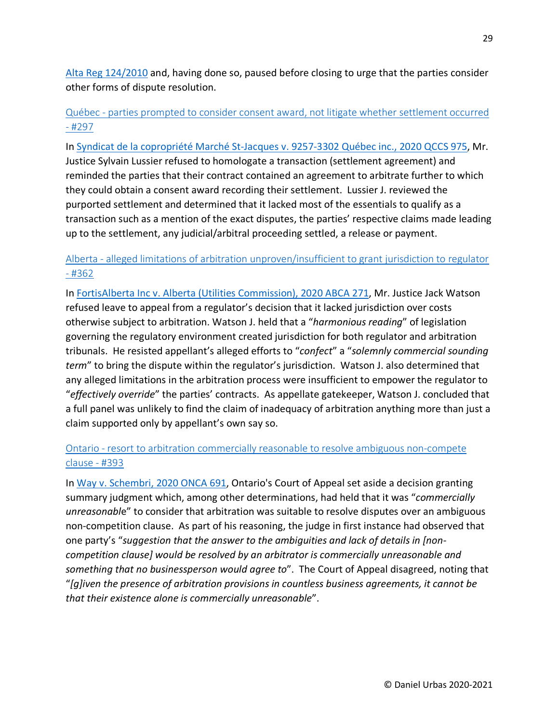[Alta Reg 124/2010](https://www.canlii.org/en/ab/laws/regu/alta-reg-124-2010/latest/alta-reg-124-2010.html) and, having done so, paused before closing to urge that the parties consider other forms of dispute resolution.

<span id="page-28-0"></span>Québec - [parties prompted to consider consent award, not litigate whether settlement occurred](https://urbas.ca/?p=2302)  - [#297](https://urbas.ca/?p=2302)

In [Syndicat de la copropriété Marché St-Jacques v. 9257-3302 Québec inc., 2020 QCCS 975,](https://www.canlii.org/fr/qc/qccs/doc/2020/2020qccs975/2020qccs975.html) Mr. Justice Sylvain Lussier refused to homologate a transaction (settlement agreement) and reminded the parties that their contract contained an agreement to arbitrate further to which they could obtain a consent award recording their settlement. Lussier J. reviewed the purported settlement and determined that it lacked most of the essentials to qualify as a transaction such as a mention of the exact disputes, the parties' respective claims made leading up to the settlement, any judicial/arbitral proceeding settled, a release or payment.

## <span id="page-28-1"></span>Alberta - [alleged limitations of arbitration unproven/insufficient to grant jurisdiction to regulator](https://urbas.ca/?p=2567)  - [#362](https://urbas.ca/?p=2567)

In [FortisAlberta Inc v. Alberta \(Utilities Commission\), 2020 ABCA 271,](https://www.canlii.org/en/ab/abca/doc/2020/2020abca271/2020abca271.html) Mr. Justice Jack Watson refused leave to appeal from a regulator's decision that it lacked jurisdiction over costs otherwise subject to arbitration. Watson J. held that a "*harmonious reading*" of legislation governing the regulatory environment created jurisdiction for both regulator and arbitration tribunals. He resisted appellant's alleged efforts to "*confect*" a "*solemnly commercial sounding term*" to bring the dispute within the regulator's jurisdiction. Watson J. also determined that any alleged limitations in the arbitration process were insufficient to empower the regulator to "*effectively override*" the parties' contracts. As appellate gatekeeper, Watson J. concluded that a full panel was unlikely to find the claim of inadequacy of arbitration anything more than just a claim supported only by appellant's own say so.

## <span id="page-28-2"></span>Ontario - [resort to arbitration commercially reasonable to resolve ambiguous non-compete](https://urbas.ca/?p=2753)  [clause -](https://urbas.ca/?p=2753) #393

In [Way v. Schembri, 2020 ONCA 691,](https://www.canlii.org/en/on/onca/doc/2020/2020onca691/2020onca691.html) Ontario's Court of Appeal set aside a decision granting summary judgment which, among other determinations, had held that it was "*commercially unreasonabl*e" to consider that arbitration was suitable to resolve disputes over an ambiguous non-competition clause. As part of his reasoning, the judge in first instance had observed that one party's "*suggestion that the answer to the ambiguities and lack of details in [noncompetition clause] would be resolved by an arbitrator is commercially unreasonable and something that no businessperson would agree to*". The Court of Appeal disagreed, noting that "*[g]iven the presence of arbitration provisions in countless business agreements, it cannot be that their existence alone is commercially unreasonable*".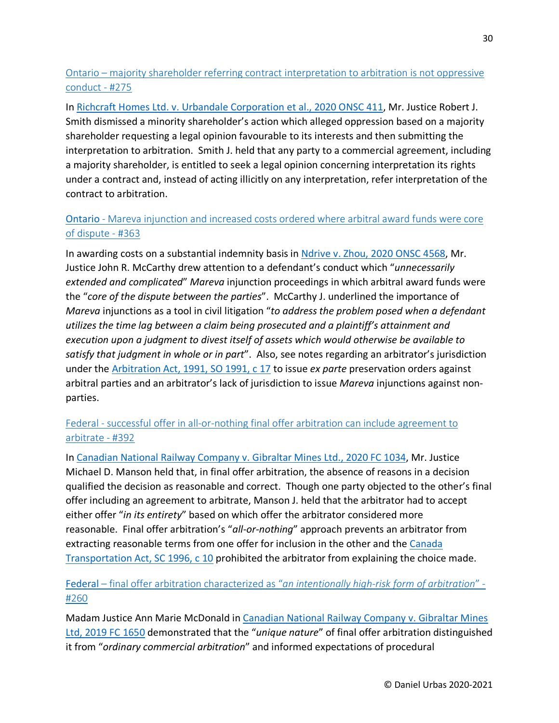<span id="page-29-0"></span>Ontario – [majority shareholder referring contract interpretation to arbitration is not oppressive](https://urbas.ca/?p=2216)  [conduct -](https://urbas.ca/?p=2216) #275

In [Richcraft Homes Ltd. v. Urbandale Corporation et al., 2020 ONSC 411,](https://www.canlii.org/en/on/onsc/doc/2020/2020onsc411/2020onsc411.html) Mr. Justice Robert J. Smith dismissed a minority shareholder's action which alleged oppression based on a majority shareholder requesting a legal opinion favourable to its interests and then submitting the interpretation to arbitration. Smith J. held that any party to a commercial agreement, including a majority shareholder, is entitled to seek a legal opinion concerning interpretation its rights under a contract and, instead of acting illicitly on any interpretation, refer interpretation of the contract to arbitration.

# <span id="page-29-1"></span>Ontario - [Mareva injunction and increased costs ordered where arbitral award funds were core](https://urbas.ca/?p=2570)  [of dispute -](https://urbas.ca/?p=2570) #363

In awarding costs on a substantial indemnity basis in [Ndrive v. Zhou, 2020 ONSC 4568,](https://www.canlii.org/en/on/onsc/doc/2020/2020onsc4568/2020onsc4568.html) Mr. Justice John R. McCarthy drew attention to a defendant's conduct which "*unnecessarily extended and complicated*" *Mareva* injunction proceedings in which arbitral award funds were the "*core of the dispute between the parties*". McCarthy J. underlined the importance of *Mareva* injunctions as a tool in civil litigation "*to address the problem posed when a defendant utilizes the time lag between a claim being prosecuted and a plaintiff's attainment and execution upon a judgment to divest itself of assets which would otherwise be available to satisfy that judgment in whole or in part*". Also, see notes regarding an arbitrator's jurisdiction under the [Arbitration Act, 1991, SO 1991, c 17](https://www.canlii.org/en/on/laws/stat/so-1991-c-17/latest/so-1991-c-17.html) to issue *ex parte* preservation orders against arbitral parties and an arbitrator's lack of jurisdiction to issue *Mareva* injunctions against nonparties.

## <span id="page-29-2"></span>Federal - successful offer in all-or-nothing final offer arbitration can include agreement to [arbitrate -](https://urbas.ca/?p=2750) #392

In [Canadian National Railway Company v. Gibraltar Mines Ltd., 2020 FC 1034,](https://www.canlii.org/en/ca/fct/doc/2020/2020fc1034/2020fc1034.html) Mr. Justice Michael D. Manson held that, in final offer arbitration, the absence of reasons in a decision qualified the decision as reasonable and correct. Though one party objected to the other's final offer including an agreement to arbitrate, Manson J. held that the arbitrator had to accept either offer "*in its entirety*" based on which offer the arbitrator considered more reasonable. Final offer arbitration's "*all-or-nothing*" approach prevents an arbitrator from extracting reasonable terms from one offer for inclusion in the other and the [Canada](https://www.canlii.org/en/ca/laws/stat/sc-1996-c-10/latest/sc-1996-c-10.html)  [Transportation Act, SC 1996, c 10](https://www.canlii.org/en/ca/laws/stat/sc-1996-c-10/latest/sc-1996-c-10.html) prohibited the arbitrator from explaining the choice made.

# <span id="page-29-3"></span>Federal – [final offer arbitration characterized as "](https://urbas.ca/?p=1876)*an intentionally high-risk form of arbitration*" - [#260](https://urbas.ca/?p=1876)

Madam Justice Ann Marie McDonald in [Canadian National Railway Company v. Gibraltar Mines](https://www.canlii.org/en/ca/fct/doc/2019/2019fc1650/2019fc1650.html)  [Ltd, 2019 FC 1650](https://www.canlii.org/en/ca/fct/doc/2019/2019fc1650/2019fc1650.html) demonstrated that the "*unique nature*" of final offer arbitration distinguished it from "*ordinary commercial arbitration*" and informed expectations of procedural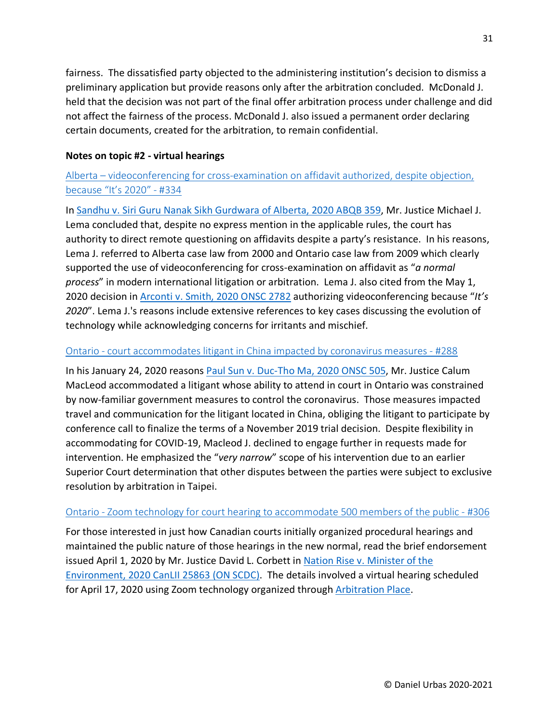fairness. The dissatisfied party objected to the administering institution's decision to dismiss a preliminary application but provide reasons only after the arbitration concluded. McDonald J. held that the decision was not part of the final offer arbitration process under challenge and did not affect the fairness of the process. McDonald J. also issued a permanent order declaring certain documents, created for the arbitration, to remain confidential.

### <span id="page-30-0"></span>**Notes on topic #2 - virtual hearings**

# <span id="page-30-1"></span>Alberta – [videoconferencing for cross-examination on affidavit authorized, despite objection,](https://urbas.ca/?p=2453)  [because "It's 2020" -](https://urbas.ca/?p=2453) #334

In [Sandhu v. Siri Guru Nanak Sikh Gurdwara of Alberta, 2020 ABQB 359,](https://www.canlii.org/en/ab/abqb/doc/2020/2020abqb359/2020abqb359.html) Mr. Justice Michael J. Lema concluded that, despite no express mention in the applicable rules, the court has authority to direct remote questioning on affidavits despite a party's resistance. In his reasons, Lema J. referred to Alberta case law from 2000 and Ontario case law from 2009 which clearly supported the use of videoconferencing for cross-examination on affidavit as "*a normal process*" in modern international litigation or arbitration. Lema J. also cited from the May 1, 2020 decision i[n Arconti v. Smith, 2020 ONSC 2782](https://www.canlii.org/en/on/onsc/doc/2020/2020onsc2782/2020onsc2782.html) authorizing videoconferencing because "*It's 2020*". Lema J.'s reasons include extensive references to key cases discussing the evolution of technology while acknowledging concerns for irritants and mischief.

#### <span id="page-30-2"></span>Ontario - [court accommodates litigant in China impacted by coronavirus measures -](https://urbas.ca/?p=2271) #288

In his January 24, 2020 reasons [Paul Sun v. Duc-Tho Ma, 2020 ONSC 505,](https://www.canlii.org/en/on/onsc/doc/2020/2020onsc505/2020onsc505.html) Mr. Justice Calum MacLeod accommodated a litigant whose ability to attend in court in Ontario was constrained by now-familiar government measures to control the coronavirus. Those measures impacted travel and communication for the litigant located in China, obliging the litigant to participate by conference call to finalize the terms of a November 2019 trial decision. Despite flexibility in accommodating for COVID-19, Macleod J. declined to engage further in requests made for intervention. He emphasized the "*very narrow*" scope of his intervention due to an earlier Superior Court determination that other disputes between the parties were subject to exclusive resolution by arbitration in Taipei.

## <span id="page-30-3"></span>Ontario - [Zoom technology for court hearing to accommodate 500 members of the public -](https://urbas.ca/?p=2344) #306

For those interested in just how Canadian courts initially organized procedural hearings and maintained the public nature of those hearings in the new normal, read the brief endorsement issued April 1, 2020 by Mr. Justice David L. Corbett i[n Nation Rise v. Minister of the](https://www.canlii.org/en/on/onscdc/doc/2020/2020canlii25863/2020canlii25863.html)  [Environment, 2020 CanLII 25863 \(ON SCDC\).](https://www.canlii.org/en/on/onscdc/doc/2020/2020canlii25863/2020canlii25863.html) The details involved a virtual hearing scheduled for April 17, 2020 using Zoom technology organized through [Arbitration Place.](https://www.arbitrationplace.com/)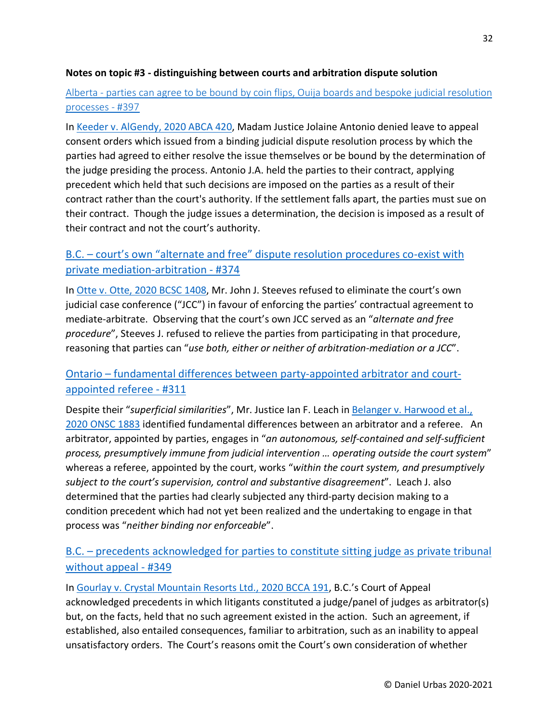#### <span id="page-31-0"></span>**Notes on topic #3 - distinguishing between courts and arbitration dispute solution**

## <span id="page-31-1"></span>Alberta - [parties can agree to be bound by coin flips, Ouija boards and bespoke judicial resolution](https://urbas.ca/?p=2783)  [processes -](https://urbas.ca/?p=2783) #397

In [Keeder v. AlGendy, 2020 ABCA 420,](https://www.canlii.org/en/ab/abca/doc/2020/2020abca420/2020abca420.html) Madam Justice Jolaine Antonio denied leave to appeal consent orders which issued from a binding judicial dispute resolution process by which the parties had agreed to either resolve the issue themselves or be bound by the determination of the judge presiding the process. Antonio J.A. held the parties to their contract, applying precedent which held that such decisions are imposed on the parties as a result of their contract rather than the court's authority. If the settlement falls apart, the parties must sue on their contract. Though the judge issues a determination, the decision is imposed as a result of their contract and not the court's authority.

## <span id="page-31-2"></span>B.C. – [court's own "alternate and free" dispute resolution procedures co-exist with](https://urbas.ca/?p=2648)  [private mediation-arbitration -](https://urbas.ca/?p=2648) #374

In [Otte v. Otte, 2020 BCSC 1408,](https://www.canlii.org/en/bc/bcsc/doc/2020/2020bcsc1408/2020bcsc1408.html) Mr. John J. Steeves refused to eliminate the court's own judicial case conference ("JCC") in favour of enforcing the parties' contractual agreement to mediate-arbitrate. Observing that the court's own JCC served as an "*alternate and free procedure*", Steeves J. refused to relieve the parties from participating in that procedure, reasoning that parties can "*use both, either or neither of arbitration-mediation or a JCC*".

# <span id="page-31-3"></span>Ontario – fundamental [differences between party-appointed arbitrator and court](https://urbas.ca/?p=2378)[appointed referee -](https://urbas.ca/?p=2378) #311

Despite their "*superficial similarities*", Mr. Justice Ian F. Leach in [Belanger v. Harwood et al.,](https://www.canlii.org/en/on/onsc/doc/2020/2020onsc1883/2020onsc1883.html)  [2020 ONSC 1883](https://www.canlii.org/en/on/onsc/doc/2020/2020onsc1883/2020onsc1883.html) identified fundamental differences between an arbitrator and a referee. An arbitrator, appointed by parties, engages in "*an autonomous, self-contained and self-sufficient process, presumptively immune from judicial intervention … operating outside the court system*" whereas a referee, appointed by the court, works "*within the court system, and presumptively subject to the court's supervision, control and substantive disagreement*". Leach J. also determined that the parties had clearly subjected any third-party decision making to a condition precedent which had not yet been realized and the undertaking to engage in that process was "*neither binding nor enforceable*".

# <span id="page-31-4"></span>B.C. – [precedents acknowledged for parties to constitute sitting judge as private tribunal](https://urbas.ca/?p=2521)  [without appeal -](https://urbas.ca/?p=2521) #349

In [Gourlay v. Crystal Mountain Resorts Ltd., 2020 BCCA 191,](https://www.canlii.org/en/bc/bcca/doc/2020/2020bcca191/2020bcca191.html) B.C.'s Court of Appeal acknowledged precedents in which litigants constituted a judge/panel of judges as arbitrator(s) but, on the facts, held that no such agreement existed in the action. Such an agreement, if established, also entailed consequences, familiar to arbitration, such as an inability to appeal unsatisfactory orders. The Court's reasons omit the Court's own consideration of whether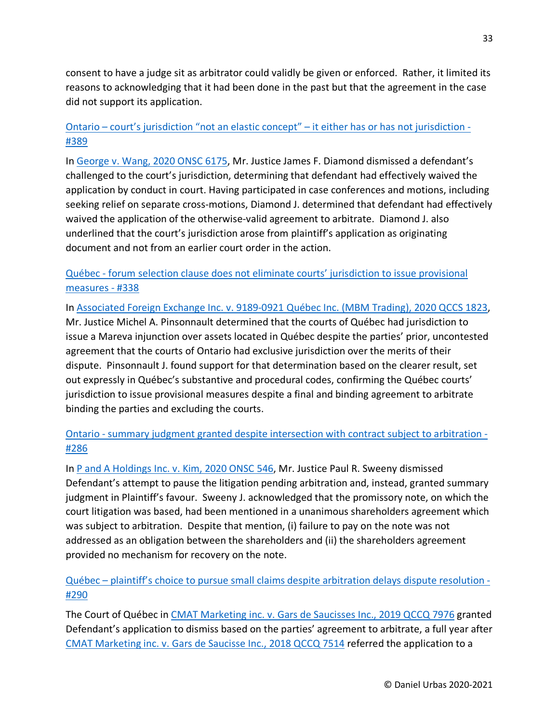consent to have a judge sit as arbitrator could validly be given or enforced. Rather, it limited its reasons to acknowledging that it had been done in the past but that the agreement in the case did not support its application.

## <span id="page-32-0"></span>Ontario – [court's jurisdiction "not an elastic concept" –](https://urbas.ca/?p=2741) it either has or has not jurisdiction - [#389](https://urbas.ca/?p=2741)

In [George v. Wang, 2020 ONSC 6175,](https://www.canlii.org/en/on/onsc/doc/2020/2020onsc6175/2020onsc6175.html) Mr. Justice James F. Diamond dismissed a defendant's challenged to the court's jurisdiction, determining that defendant had effectively waived the application by conduct in court. Having participated in case conferences and motions, including seeking relief on separate cross-motions, Diamond J. determined that defendant had effectively waived the application of the otherwise-valid agreement to arbitrate. Diamond J. also underlined that the court's jurisdiction arose from plaintiff's application as originating document and not from an earlier court order in the action.

## <span id="page-32-1"></span>Québec - [forum selection clause does not eliminate courts' jurisdiction to issue provisional](https://urbas.ca/?p=2477)  [measures -](https://urbas.ca/?p=2477) #338

In [Associated Foreign Exchange Inc. v. 9189-0921 Québec Inc. \(MBM Trading\), 2020 QCCS 1823,](https://www.canlii.org/en/qc/qccs/doc/2020/2020qccs1823/2020qccs1823.html) Mr. Justice Michel A. Pinsonnault determined that the courts of Québec had jurisdiction to issue a Mareva injunction over assets located in Québec despite the parties' prior, uncontested agreement that the courts of Ontario had exclusive jurisdiction over the merits of their dispute. Pinsonnault J. found support for that determination based on the clearer result, set out expressly in Québec's substantive and procedural codes, confirming the Québec courts' jurisdiction to issue provisional measures despite a final and binding agreement to arbitrate binding the parties and excluding the courts.

# <span id="page-32-2"></span>Ontario - [summary judgment granted despite intersection with contract subject to arbitration -](https://urbas.ca/?p=2267) [#286](https://urbas.ca/?p=2267)

In [P and A Holdings Inc. v. Kim, 2020 ONSC 546,](https://www.canlii.org/en/on/onsc/doc/2020/2020onsc546/2020onsc546.html) Mr. Justice Paul R. Sweeny dismissed Defendant's attempt to pause the litigation pending arbitration and, instead, granted summary judgment in Plaintiff's favour. Sweeny J. acknowledged that the promissory note, on which the court litigation was based, had been mentioned in a unanimous shareholders agreement which was subject to arbitration. Despite that mention, (i) failure to pay on the note was not addressed as an obligation between the shareholders and (ii) the shareholders agreement provided no mechanism for recovery on the note.

## <span id="page-32-3"></span>Québec – [plaintiff's choice to pursue small claims despite arbitration delays dispute resolution -](https://urbas.ca/?p=2281) [#290](https://urbas.ca/?p=2281)

The Court of Québec in [CMAT Marketing inc. v. Gars de Saucisses Inc., 2019 QCCQ 7976](https://www.canlii.org/fr/qc/qccq/doc/2019/2019qccq7976/2019qccq7976.html) granted Defendant's application to dismiss based on the parties' agreement to arbitrate, a full year after [CMAT Marketing inc. v. Gars de Saucisse Inc., 2018 QCCQ 7514](https://www.canlii.org/fr/qc/qccq/doc/2018/2018qccq7514/2018qccq7514.html) referred the application to a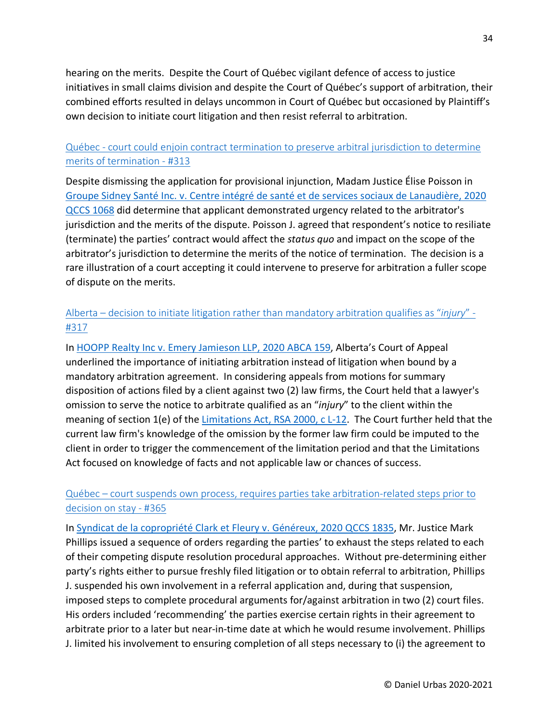hearing on the merits. Despite the Court of Québec vigilant defence of access to justice initiatives in small claims division and despite the Court of Québec's support of arbitration, their combined efforts resulted in delays uncommon in Court of Québec but occasioned by Plaintiff's own decision to initiate court litigation and then resist referral to arbitration.

## <span id="page-33-0"></span>Québec - [court could enjoin contract termination to preserve arbitral jurisdiction to determine](https://urbas.ca/?p=2382)  [merits of termination -](https://urbas.ca/?p=2382) #313

Despite dismissing the application for provisional injunction, Madam Justice Élise Poisson in [Groupe Sidney Santé Inc. v. Centre intégré de santé et de services sociaux de Lanaudière, 2020](https://www.canlii.org/fr/qc/qccs/doc/2020/2020qccs1068/2020qccs1068.html)  [QCCS 1068](https://www.canlii.org/fr/qc/qccs/doc/2020/2020qccs1068/2020qccs1068.html) did determine that applicant demonstrated urgency related to the arbitrator's jurisdiction and the merits of the dispute. Poisson J. agreed that respondent's notice to resiliate (terminate) the parties' contract would affect the *status quo* and impact on the scope of the arbitrator's jurisdiction to determine the merits of the notice of termination. The decision is a rare illustration of a court accepting it could intervene to preserve for arbitration a fuller scope of dispute on the merits.

# <span id="page-33-1"></span>Alberta – [decision to initiate litigation rather than mandatory arbitration qualifies as "](https://urbas.ca/?p=2404)*injury*" - [#317](https://urbas.ca/?p=2404)

In [HOOPP Realty Inc v. Emery Jamieson LLP, 2020 ABCA 159,](https://www.canlii.org/en/ab/abca/doc/2020/2020abca159/2020abca159.html) Alberta's Court of Appeal underlined the importance of initiating arbitration instead of litigation when bound by a mandatory arbitration agreement. In considering appeals from motions for summary disposition of actions filed by a client against two (2) law firms, the Court held that a lawyer's omission to serve the notice to arbitrate qualified as an "*injury*" to the client within the meaning of section 1(e) of the [Limitations Act, RSA 2000, c L-12.](https://www.canlii.org/en/ab/laws/stat/rsa-2000-c-l-12/latest/rsa-2000-c-l-12.html) The Court further held that the current law firm's knowledge of the omission by the former law firm could be imputed to the client in order to trigger the commencement of the limitation period and that the Limitations Act focused on knowledge of facts and not applicable law or chances of success.

## <span id="page-33-2"></span>Québec – [court suspends own process, requires parties take arbitration-related steps prior to](https://urbas.ca/?p=2581)  [decision on stay -](https://urbas.ca/?p=2581) #365

In [Syndicat de la copropriété Clark et Fleury v. Généreux, 2020 QCCS 1835,](https://www.canlii.org/fr/qc/qccs/doc/2020/2020qccs1835/2020qccs1835.html) Mr. Justice Mark Phillips issued a sequence of orders regarding the parties' to exhaust the steps related to each of their competing dispute resolution procedural approaches. Without pre-determining either party's rights either to pursue freshly filed litigation or to obtain referral to arbitration, Phillips J. suspended his own involvement in a referral application and, during that suspension, imposed steps to complete procedural arguments for/against arbitration in two (2) court files. His orders included 'recommending' the parties exercise certain rights in their agreement to arbitrate prior to a later but near-in-time date at which he would resume involvement. Phillips J. limited his involvement to ensuring completion of all steps necessary to (i) the agreement to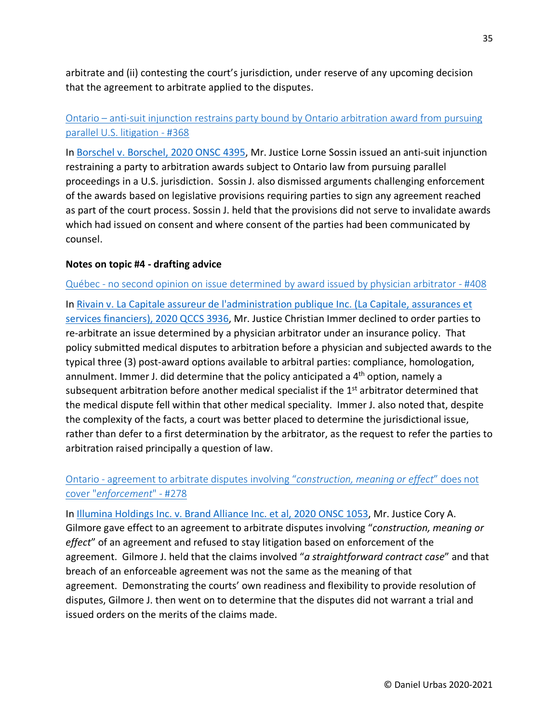arbitrate and (ii) contesting the court's jurisdiction, under reserve of any upcoming decision that the agreement to arbitrate applied to the disputes.

# <span id="page-34-0"></span>Ontario – [anti-suit injunction restrains party bound by Ontario arbitration award from pursuing](https://urbas.ca/?p=2588)  [parallel U.S. litigation -](https://urbas.ca/?p=2588) #368

In [Borschel v. Borschel, 2020 ONSC 4395,](https://www.canlii.org/en/on/onsc/doc/2020/2020onsc4395/2020onsc4395.html) Mr. Justice Lorne Sossin issued an anti-suit injunction restraining a party to arbitration awards subject to Ontario law from pursuing parallel proceedings in a U.S. jurisdiction. Sossin J. also dismissed arguments challenging enforcement of the awards based on legislative provisions requiring parties to sign any agreement reached as part of the court process. Sossin J. held that the provisions did not serve to invalidate awards which had issued on consent and where consent of the parties had been communicated by counsel.

#### <span id="page-34-1"></span>**Notes on topic #4 - drafting advice**

#### <span id="page-34-2"></span>Québec - [no second opinion on issue determined by award issued by physician arbitrator -](https://urbas.ca/?p=2863) #408

In [Rivain v. La Capitale assureur de l'administration publique Inc. \(La Capitale, assurances et](https://www.canlii.org/fr/qc/qccs/doc/2020/2020qccs3936/2020qccs3936.html)  [services financiers\), 2020 QCCS 3936,](https://www.canlii.org/fr/qc/qccs/doc/2020/2020qccs3936/2020qccs3936.html) Mr. Justice Christian Immer declined to order parties to re-arbitrate an issue determined by a physician arbitrator under an insurance policy. That policy submitted medical disputes to arbitration before a physician and subjected awards to the typical three (3) post-award options available to arbitral parties: compliance, homologation, annulment. Immer J. did determine that the policy anticipated a 4<sup>th</sup> option, namely a subsequent arbitration before another medical specialist if the 1<sup>st</sup> arbitrator determined that the medical dispute fell within that other medical speciality. Immer J. also noted that, despite the complexity of the facts, a court was better placed to determine the jurisdictional issue, rather than defer to a first determination by the arbitrator, as the request to refer the parties to arbitration raised principally a question of law.

## <span id="page-34-3"></span>Ontario - [agreement to arbitrate disputes involving "](https://urbas.ca/?p=2223)*construction, meaning or effect*" does not cover "*[enforcement](https://urbas.ca/?p=2223)*" - #278

In [Illumina Holdings Inc. v. Brand Alliance Inc. et al, 2020 ONSC 1053,](https://www.canlii.org/en/on/onsc/doc/2020/2020onsc1053/2020onsc1053.html) Mr. Justice Cory A. Gilmore gave effect to an agreement to arbitrate disputes involving "*construction, meaning or effect*" of an agreement and refused to stay litigation based on enforcement of the agreement. Gilmore J. held that the claims involved "*a straightforward contract case*" and that breach of an enforceable agreement was not the same as the meaning of that agreement. Demonstrating the courts' own readiness and flexibility to provide resolution of disputes, Gilmore J. then went on to determine that the disputes did not warrant a trial and issued orders on the merits of the claims made.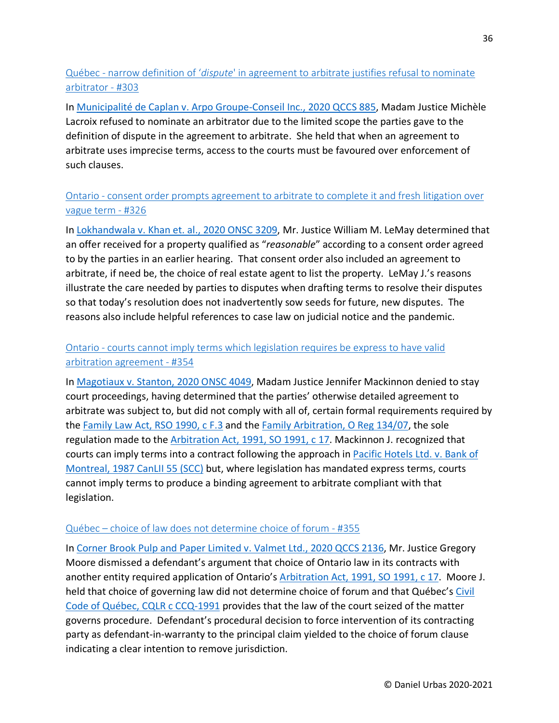# <span id="page-35-0"></span>Québec - narrow definition of '*dispute*[' in agreement to arbitrate justifies refusal to nominate](https://urbas.ca/?p=2328)  [arbitrator -](https://urbas.ca/?p=2328) #303

In [Municipalité de Caplan v. Arpo Groupe-Conseil Inc., 2020 QCCS 885,](https://www.canlii.org/fr/qc/qccs/doc/2020/2020qccs885/2020qccs885.html) Madam Justice Michèle Lacroix refused to nominate an arbitrator due to the limited scope the parties gave to the definition of dispute in the agreement to arbitrate. She held that when an agreement to arbitrate uses imprecise terms, access to the courts must be favoured over enforcement of such clauses.

# <span id="page-35-1"></span>Ontario - [consent order prompts agreement to arbitrate to complete it and fresh litigation over](https://urbas.ca/?p=2432)  [vague term -](https://urbas.ca/?p=2432) #326

In [Lokhandwala v. Khan et. al., 2020 ONSC 3209,](https://www.canlii.org/en/on/onsc/doc/2020/2020onsc3209/2020onsc3209.html) Mr. Justice William M. LeMay determined that an offer received for a property qualified as "*reasonable*" according to a consent order agreed to by the parties in an earlier hearing. That consent order also included an agreement to arbitrate, if need be, the choice of real estate agent to list the property. LeMay J.'s reasons illustrate the care needed by parties to disputes when drafting terms to resolve their disputes so that today's resolution does not inadvertently sow seeds for future, new disputes. The reasons also include helpful references to case law on judicial notice and the pandemic.

## <span id="page-35-2"></span>Ontario - [courts cannot imply terms which legislation requires be express to have valid](https://urbas.ca/?p=2540)  [arbitration agreement -](https://urbas.ca/?p=2540) #354

In [Magotiaux v. Stanton, 2020 ONSC 4049,](https://www.canlii.org/en/on/onsc/doc/2020/2020onsc4049/2020onsc4049.html) Madam Justice Jennifer Mackinnon denied to stay court proceedings, having determined that the parties' otherwise detailed agreement to arbitrate was subject to, but did not comply with all of, certain formal requirements required by the [Family Law Act, RSO 1990, c F.3](https://www.canlii.org/en/on/laws/stat/rso-1990-c-f3/latest/rso-1990-c-f3.html) and the [Family Arbitration, O Reg 134/07,](https://www.canlii.org/en/on/laws/regu/o-reg-134-07/latest/o-reg-134-07.html) the sole regulation made to the [Arbitration Act, 1991, SO 1991, c 17.](https://www.canlii.org/en/on/laws/stat/so-1991-c-17/latest/so-1991-c-17.html) Mackinnon J. recognized that courts can imply terms into a contract following the approach in [Pacific Hotels Ltd. v. Bank of](https://www.canlii.org/en/ca/scc/doc/1987/1987canlii55/1987canlii55.html)  [Montreal, 1987 CanLII 55 \(SCC\)](https://www.canlii.org/en/ca/scc/doc/1987/1987canlii55/1987canlii55.html) but, where legislation has mandated express terms, courts cannot imply terms to produce a binding agreement to arbitrate compliant with that legislation.

## <span id="page-35-3"></span>Québec – [choice of law does not determine choice of forum -](https://urbas.ca/?p=2542) #355

In [Corner Brook Pulp and Paper Limited v. Valmet Ltd., 2020 QCCS 2136,](https://www.canlii.org/en/qc/qccs/doc/2020/2020qccs2136/2020qccs2136.html) Mr. Justice Gregory Moore dismissed a defendant's argument that choice of Ontario law in its contracts with another entity required application of Ontario's [Arbitration Act, 1991, SO 1991, c 17.](https://www.canlii.org/en/on/laws/stat/so-1991-c-17/latest/so-1991-c-17.html) Moore J. held that choice of governing law did not determine choice of forum and that Québec's Civil [Code of Québec, CQLR c CCQ-1991](https://www.canlii.org/en/qc/laws/stat/cqlr-c-ccq-1991/latest/cqlr-c-ccq-1991.html) provides that the law of the court seized of the matter governs procedure. Defendant's procedural decision to force intervention of its contracting party as defendant-in-warranty to the principal claim yielded to the choice of forum clause indicating a clear intention to remove jurisdiction.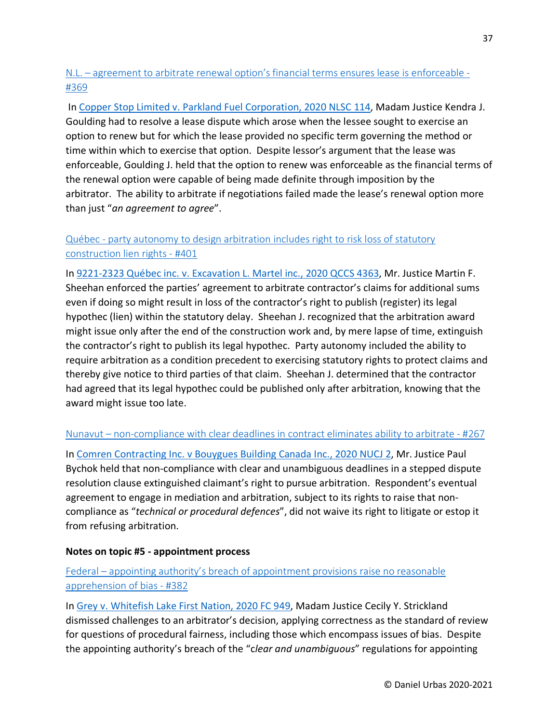## N.L. – [agreement to arbitrate renewal option's financial terms ensures lease is enforceable -](https://urbas.ca/?p=2597) [#369](https://urbas.ca/?p=2597)

In [Copper Stop Limited v. Parkland Fuel Corporation, 2020 NLSC 114,](https://www.canlii.org/en/nl/nlsc/doc/2020/2020nlsc114/2020nlsc114.html) Madam Justice Kendra J. Goulding had to resolve a lease dispute which arose when the lessee sought to exercise an option to renew but for which the lease provided no specific term governing the method or time within which to exercise that option. Despite lessor's argument that the lease was enforceable, Goulding J. held that the option to renew was enforceable as the financial terms of the renewal option were capable of being made definite through imposition by the arbitrator. The ability to arbitrate if negotiations failed made the lease's renewal option more than just "*an agreement to agree*".

# Québec - [party autonomy to design arbitration includes right to risk loss of statutory](https://urbas.ca/?p=2831)  [construction lien rights -](https://urbas.ca/?p=2831) #401

In [9221-2323 Québec inc. v. Excavation L. Martel inc., 2020 QCCS 4363,](https://www.canlii.org/fr/qc/qccs/doc/2020/2020qccs4363/2020qccs4363.html) Mr. Justice Martin F. Sheehan enforced the parties' agreement to arbitrate contractor's claims for additional sums even if doing so might result in loss of the contractor's right to publish (register) its legal hypothec (lien) within the statutory delay. Sheehan J. recognized that the arbitration award might issue only after the end of the construction work and, by mere lapse of time, extinguish the contractor's right to publish its legal hypothec. Party autonomy included the ability to require arbitration as a condition precedent to exercising statutory rights to protect claims and thereby give notice to third parties of that claim. Sheehan J. determined that the contractor had agreed that its legal hypothec could be published only after arbitration, knowing that the award might issue too late.

## Nunavut – [non-compliance with clear deadlines in contract eliminates ability to arbitrate -](https://urbas.ca/?p=2113) #267

In [Comren Contracting Inc. v Bouygues Building Canada Inc., 2020 NUCJ 2,](https://www.canlii.org/en/nu/nucj/doc/2020/2020nucj2/2020nucj2.html) Mr. Justice Paul Bychok held that non-compliance with clear and unambiguous deadlines in a stepped dispute resolution clause extinguished claimant's right to pursue arbitration. Respondent's eventual agreement to engage in mediation and arbitration, subject to its rights to raise that noncompliance as "*technical or procedural defences*", did not waive its right to litigate or estop it from refusing arbitration.

#### **Notes on topic #5 - appointment process**

## Federal – [appointing authority's breach of appointment provisions raise no reasonable](https://urbas.ca/?p=2698)  [apprehension of bias -](https://urbas.ca/?p=2698) #382

In [Grey v. Whitefish Lake First Nation, 2020 FC 949,](https://www.canlii.org/en/ca/fct/doc/2020/2020fc949/2020fc949.html) Madam Justice Cecily Y. Strickland dismissed challenges to an arbitrator's decision, applying correctness as the standard of review for questions of procedural fairness, including those which encompass issues of bias. Despite the appointing authority's breach of the "c*lear and unambiguous*" regulations for appointing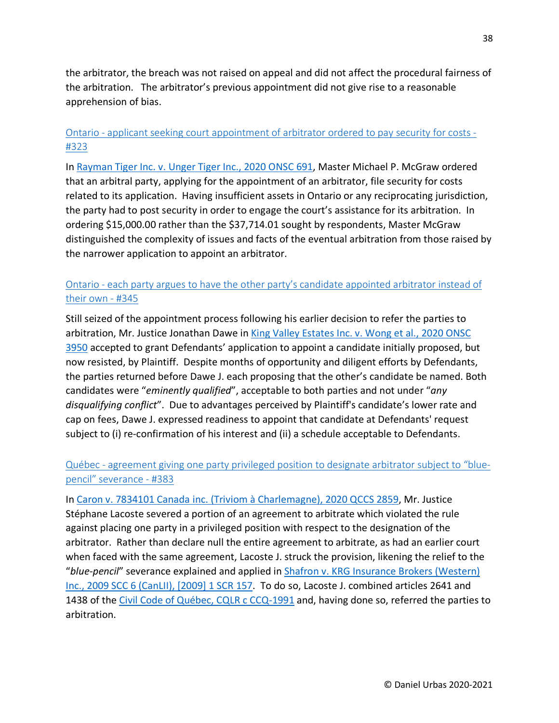the arbitrator, the breach was not raised on appeal and did not affect the procedural fairness of the arbitration. The arbitrator's previous appointment did not give rise to a reasonable apprehension of bias.

## Ontario - [applicant seeking court appointment of arbitrator ordered to pay security for costs -](https://urbas.ca/?p=2424) [#323](https://urbas.ca/?p=2424)

In [Rayman Tiger Inc. v. Unger Tiger Inc., 2020 ONSC 691,](https://www.canlii.org/en/on/onsc/doc/2020/2020onsc691/2020onsc691.html) Master Michael P. McGraw ordered that an arbitral party, applying for the appointment of an arbitrator, file security for costs related to its application. Having insufficient assets in Ontario or any reciprocating jurisdiction, the party had to post security in order to engage the court's assistance for its arbitration. In ordering \$15,000.00 rather than the \$37,714.01 sought by respondents, Master McGraw distinguished the complexity of issues and facts of the eventual arbitration from those raised by the narrower application to appoint an arbitrator.

# Ontario - [each party argues to have the other party's candidate appointed arbitrator instead of](https://urbas.ca/?p=2502)  [their own -](https://urbas.ca/?p=2502) #345

Still seized of the appointment process following his earlier decision to refer the parties to arbitration, Mr. Justice Jonathan Dawe in [King Valley Estates Inc. v. Wong et al., 2020 ONSC](https://www.canlii.org/en/on/onsc/doc/2020/2020onsc3950/2020onsc3950.html)  [3950](https://www.canlii.org/en/on/onsc/doc/2020/2020onsc3950/2020onsc3950.html) accepted to grant Defendants' application to appoint a candidate initially proposed, but now resisted, by Plaintiff. Despite months of opportunity and diligent efforts by Defendants, the parties returned before Dawe J. each proposing that the other's candidate be named. Both candidates were "*eminently qualified*", acceptable to both parties and not under "*any disqualifying conflict*". Due to advantages perceived by Plaintiff's candidate's lower rate and cap on fees, Dawe J. expressed readiness to appoint that candidate at Defendants' request subject to (i) re-confirmation of his interest and (ii) a schedule acceptable to Defendants.

# Québec - [agreement giving one party privileged position to designate arbitrator subject to "blue](https://urbas.ca/?p=2700)[pencil" severance -](https://urbas.ca/?p=2700) #383

In [Caron v. 7834101 Canada inc. \(Triviom à Charlemagne\), 2020 QCCS 2859,](https://www.canlii.org/fr/qc/qccs/doc/2020/2020qccs2859/2020qccs2859.html) Mr. Justice Stéphane Lacoste severed a portion of an agreement to arbitrate which violated the rule against placing one party in a privileged position with respect to the designation of the arbitrator. Rather than declare null the entire agreement to arbitrate, as had an earlier court when faced with the same agreement, Lacoste J. struck the provision, likening the relief to the "*blue-pencil*" severance explained and applied in [Shafron v. KRG Insurance Brokers \(Western\)](https://www.canlii.org/en/ca/scc/doc/2009/2009scc6/2009scc6.html)  [Inc., 2009 SCC 6 \(CanLII\), \[2009\] 1 SCR 157.](https://www.canlii.org/en/ca/scc/doc/2009/2009scc6/2009scc6.html) To do so, Lacoste J. combined articles 2641 and 1438 of the [Civil Code of Québec, CQLR c CCQ-1991](https://www.canlii.org/en/qc/laws/stat/cqlr-c-ccq-1991/latest/cqlr-c-ccq-1991.html) and, having done so, referred the parties to arbitration.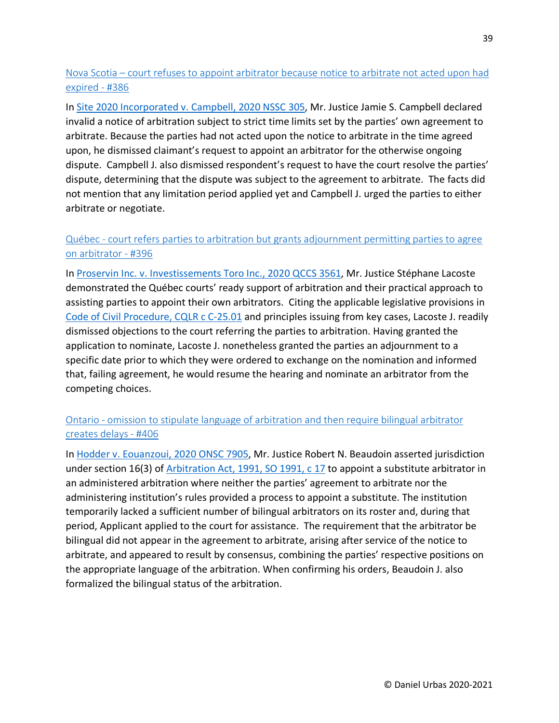Nova Scotia – [court refuses to appoint arbitrator because notice to arbitrate not acted upon had](https://urbas.ca/?p=2720)  [expired -](https://urbas.ca/?p=2720) #386

In [Site 2020 Incorporated v. Campbell, 2020 NSSC 305,](https://www.canlii.org/en/ns/nssc/doc/2020/2020nssc305/2020nssc305.html) Mr. Justice Jamie S. Campbell declared invalid a notice of arbitration subject to strict time limits set by the parties' own agreement to arbitrate. Because the parties had not acted upon the notice to arbitrate in the time agreed upon, he dismissed claimant's request to appoint an arbitrator for the otherwise ongoing dispute. Campbell J. also dismissed respondent's request to have the court resolve the parties' dispute, determining that the dispute was subject to the agreement to arbitrate. The facts did not mention that any limitation period applied yet and Campbell J. urged the parties to either arbitrate or negotiate.

# Québec - court refers parties [to arbitration but grants adjournment permitting parties to agree](https://urbas.ca/?p=2767)  [on arbitrator -](https://urbas.ca/?p=2767) #396

In [Proservin Inc. v. Investissements Toro Inc., 2020 QCCS 3561,](https://www.canlii.org/fr/qc/qccs/doc/2020/2020qccs3561/2020qccs3561.html) Mr. Justice Stéphane Lacoste demonstrated the Québec courts' ready support of arbitration and their practical approach to assisting parties to appoint their own arbitrators. Citing the applicable legislative provisions in [Code of Civil Procedure, CQLR c C-25.01](https://www.canlii.org/en/qc/laws/stat/rsq-c-c-25.01/latest/) and principles issuing from key cases, Lacoste J. readily dismissed objections to the court referring the parties to arbitration. Having granted the application to nominate, Lacoste J. nonetheless granted the parties an adjournment to a specific date prior to which they were ordered to exchange on the nomination and informed that, failing agreement, he would resume the hearing and nominate an arbitrator from the competing choices.

# Ontario - [omission to stipulate language of arbitration and then require bilingual arbitrator](https://urbas.ca/?p=2854)  [creates delays -](https://urbas.ca/?p=2854) #406

In [Hodder v. Eouanzoui, 2020 ONSC 7905,](https://www.canlii.org/en/on/onsc/doc/2020/2020onsc7905/2020onsc7905.html) Mr. Justice Robert N. Beaudoin asserted jurisdiction under section 16(3) of [Arbitration Act, 1991, SO 1991, c 17](https://www.canlii.org/en/on/laws/stat/so-1991-c-17/latest/so-1991-c-17.html) to appoint a substitute arbitrator in an administered arbitration where neither the parties' agreement to arbitrate nor the administering institution's rules provided a process to appoint a substitute. The institution temporarily lacked a sufficient number of bilingual arbitrators on its roster and, during that period, Applicant applied to the court for assistance. The requirement that the arbitrator be bilingual did not appear in the agreement to arbitrate, arising after service of the notice to arbitrate, and appeared to result by consensus, combining the parties' respective positions on the appropriate language of the arbitration. When confirming his orders, Beaudoin J. also formalized the bilingual status of the arbitration.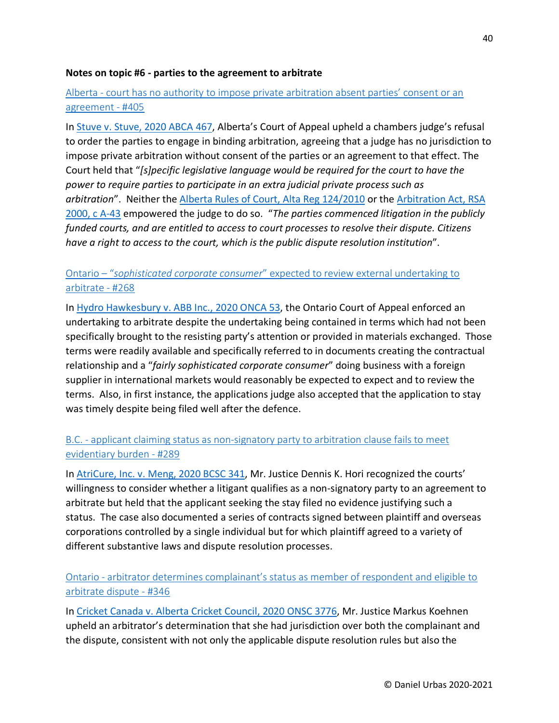#### **Notes on topic #6 - parties to the agreement to arbitrate**

### Alberta - [court has no authority to impose private arbitration absent parties' consent or an](https://urbas.ca/?p=2850)  [agreement -](https://urbas.ca/?p=2850) #405

In [Stuve v. Stuve, 2020 ABCA 467,](https://www.canlii.org/en/ab/abca/doc/2020/2020abca467/2020abca467.html) Alberta's Court of Appeal upheld a chambers judge's refusal to order the parties to engage in binding arbitration, agreeing that a judge has no jurisdiction to impose private arbitration without consent of the parties or an agreement to that effect. The Court held that "*[s]pecific legislative language would be required for the court to have the power to require parties to participate in an extra judicial private process such as arbitration*". Neither the [Alberta Rules of Court, Alta Reg 124/2010](https://www.canlii.org/en/ab/laws/regu/alta-reg-124-2010/latest/alta-reg-124-2010.html#sec4.16_smooth) or the [Arbitration Act, RSA](https://www.canlii.org/en/ab/laws/stat/rsa-2000-c-a-43/latest/rsa-2000-c-a-43.html)  [2000, c A-43](https://www.canlii.org/en/ab/laws/stat/rsa-2000-c-a-43/latest/rsa-2000-c-a-43.html) empowered the judge to do so. "*The parties commenced litigation in the publicly funded courts, and are entitled to access to court processes to resolve their dispute. Citizens have a right to access to the court, which is the public dispute resolution institution*".

#### Ontario – "*sophisticated corporate consumer*[" expected to review external undertaking to](https://urbas.ca/?p=2119)  [arbitrate -](https://urbas.ca/?p=2119) #268

In [Hydro Hawkesbury v. ABB Inc., 2020 ONCA 53,](https://www.canlii.org/en/on/onca/doc/2020/2020onca53/2020onca53.html) the Ontario Court of Appeal enforced an undertaking to arbitrate despite the undertaking being contained in terms which had not been specifically brought to the resisting party's attention or provided in materials exchanged. Those terms were readily available and specifically referred to in documents creating the contractual relationship and a "*fairly sophisticated corporate consumer*" doing business with a foreign supplier in international markets would reasonably be expected to expect and to review the terms. Also, in first instance, the applications judge also accepted that the application to stay was timely despite being filed well after the defence.

#### B.C. - [applicant claiming status as non-signatory party to arbitration clause fails to meet](https://urbas.ca/?p=2273)  [evidentiary burden -](https://urbas.ca/?p=2273) #289

In [AtriCure, Inc. v. Meng, 2020 BCSC 341,](https://www.canlii.org/en/bc/bcsc/doc/2020/2020bcsc341/2020bcsc341.html) Mr. Justice Dennis K. Hori recognized the courts' willingness to consider whether a litigant qualifies as a non-signatory party to an agreement to arbitrate but held that the applicant seeking the stay filed no evidence justifying such a status. The case also documented a series of contracts signed between plaintiff and overseas corporations controlled by a single individual but for which plaintiff agreed to a variety of different substantive laws and dispute resolution processes.

#### Ontario - [arbitrator determines complainant's status as member of respondent and eligible to](https://urbas.ca/?p=2505)  [arbitrate dispute -](https://urbas.ca/?p=2505) #346

In [Cricket Canada v. Alberta Cricket Council, 2020 ONSC 3776,](https://www.canlii.org/en/on/onsc/doc/2020/2020onsc3776/2020onsc3776.html) Mr. Justice Markus Koehnen upheld an arbitrator's determination that she had jurisdiction over both the complainant and the dispute, consistent with not only the applicable dispute resolution rules but also the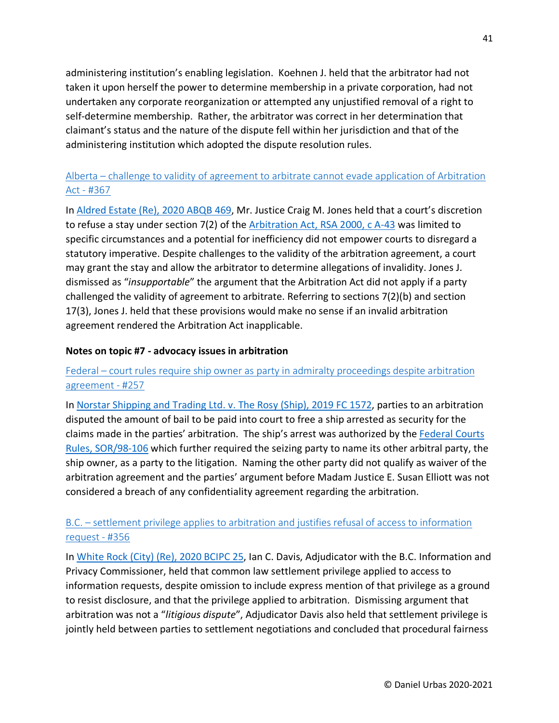administering institution's enabling legislation. Koehnen J. held that the arbitrator had not taken it upon herself the power to determine membership in a private corporation, had not undertaken any corporate reorganization or attempted any unjustified removal of a right to self-determine membership. Rather, the arbitrator was correct in her determination that claimant's status and the nature of the dispute fell within her jurisdiction and that of the administering institution which adopted the dispute resolution rules.

## Alberta – [challenge to validity of agreement to arbitrate cannot evade application of Arbitration](https://urbas.ca/?p=2586)  Act - [#367](https://urbas.ca/?p=2586)

In [Aldred Estate \(Re\), 2020 ABQB 469,](https://www.canlii.org/en/ab/abqb/doc/2020/2020abqb469/2020abqb469.html) Mr. Justice Craig M. Jones held that a court's discretion to refuse a stay under section 7(2) of the [Arbitration Act, RSA 2000, c A-43](https://www.canlii.org/en/ab/laws/stat/rsa-2000-c-a-43/latest/rsa-2000-c-a-43.html) was limited to specific circumstances and a potential for inefficiency did not empower courts to disregard a statutory imperative. Despite challenges to the validity of the arbitration agreement, a court may grant the stay and allow the arbitrator to determine allegations of invalidity. Jones J. dismissed as "*insupportable*" the argument that the Arbitration Act did not apply if a party challenged the validity of agreement to arbitrate. Referring to sections 7(2)(b) and section 17(3), Jones J. held that these provisions would make no sense if an invalid arbitration agreement rendered the Arbitration Act inapplicable.

#### **Notes on topic #7 - advocacy issues in arbitration**

#### Federal – [court rules require ship owner as party in admiralty proceedings despite arbitration](https://urbas.ca/?p=1852)  [agreement -](https://urbas.ca/?p=1852) #257

In [Norstar Shipping and Trading Ltd. v. The Rosy \(Ship\), 2019 FC 1572,](https://www.canlii.org/en/ca/fct/doc/2019/2019fc1572/2019fc1572.html) parties to an arbitration disputed the amount of bail to be paid into court to free a ship arrested as security for the claims made in the parties' arbitration. The ship's arrest was authorized by the [Federal Courts](https://www.canlii.org/en/ca/laws/regu/sor-98-106/latest/sor-98-106.html)  [Rules, SOR/98-106](https://www.canlii.org/en/ca/laws/regu/sor-98-106/latest/sor-98-106.html) which further required the seizing party to name its other arbitral party, the ship owner, as a party to the litigation. Naming the other party did not qualify as waiver of the arbitration agreement and the parties' argument before Madam Justice E. Susan Elliott was not considered a breach of any confidentiality agreement regarding the arbitration.

#### B.C. – [settlement privilege applies to arbitration and justifies refusal of access to information](https://urbas.ca/?p=2544)  [request -](https://urbas.ca/?p=2544) #356

In [White Rock \(City\) \(Re\), 2020 BCIPC 25,](https://www.canlii.org/en/bc/bcipc/doc/2020/2020bcipc25/2020bcipc25.html) Ian C. Davis, Adjudicator with the B.C. Information and Privacy Commissioner, held that common law settlement privilege applied to access to information requests, despite omission to include express mention of that privilege as a ground to resist disclosure, and that the privilege applied to arbitration. Dismissing argument that arbitration was not a "*litigious dispute*", Adjudicator Davis also held that settlement privilege is jointly held between parties to settlement negotiations and concluded that procedural fairness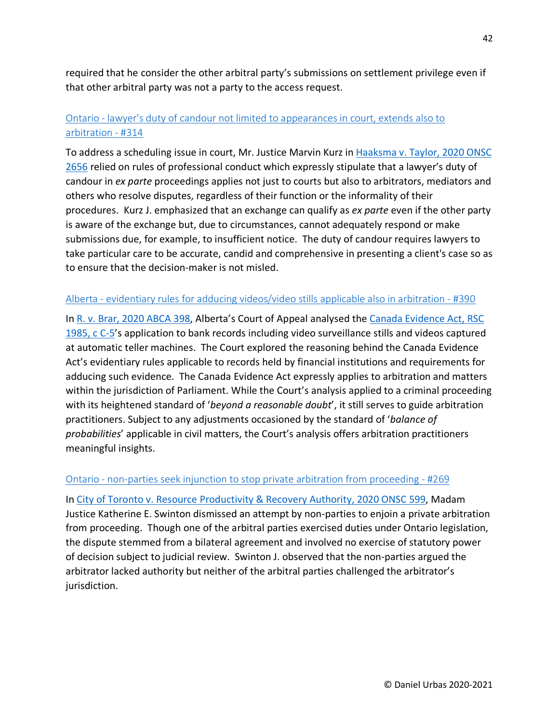required that he consider the other arbitral party's submissions on settlement privilege even if that other arbitral party was not a party to the access request.

# Ontario - [lawyer's duty of candour not limited to](https://urbas.ca/?p=2388) appearances in court, extends also to [arbitration -](https://urbas.ca/?p=2388) #314

To address a scheduling issue in court, Mr. Justice Marvin Kurz in [Haaksma v. Taylor, 2020 ONSC](https://www.canlii.org/en/on/onsc/doc/2020/2020onsc2656/2020onsc2656.html)  [2656](https://www.canlii.org/en/on/onsc/doc/2020/2020onsc2656/2020onsc2656.html) relied on rules of professional conduct which expressly stipulate that a lawyer's duty of candour in *ex parte* proceedings applies not just to courts but also to arbitrators, mediators and others who resolve disputes, regardless of their function or the informality of their procedures. Kurz J. emphasized that an exchange can qualify as *ex parte* even if the other party is aware of the exchange but, due to circumstances, cannot adequately respond or make submissions due, for example, to insufficient notice. The duty of candour requires lawyers to take particular care to be accurate, candid and comprehensive in presenting a client's case so as to ensure that the decision-maker is not misled.

#### Alberta - [evidentiary rules for adducing videos/video stills applicable also in arbitration -](https://urbas.ca/?p=2743) #390

In [R. v. Brar, 2020 ABCA 398,](https://www.canlii.org/en/ab/abca/doc/2020/2020abca398/2020abca398.html) Alberta's Court of Appeal analysed th[e Canada Evidence Act, RSC](https://www.canlii.org/en/ca/laws/stat/rsc-1985-c-c-5/latest/rsc-1985-c-c-5.html)  [1985, c C-5'](https://www.canlii.org/en/ca/laws/stat/rsc-1985-c-c-5/latest/rsc-1985-c-c-5.html)s application to bank records including video surveillance stills and videos captured at automatic teller machines. The Court explored the reasoning behind the Canada Evidence Act's evidentiary rules applicable to records held by financial institutions and requirements for adducing such evidence. The Canada Evidence Act expressly applies to arbitration and matters within the jurisdiction of Parliament. While the Court's analysis applied to a criminal proceeding with its heightened standard of '*beyond a reasonable doubt*', it still serves to guide arbitration practitioners. Subject to any adjustments occasioned by the standard of '*balance of probabilities*' applicable in civil matters, the Court's analysis offers arbitration practitioners meaningful insights.

#### Ontario - [non-parties seek injunction to stop private arbitration from proceeding -](https://urbas.ca/?p=2127) #269

In [City of Toronto v. Resource Productivity & Recovery Authority, 2020 ONSC 599,](https://www.canlii.org/en/on/onscdc/doc/2020/2020onsc599/2020onsc599.html) Madam Justice Katherine E. Swinton dismissed an attempt by non-parties to enjoin a private arbitration from proceeding. Though one of the arbitral parties exercised duties under Ontario legislation, the dispute stemmed from a bilateral agreement and involved no exercise of statutory power of decision subject to judicial review. Swinton J. observed that the non-parties argued the arbitrator lacked authority but neither of the arbitral parties challenged the arbitrator's jurisdiction.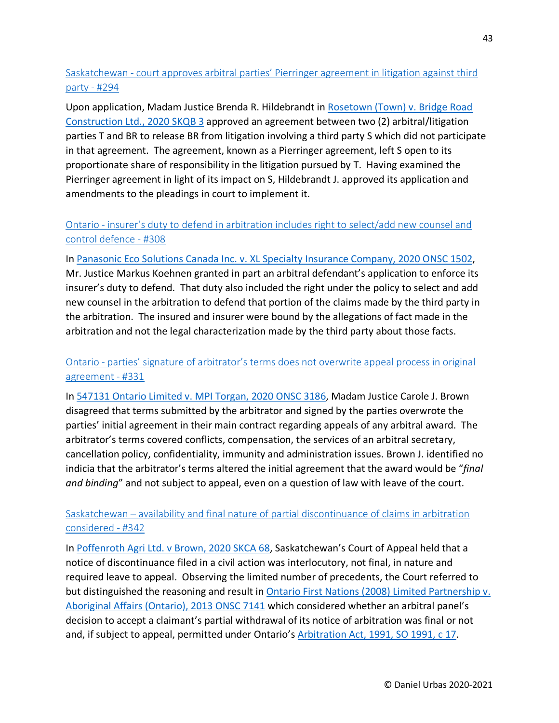Saskatchewan - [court approves arbitral parties' Pierringer agreement in litigation against third](https://urbas.ca/?p=2292)  [party -](https://urbas.ca/?p=2292) #294

Upon application, Madam Justice Brenda R. Hildebrandt in [Rosetown \(Town\) v. Bridge Road](https://www.canlii.org/en/sk/skqb/doc/2020/2020skqb3/2020skqb3.html)  [Construction Ltd., 2020 SKQB 3](https://www.canlii.org/en/sk/skqb/doc/2020/2020skqb3/2020skqb3.html) approved an agreement between two (2) arbitral/litigation parties T and BR to release BR from litigation involving a third party S which did not participate in that agreement. The agreement, known as a Pierringer agreement, left S open to its proportionate share of responsibility in the litigation pursued by T. Having examined the Pierringer agreement in light of its impact on S, Hildebrandt J. approved its application and amendments to the pleadings in court to implement it.

## Ontario - [insurer's duty to defend in arbitration includes right to select/add new counsel and](https://urbas.ca/?p=2357)  [control defence -](https://urbas.ca/?p=2357) #308

In [Panasonic Eco Solutions Canada Inc. v. XL Specialty Insurance Company, 2020 ONSC 1502,](https://www.canlii.org/en/on/onsc/doc/2020/2020onsc1502/2020onsc1502.html) Mr. Justice Markus Koehnen granted in part an arbitral defendant's application to enforce its insurer's duty to defend. That duty also included the right under the policy to select and add new counsel in the arbitration to defend that portion of the claims made by the third party in the arbitration. The insured and insurer were bound by the allegations of fact made in the arbitration and not the legal characterization made by the third party about those facts.

## Ontario - [parties' signature of arbitrator's terms does not overwrite appeal process in original](https://urbas.ca/?p=2445)  [agreement -](https://urbas.ca/?p=2445) #331

In [547131 Ontario Limited v. MPI Torgan, 2020 ONSC 3186,](https://www.canlii.org/en/on/onsc/doc/2020/2020onsc3186/2020onsc3186.html) Madam Justice Carole J. Brown disagreed that terms submitted by the arbitrator and signed by the parties overwrote the parties' initial agreement in their main contract regarding appeals of any arbitral award. The arbitrator's terms covered conflicts, compensation, the services of an arbitral secretary, cancellation policy, confidentiality, immunity and administration issues. Brown J. identified no indicia that the arbitrator's terms altered the initial agreement that the award would be "*final and binding*" and not subject to appeal, even on a question of law with leave of the court.

#### Saskatchewan – [availability and final nature of partial discontinuance of claims in arbitration](https://urbas.ca/?p=2493)  [considered -](https://urbas.ca/?p=2493) #342

In [Poffenroth Agri Ltd. v Brown, 2020 SKCA 68,](https://www.canlii.org/en/sk/skca/doc/2020/2020skca68/2020skca68.html) Saskatchewan's Court of Appeal held that a notice of discontinuance filed in a civil action was interlocutory, not final, in nature and required leave to appeal. Observing the limited number of precedents, the Court referred to but distinguished the reasoning and result in Ontario First Nations (2008) Limited Partnership v. [Aboriginal Affairs \(Ontario\), 2013 ONSC 7141](https://www.canlii.org/en/on/onsc/doc/2013/2013onsc7141/2013onsc7141.html) which considered whether an arbitral panel's decision to accept a claimant's partial withdrawal of its notice of arbitration was final or not and, if subject to appeal, permitted under Ontario's [Arbitration Act, 1991, SO 1991, c 17.](https://www.canlii.org/en/on/laws/stat/so-1991-c-17/latest/so-1991-c-17.html)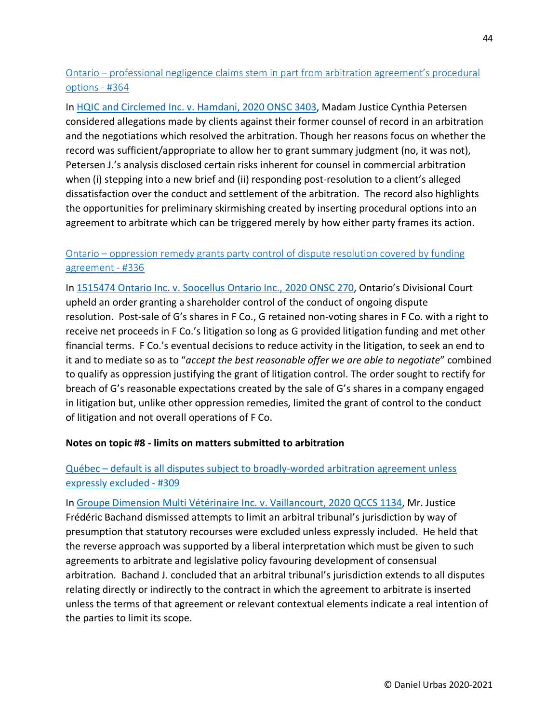Ontario – [professional negligence claims stem in part from arbitration agreement's procedural](https://urbas.ca/?p=2579)  [options -](https://urbas.ca/?p=2579) #364

In [HQIC and Circlemed Inc. v. Hamdani, 2020 ONSC 3403,](https://www.canlii.org/en/on/onsc/doc/2020/2020onsc3403/2020onsc3403.html) Madam Justice Cynthia Petersen considered allegations made by clients against their former counsel of record in an arbitration and the negotiations which resolved the arbitration. Though her reasons focus on whether the record was sufficient/appropriate to allow her to grant summary judgment (no, it was not), Petersen J.'s analysis disclosed certain risks inherent for counsel in commercial arbitration when (i) stepping into a new brief and (ii) responding post-resolution to a client's alleged dissatisfaction over the conduct and settlement of the arbitration. The record also highlights the opportunities for preliminary skirmishing created by inserting procedural options into an agreement to arbitrate which can be triggered merely by how either party frames its action.

## Ontario – [oppression remedy grants party control of dispute resolution covered by funding](https://urbas.ca/?p=2468)  [agreement -](https://urbas.ca/?p=2468) #336

In [1515474 Ontario Inc. v. Soocellus Ontario Inc., 2020 ONSC 270,](https://www.canlii.org/en/on/onscdc/doc/2020/2020onsc270/2020onsc270.html) Ontario's Divisional Court upheld an order granting a shareholder control of the conduct of ongoing dispute resolution. Post-sale of G's shares in F Co., G retained non-voting shares in F Co. with a right to receive net proceeds in F Co.'s litigation so long as G provided litigation funding and met other financial terms. F Co.'s eventual decisions to reduce activity in the litigation, to seek an end to it and to mediate so as to "*accept the best reasonable offer we are able to negotiate*" combined to qualify as oppression justifying the grant of litigation control. The order sought to rectify for breach of G's reasonable expectations created by the sale of G's shares in a company engaged in litigation but, unlike other oppression remedies, limited the grant of control to the conduct of litigation and not overall operations of F Co.

#### **Notes on topic #8 - limits on matters submitted to arbitration**

### Québec – [default is all disputes subject to broadly-worded arbitration agreement unless](https://urbas.ca/?p=2373)  [expressly excluded -](https://urbas.ca/?p=2373) #309

In [Groupe Dimension Multi Vétérinaire Inc. v. Vaillancourt, 2020 QCCS 1134,](https://www.canlii.org/fr/qc/qccs/doc/2020/2020qccs1134/2020qccs1134.html) Mr. Justice Frédéric Bachand dismissed attempts to limit an arbitral tribunal's jurisdiction by way of presumption that statutory recourses were excluded unless expressly included. He held that the reverse approach was supported by a liberal interpretation which must be given to such agreements to arbitrate and legislative policy favouring development of consensual arbitration. Bachand J. concluded that an arbitral tribunal's jurisdiction extends to all disputes relating directly or indirectly to the contract in which the agreement to arbitrate is inserted unless the terms of that agreement or relevant contextual elements indicate a real intention of the parties to limit its scope.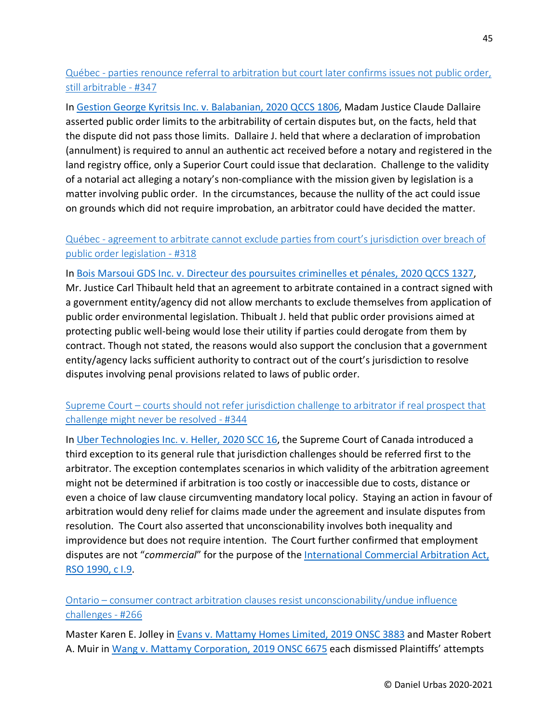## Québec - [parties renounce referral to arbitration but court later confirms issues not public order,](https://urbas.ca/?p=2508)  [still arbitrable -](https://urbas.ca/?p=2508) #347

In [Gestion George Kyritsis Inc. v. Balabanian, 2020 QCCS 1806,](https://www.canlii.org/fr/qc/qccs/doc/2020/2020qccs1806/2020qccs1806.html) Madam Justice Claude Dallaire asserted public order limits to the arbitrability of certain disputes but, on the facts, held that the dispute did not pass those limits. Dallaire J. held that where a declaration of improbation (annulment) is required to annul an authentic act received before a notary and registered in the land registry office, only a Superior Court could issue that declaration. Challenge to the validity of a notarial act alleging a notary's non-compliance with the mission given by legislation is a matter involving public order. In the circumstances, because the nullity of the act could issue on grounds which did not require improbation, an arbitrator could have decided the matter.

# Québec - [agreement to arbitrate cannot exclude parties from court's jurisdiction over breach of](https://urbas.ca/?p=2408)  [public order legislation -](https://urbas.ca/?p=2408) #318

In [Bois Marsoui GDS Inc. v. Directeur des poursuites criminelles et pénales, 2020 QCCS 1327,](https://www.canlii.org/fr/qc/qccs/doc/2020/2020qccs1327/2020qccs1327.html) Mr. Justice Carl Thibault held that an agreement to arbitrate contained in a contract signed with a government entity/agency did not allow merchants to exclude themselves from application of public order environmental legislation. Thibualt J. held that public order provisions aimed at protecting public well-being would lose their utility if parties could derogate from them by contract. Though not stated, the reasons would also support the conclusion that a government entity/agency lacks sufficient authority to contract out of the court's jurisdiction to resolve disputes involving penal provisions related to laws of public order.

## Supreme Court – [courts should not refer jurisdiction challenge to arbitrator if real prospect that](https://urbas.ca/?p=2499)  [challenge might never be resolved -](https://urbas.ca/?p=2499) #344

In [Uber Technologies Inc. v. Heller, 2020 SCC 16,](https://www.canlii.org/en/ca/scc/doc/2020/2020scc16/2020scc16.html) the Supreme Court of Canada introduced a third exception to its general rule that jurisdiction challenges should be referred first to the arbitrator. The exception contemplates scenarios in which validity of the arbitration agreement might not be determined if arbitration is too costly or inaccessible due to costs, distance or even a choice of law clause circumventing mandatory local policy. Staying an action in favour of arbitration would deny relief for claims made under the agreement and insulate disputes from resolution. The Court also asserted that unconscionability involves both inequality and improvidence but does not require intention. The Court further confirmed that employment disputes are not "*commercial*" for the purpose of the [International Commercial Arbitration Act,](https://www.canlii.org/en/on/laws/stat/rso-1990-c-i9/latest/rso-1990-c-i9.html)  [RSO 1990, c I.9.](https://www.canlii.org/en/on/laws/stat/rso-1990-c-i9/latest/rso-1990-c-i9.html)

## Ontario – [consumer contract arbitration clauses resist unconscionability/undue influence](https://urbas.ca/?p=1922)  [challenges -](https://urbas.ca/?p=1922) #266

Master Karen E. Jolley in [Evans v. Mattamy Homes Limited, 2019 ONSC 3883](https://www.canlii.org/en/on/onsc/doc/2019/2019onsc3883/2019onsc3883.html) and Master Robert A. Muir i[n Wang v. Mattamy Corporation, 2019 ONSC 6675](https://www.canlii.org/en/on/onsc/doc/2019/2019onsc6675/2019onsc6675.html) each dismissed Plaintiffs' attempts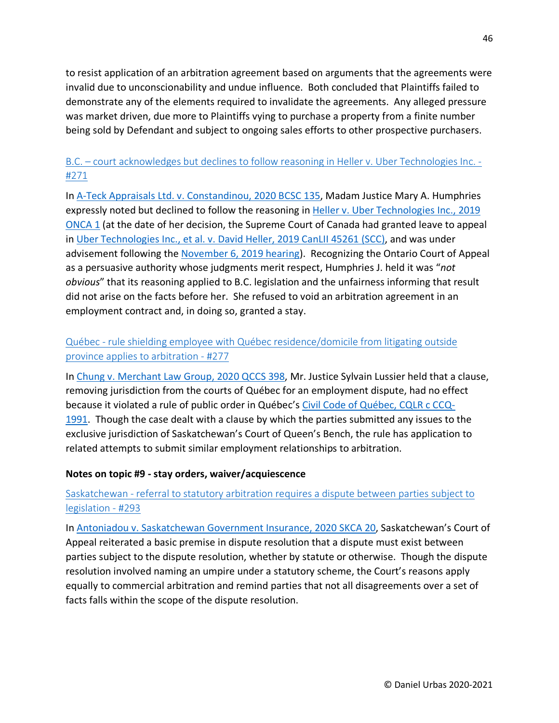to resist application of an arbitration agreement based on arguments that the agreements were invalid due to unconscionability and undue influence. Both concluded that Plaintiffs failed to demonstrate any of the elements required to invalidate the agreements. Any alleged pressure was market driven, due more to Plaintiffs vying to purchase a property from a finite number being sold by Defendant and subject to ongoing sales efforts to other prospective purchasers.

# B.C. – [court acknowledges but declines to follow reasoning in Heller v. Uber Technologies Inc. -](https://urbas.ca/?p=2196) [#271](https://urbas.ca/?p=2196)

In [A-Teck Appraisals Ltd. v. Constandinou, 2020 BCSC 135,](https://www.canlii.org/en/bc/bcsc/doc/2020/2020bcsc135/2020bcsc135.html) Madam Justice Mary A. Humphries expressly noted but declined to follow the reasoning in [Heller v. Uber Technologies Inc., 2019](https://www.canlii.org/en/on/onca/doc/2019/2019onca1/2019onca1.html)  [ONCA 1](https://www.canlii.org/en/on/onca/doc/2019/2019onca1/2019onca1.html) (at the date of her decision, the Supreme Court of Canada had granted leave to appeal in [Uber Technologies Inc., et al. v. David Heller, 2019 CanLII 45261 \(SCC\),](https://www.canlii.org/en/ca/scc-l/doc/2019/2019canlii45261/2019canlii45261.html) and was under advisement following the [November 6, 2019 hearing\)](https://www.scc-csc.ca/case-dossier/info/webcastview-webdiffusionvue-eng.aspx?cas=38534&id=2019/2019-11-06--38534&date=2019-11-06). Recognizing the Ontario Court of Appeal as a persuasive authority whose judgments merit respect, Humphries J. held it was "*not obvious*" that its reasoning applied to B.C. legislation and the unfairness informing that result did not arise on the facts before her. She refused to void an arbitration agreement in an employment contract and, in doing so, granted a stay.

# Québec - [rule shielding employee with Québec residence/domicile from litigating outside](https://urbas.ca/?p=2221)  [province applies to arbitration -](https://urbas.ca/?p=2221) #277

In [Chung v. Merchant Law Group, 2020 QCCS 398,](https://www.canlii.org/en/qc/qccs/doc/2020/2020qccs398/2020qccs398.html) Mr. Justice Sylvain Lussier held that a clause, removing jurisdiction from the courts of Québec for an employment dispute, had no effect because it violated a rule of public order in Québec's [Civil Code of Québec, CQLR c CCQ-](https://www.canlii.org/en/qc/laws/stat/cqlr-c-ccq-1991/latest/cqlr-c-ccq-1991.html)[1991.](https://www.canlii.org/en/qc/laws/stat/cqlr-c-ccq-1991/latest/cqlr-c-ccq-1991.html) Though the case dealt with a clause by which the parties submitted any issues to the exclusive jurisdiction of Saskatchewan's Court of Queen's Bench, the rule has application to related attempts to submit similar employment relationships to arbitration.

#### **Notes on topic #9 - stay orders, waiver/acquiescence**

## Saskatchewan - [referral to statutory arbitration requires a dispute between parties subject to](https://urbas.ca/?p=2290)  [legislation -](https://urbas.ca/?p=2290) #293

In [Antoniadou v. Saskatchewan Government Insurance, 2020 SKCA 20,](https://www.canlii.org/en/sk/skca/doc/2020/2020skca20/2020skca20.html) Saskatchewan's Court of Appeal reiterated a basic premise in dispute resolution that a dispute must exist between parties subject to the dispute resolution, whether by statute or otherwise. Though the dispute resolution involved naming an umpire under a statutory scheme, the Court's reasons apply equally to commercial arbitration and remind parties that not all disagreements over a set of facts falls within the scope of the dispute resolution.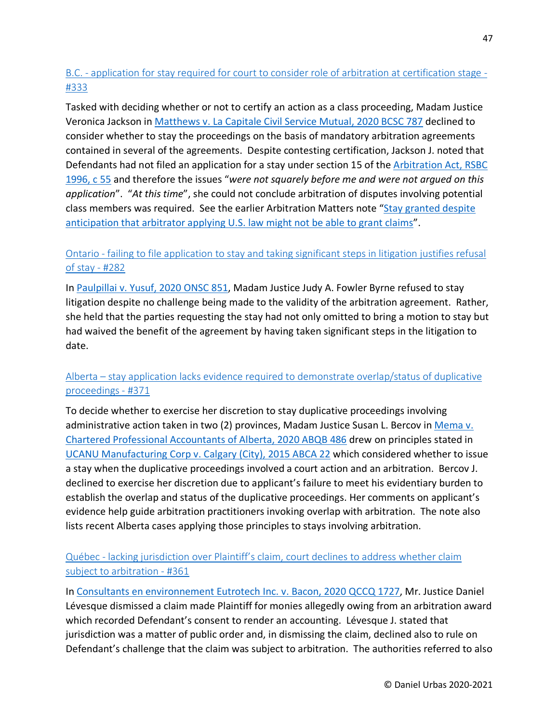# B.C. - [application for stay required for court to consider role of arbitration at certification stage -](https://urbas.ca/?p=2449) [#333](https://urbas.ca/?p=2449)

Tasked with deciding whether or not to certify an action as a class proceeding, Madam Justice Veronica Jackson in [Matthews v. La Capitale Civil Service Mutual, 2020 BCSC 787](https://www.canlii.org/en/bc/bcsc/doc/2020/2020bcsc787/2020bcsc787.html) declined to consider whether to stay the proceedings on the basis of mandatory arbitration agreements contained in several of the agreements. Despite contesting certification, Jackson J. noted that Defendants had not filed an application for a stay under section 15 of the **Arbitration Act**, RSBC [1996, c 55](https://www.canlii.org/en/bc/laws/stat/rsbc-1996-c-55/latest/rsbc-1996-c-55.html) and therefore the issues "*were not squarely before me and were not argued on this application*". "*At this time*", she could not conclude arbitration of disputes involving potential class members was required. See the earlier Arbitration Matters note ["Stay granted despite](https://urbas.ca/?p=2250)  [anticipation that arbitrator applying U.S. law might not be able to grant claims"](https://urbas.ca/?p=2250).

## Ontario - failing to file application [to stay and taking significant steps in litigation justifies refusal](https://urbas.ca/?p=2248)  [of stay -](https://urbas.ca/?p=2248) #282

In [Paulpillai v. Yusuf, 2020 ONSC 851,](https://www.canlii.org/en/on/onsc/doc/2020/2020onsc851/2020onsc851.html) Madam Justice Judy A. Fowler Byrne refused to stay litigation despite no challenge being made to the validity of the arbitration agreement. Rather, she held that the parties requesting the stay had not only omitted to bring a motion to stay but had waived the benefit of the agreement by having taken significant steps in the litigation to date.

## Alberta – [stay application lacks evidence required to demonstrate overlap/status of duplicative](https://urbas.ca/?p=2609)  [proceedings -](https://urbas.ca/?p=2609) #371

To decide whether to exercise her discretion to stay duplicative proceedings involving administrative action taken in two (2) provinces, Madam Justice Susan L. Bercov in [Mema v.](https://www.canlii.org/en/ab/abqb/doc/2020/2020abqb486/2020abqb486.html)  [Chartered Professional Accountants of Alberta, 2020 ABQB 486](https://www.canlii.org/en/ab/abqb/doc/2020/2020abqb486/2020abqb486.html) drew on principles stated in [UCANU Manufacturing Corp v. Calgary \(City\), 2015 ABCA 22](https://www.canlii.org/en/ab/abca/doc/2015/2015abca22/2015abca22.html) which considered whether to issue a stay when the duplicative proceedings involved a court action and an arbitration. Bercov J. declined to exercise her discretion due to applicant's failure to meet his evidentiary burden to establish the overlap and status of the duplicative proceedings. Her comments on applicant's evidence help guide arbitration practitioners invoking overlap with arbitration. The note also lists recent Alberta cases applying those principles to stays involving arbitration.

## Québec - [lacking jurisdiction over Plaintiff's claim, court declines to address whether claim](https://urbas.ca/?p=2563)  [subject to arbitration -](https://urbas.ca/?p=2563) #361

In [Consultants en environnement Eutrotech Inc. v. Bacon, 2020 QCCQ 1727,](https://www.canlii.org/fr/qc/qccq/doc/2020/2020qccq1727/2020qccq1727.html) Mr. Justice Daniel Lévesque dismissed a claim made Plaintiff for monies allegedly owing from an arbitration award which recorded Defendant's consent to render an accounting. Lévesque J. stated that jurisdiction was a matter of public order and, in dismissing the claim, declined also to rule on Defendant's challenge that the claim was subject to arbitration. The authorities referred to also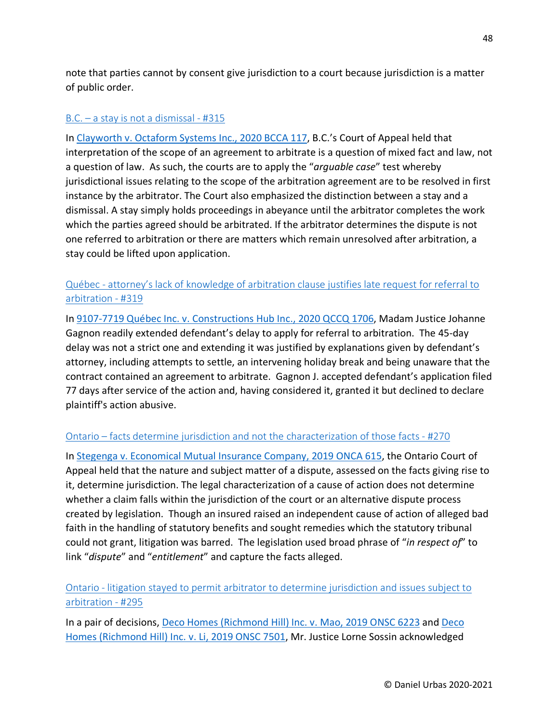note that parties cannot by consent give jurisdiction to a court because jurisdiction is a matter of public order.

#### B.C. – [a stay is not a dismissal -](https://urbas.ca/?p=2395) #315

In [Clayworth v. Octaform Systems Inc., 2020 BCCA 117,](https://www.canlii.org/en/bc/bcca/doc/2020/2020bcca117/2020bcca117.html) B.C.'s Court of Appeal held that interpretation of the scope of an agreement to arbitrate is a question of mixed fact and law, not a question of law. As such, the courts are to apply the "*arguable case*" test whereby jurisdictional issues relating to the scope of the arbitration agreement are to be resolved in first instance by the arbitrator. The Court also emphasized the distinction between a stay and a dismissal. A stay simply holds proceedings in abeyance until the arbitrator completes the work which the parties agreed should be arbitrated. If the arbitrator determines the dispute is not one referred to arbitration or there are matters which remain unresolved after arbitration, a stay could be lifted upon application.

## Québec - [attorney's lack of knowledge of arbitration clause justifies late request for referral to](https://urbas.ca/?p=2413)  [arbitration -](https://urbas.ca/?p=2413) #319

In [9107-7719 Québec Inc. v. Constructions Hub Inc., 2020 QCCQ 1706,](https://www.canlii.org/fr/qc/qccq/doc/2020/2020qccq1706/2020qccq1706.html) Madam Justice Johanne Gagnon readily extended defendant's delay to apply for referral to arbitration. The 45-day delay was not a strict one and extending it was justified by explanations given by defendant's attorney, including attempts to settle, an intervening holiday break and being unaware that the contract contained an agreement to arbitrate. Gagnon J. accepted defendant's application filed 77 days after service of the action and, having considered it, granted it but declined to declare plaintiff's action abusive.

#### Ontario – [facts determine jurisdiction and not the characterization of those facts -](https://urbas.ca/?p=2131) #270

In [Stegenga v. Economical Mutual Insurance Company, 2019 ONCA 615,](https://www.canlii.org/en/on/onca/doc/2019/2019onca615/2019onca615.html) the Ontario Court of Appeal held that the nature and subject matter of a dispute, assessed on the facts giving rise to it, determine jurisdiction. The legal characterization of a cause of action does not determine whether a claim falls within the jurisdiction of the court or an alternative dispute process created by legislation. Though an insured raised an independent cause of action of alleged bad faith in the handling of statutory benefits and sought remedies which the statutory tribunal could not grant, litigation was barred. The legislation used broad phrase of "*in respect of*" to link "*dispute*" and "*entitlement*" and capture the facts alleged.

#### Ontario - [litigation stayed to permit arbitrator to determine jurisdiction and issues subject to](https://urbas.ca/?p=2295)  [arbitration -](https://urbas.ca/?p=2295) #295

In a pair of decisions, [Deco Homes \(Richmond Hill\) Inc. v. Mao, 2019 ONSC 6223](https://www.canlii.org/en/on/onsc/doc/2019/2019onsc6223/2019onsc6223.html) and [Deco](https://www.canlii.org/en/on/onsc/doc/2019/2019onsc7501/2019onsc7501.html)  [Homes \(Richmond Hill\) Inc. v. Li, 2019 ONSC 7501,](https://www.canlii.org/en/on/onsc/doc/2019/2019onsc7501/2019onsc7501.html) Mr. Justice Lorne Sossin acknowledged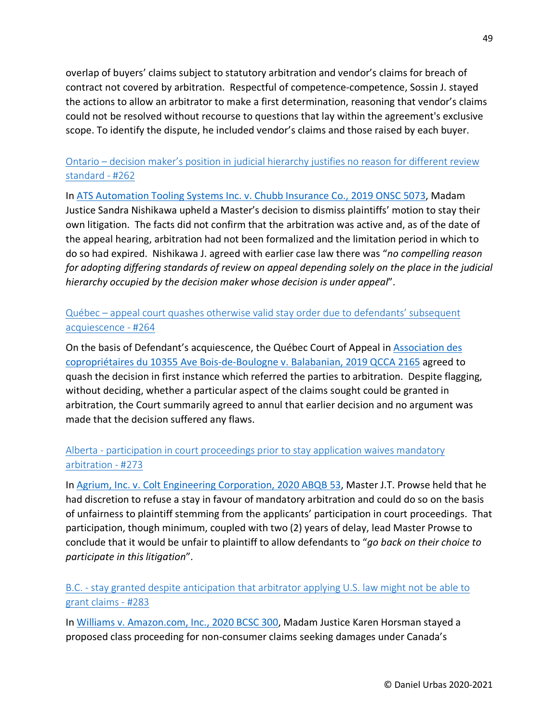overlap of buyers' claims subject to statutory arbitration and vendor's claims for breach of contract not covered by arbitration. Respectful of competence-competence, Sossin J. stayed the actions to allow an arbitrator to make a first determination, reasoning that vendor's claims could not be resolved without recourse to questions that lay within the agreement's exclusive scope. To identify the dispute, he included vendor's claims and those raised by each buyer.

### Ontario – [decision maker's position in judicial hierarchy justifies no reason for different review](https://urbas.ca/?p=1886)  [standard -](https://urbas.ca/?p=1886) #262

In [ATS Automation Tooling Systems Inc. v. Chubb Insurance Co., 2019 ONSC 5073,](https://www.canlii.org/en/on/onsc/doc/2019/2019onsc5073/2019onsc5073.html) Madam Justice Sandra Nishikawa upheld a Master's decision to dismiss plaintiffs' motion to stay their own litigation. The facts did not confirm that the arbitration was active and, as of the date of the appeal hearing, arbitration had not been formalized and the limitation period in which to do so had expired. Nishikawa J. agreed with earlier case law there was "*no compelling reason for adopting differing standards of review on appeal depending solely on the place in the judicial hierarchy occupied by the decision maker whose decision is under appeal*".

Québec – [appeal court quashes otherwise valid stay order due to defendants' subsequent](https://urbas.ca/?p=1899)  [acquiescence -](https://urbas.ca/?p=1899) #264

On the basis of Defendant's acquiescence, the Québec Court of Appeal in [Association des](https://www.canlii.org/fr/qc/qcca/doc/2019/2019qcca2165/2019qcca2165.html)  [copropriétaires du 10355 Ave Bois-de-Boulogne v. Balabanian, 2019 QCCA 2165](https://www.canlii.org/fr/qc/qcca/doc/2019/2019qcca2165/2019qcca2165.html) agreed to quash the decision in first instance which referred the parties to arbitration. Despite flagging, without deciding, whether a particular aspect of the claims sought could be granted in arbitration, the Court summarily agreed to annul that earlier decision and no argument was made that the decision suffered any flaws.

# Alberta - [participation in court proceedings prior to stay application waives mandatory](https://urbas.ca/?p=2205)  [arbitration -](https://urbas.ca/?p=2205) #273

In [Agrium, Inc. v. Colt Engineering Corporation, 2020 ABQB 53,](https://www.canlii.org/en/ab/abqb/doc/2020/2020abqb53/2020abqb53.html) Master J.T. Prowse held that he had discretion to refuse a stay in favour of mandatory arbitration and could do so on the basis of unfairness to plaintiff stemming from the applicants' participation in court proceedings. That participation, though minimum, coupled with two (2) years of delay, lead Master Prowse to conclude that it would be unfair to plaintiff to allow defendants to "*go back on their choice to participate in this litigation*".

B.C. - [stay granted despite anticipation that arbitrator applying U.S. law might not be able to](https://urbas.ca/?p=2250)  [grant claims -](https://urbas.ca/?p=2250) #283

In [Williams v. Amazon.com, Inc., 2020 BCSC 300,](https://www.canlii.org/en/bc/bcsc/doc/2020/2020bcsc300/2020bcsc300.html) Madam Justice Karen Horsman stayed a proposed class proceeding for non-consumer claims seeking damages under Canada's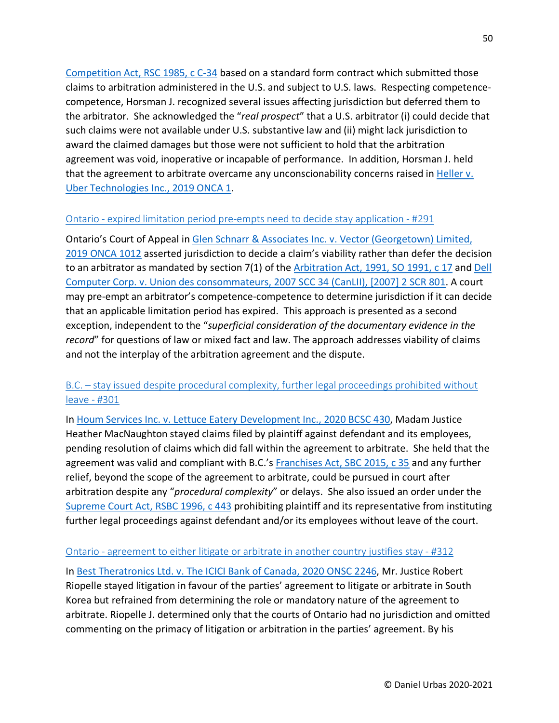[Competition Act, RSC 1985, c C-34](https://www.canlii.org/en/ca/laws/stat/rsc-1985-c-c-34/latest/rsc-1985-c-c-34.html) based on a standard form contract which submitted those claims to arbitration administered in the U.S. and subject to U.S. laws. Respecting competencecompetence, Horsman J. recognized several issues affecting jurisdiction but deferred them to the arbitrator. She acknowledged the "*real prospect*" that a U.S. arbitrator (i) could decide that such claims were not available under U.S. substantive law and (ii) might lack jurisdiction to award the claimed damages but those were not sufficient to hold that the arbitration agreement was void, inoperative or incapable of performance. In addition, Horsman J. held that the agreement to arbitrate overcame any unconscionability concerns raised in Heller v. [Uber Technologies Inc., 2019 ONCA 1.](https://www.canlii.org/en/on/onca/doc/2019/2019onca1/2019onca1.html)

#### Ontario - [expired limitation period pre-empts](https://urbas.ca/?p=2284) need to decide stay application - #291

Ontario's Court of Appeal in [Glen Schnarr & Associates Inc. v. Vector \(Georgetown\) Limited,](https://www.canlii.org/en/on/onca/doc/2019/2019onca1012/2019onca1012.html)  [2019 ONCA 1012](https://www.canlii.org/en/on/onca/doc/2019/2019onca1012/2019onca1012.html) asserted jurisdiction to decide a claim's viability rather than defer the decision to an arbitrator as mandated by section 7(1) of the [Arbitration Act, 1991, SO 1991, c 17](https://www.canlii.org/en/on/laws/stat/so-1991-c-17/latest/so-1991-c-17.html) and [Dell](https://www.canlii.org/en/ca/scc/doc/2007/2007scc34/2007scc34.html)  [Computer Corp. v. Union des consommateurs, 2007 SCC 34 \(CanLII\), \[2007\] 2 SCR 801.](https://www.canlii.org/en/ca/scc/doc/2007/2007scc34/2007scc34.html) A court may pre-empt an arbitrator's competence-competence to determine jurisdiction if it can decide that an applicable limitation period has expired. This approach is presented as a second exception, independent to the "*superficial consideration of the documentary evidence in the record*" for questions of law or mixed fact and law. The approach addresses viability of claims and not the interplay of the arbitration agreement and the dispute.

#### B.C. – [stay issued despite procedural complexity, further legal proceedings prohibited without](https://urbas.ca/?p=2319) [leave -](https://urbas.ca/?p=2319) #301

In [Houm Services Inc. v. Lettuce Eatery Development Inc., 2020 BCSC 430,](https://www.canlii.org/en/bc/bcsc/doc/2020/2020bcsc430/2020bcsc430.html) Madam Justice Heather MacNaughton stayed claims filed by plaintiff against defendant and its employees, pending resolution of claims which did fall within the agreement to arbitrate. She held that the agreement was valid and compliant with B.C.'s [Franchises Act, SBC 2015, c 35](https://www.canlii.org/en/bc/laws/stat/sbc-2015-c-35/latest/sbc-2015-c-35.html) and any further relief, beyond the scope of the agreement to arbitrate, could be pursued in court after arbitration despite any "*procedural complexity*" or delays. She also issued an order under the [Supreme Court Act, RSBC 1996, c 443](https://www.canlii.org/en/bc/laws/stat/rsbc-1996-c-443/latest/rsbc-1996-c-443.html) prohibiting plaintiff and its representative from instituting further legal proceedings against defendant and/or its employees without leave of the court.

#### Ontario - [agreement to either litigate or arbitrate in another country justifies stay -](https://urbas.ca/?p=2380) #312

In [Best Theratronics Ltd. v. The ICICI Bank of Canada, 2020 ONSC 2246,](https://www.canlii.org/en/on/onsc/doc/2020/2020onsc2246/2020onsc2246.html) Mr. Justice Robert Riopelle stayed litigation in favour of the parties' agreement to litigate or arbitrate in South Korea but refrained from determining the role or mandatory nature of the agreement to arbitrate. Riopelle J. determined only that the courts of Ontario had no jurisdiction and omitted commenting on the primacy of litigation or arbitration in the parties' agreement. By his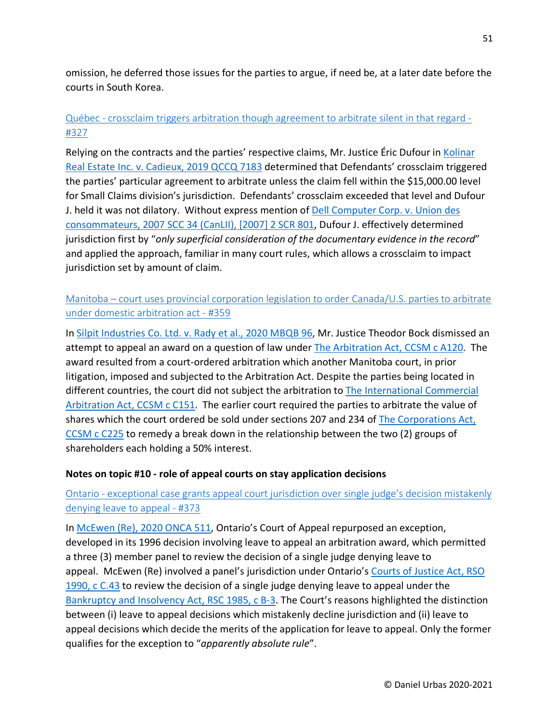omission, he deferred those issues for the parties to argue, if need be, at a later date before the courts in South Korea.

# Québec - [crossclaim triggers arbitration though agreement to arbitrate silent in that regard -](https://urbas.ca/?p=2434) [#327](https://urbas.ca/?p=2434)

Relying on the contracts and the parties' respective claims, Mr. Justice Eric Dufour in Kolinar [Real Estate Inc. v. Cadieux, 2019 QCCQ 7183](https://www.canlii.org/fr/qc/qccq/doc/2019/2019qccq7183/2019qccq7183.html) determined that Defendants' crossclaim triggered the parties' particular agreement to arbitrate unless the claim fell within the \$15,000.00 level for Small Claims division's jurisdiction. Defendants' crossclaim exceeded that level and Dufour J. held it was not dilatory. Without express mention of Dell Computer Corp. v. Union des [consommateurs, 2007 SCC 34 \(CanLII\), \[2007\] 2 SCR 801,](https://www.canlii.org/en/ca/scc/doc/2007/2007scc34/2007scc34.html) Dufour J. effectively determined jurisdiction first by "*only superficial consideration of the documentary evidence in the record*" and applied the approach, familiar in many court rules, which allows a crossclaim to impact jurisdiction set by amount of claim.

### Manitoba – [court uses provincial corporation legislation to order Canada/U.S. parties to arbitrate](https://urbas.ca/?p=2559)  [under domestic arbitration act -](https://urbas.ca/?p=2559) #359

In [Silpit Industries Co. Ltd. v. Rady et al., 2020 MBQB 96,](https://www.canlii.org/en/mb/mbqb/doc/2020/2020mbqb96/2020mbqb96.html) Mr. Justice Theodor Bock dismissed an attempt to appeal an award on a question of law under [The Arbitration Act, CCSM c A120.](https://www.canlii.org/en/mb/laws/stat/ccsm-c-a120/latest/ccsm-c-a120.html) The award resulted from a court-ordered arbitration which another Manitoba court, in prior litigation, imposed and subjected to the Arbitration Act. Despite the parties being located in different countries, the court did not subject the arbitration to The International Commercial [Arbitration Act, CCSM c C151.](https://www.canlii.org/en/mb/laws/stat/ccsm-c-c151/latest/ccsm-c-c151.html) The earlier court required the parties to arbitrate the value of shares which the court ordered be sold under sections 207 and 234 of [The Corporations Act,](https://www.canlii.org/en/mb/laws/stat/ccsm-c-c225/latest/ccsm-c-c225.html)  [CCSM c](https://www.canlii.org/en/mb/laws/stat/ccsm-c-c225/latest/ccsm-c-c225.html) C225 to remedy a break down in the relationship between the two (2) groups of shareholders each holding a 50% interest.

#### **Notes on topic #10 - role of appeal courts on stay application decisions**

# Ontario - exceptional [case grants appeal court jurisdiction over single judge's decision mistakenly](https://urbas.ca/?p=2613)  [denying leave to appeal -](https://urbas.ca/?p=2613) #373

In [McEwen \(Re\), 2020 ONCA 511,](https://www.canlii.org/en/on/onca/doc/2020/2020onca511/2020onca511.html) Ontario's Court of Appeal repurposed an exception, developed in its 1996 decision involving leave to appeal an arbitration award, which permitted a three (3) member panel to review the decision of a single judge denying leave to appeal. McEwen (Re) involved a panel's jurisdiction under Ontario's Courts of Justice Act, RSO [1990, c C.43](https://www.canlii.org/en/on/laws/stat/rso-1990-c-c43/latest/rso-1990-c-c43.html) to review the decision of a single judge denying leave to appeal under the [Bankruptcy and Insolvency Act, RSC 1985, c B-3.](https://www.canlii.org/en/ca/laws/stat/rsc-1985-c-b-3/latest/rsc-1985-c-b-3.html) The Court's reasons highlighted the distinction between (i) leave to appeal decisions which mistakenly decline jurisdiction and (ii) leave to appeal decisions which decide the merits of the application for leave to appeal. Only the former qualifies for the exception to "*apparently absolute rule*".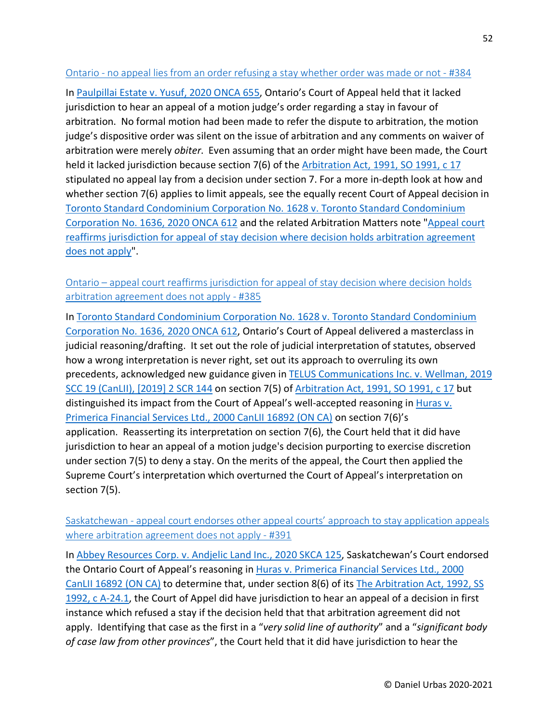#### Ontario - [no appeal lies from an order refusing a stay whether order was made or not -](https://urbas.ca/?p=2711) #384

In [Paulpillai Estate v. Yusuf, 2020 ONCA 655,](https://www.canlii.org/en/on/onca/doc/2020/2020onca655/2020onca655.html) Ontario's Court of Appeal held that it lacked jurisdiction to hear an appeal of a motion judge's order regarding a stay in favour of arbitration. No formal motion had been made to refer the dispute to arbitration, the motion judge's dispositive order was silent on the issue of arbitration and any comments on waiver of arbitration were merely *obiter*. Even assuming that an order might have been made, the Court held it lacked jurisdiction because section 7(6) of the [Arbitration Act, 1991, SO 1991, c 17](https://www.canlii.org/en/on/laws/stat/so-1991-c-17/latest/so-1991-c-17.html) stipulated no appeal lay from a decision under section 7. For a more in-depth look at how and whether section 7(6) applies to limit appeals, see the equally recent Court of Appeal decision in [Toronto Standard Condominium Corporation No. 1628 v. Toronto Standard Condominium](https://www.canlii.org/en/on/onca/doc/2020/2020onca612/2020onca612.html)  [Corporation No. 1636, 2020 ONCA 612](https://www.canlii.org/en/on/onca/doc/2020/2020onca612/2020onca612.html) and the related Arbitration Matters note ["Appeal court](https://urbas.ca/?p=2714)  [reaffirms jurisdiction for appeal of stay decision where decision holds arbitration agreement](https://urbas.ca/?p=2714)  [does not apply"](https://urbas.ca/?p=2714).

Ontario – [appeal court reaffirms jurisdiction for appeal of stay decision where decision holds](https://urbas.ca/?p=2714)  [arbitration agreement does not apply -](https://urbas.ca/?p=2714) #385

In [Toronto Standard Condominium Corporation No. 1628 v. Toronto Standard Condominium](https://www.canlii.org/en/on/onca/doc/2020/2020onca612/2020onca612.html)  [Corporation No. 1636, 2020 ONCA 612,](https://www.canlii.org/en/on/onca/doc/2020/2020onca612/2020onca612.html) Ontario's Court of Appeal delivered a masterclass in judicial reasoning/drafting. It set out the role of judicial interpretation of statutes, observed how a wrong interpretation is never right, set out its approach to overruling its own precedents, acknowledged new guidance given i[n TELUS Communications Inc. v. Wellman, 2019](https://www.canlii.org/en/ca/scc/doc/2019/2019scc19/2019scc19.html)  [SCC 19 \(CanLII\), \[2019\] 2 SCR 144](https://www.canlii.org/en/ca/scc/doc/2019/2019scc19/2019scc19.html) on section 7(5) of [Arbitration Act, 1991, SO 1991, c 17](https://www.canlii.org/en/on/laws/stat/so-1991-c-17/latest/so-1991-c-17.html) but distinguished its impact from the Court of Appeal's well-accepted reasoning in [Huras v.](https://www.canlii.org/en/on/onca/doc/2000/2000canlii16892/2000canlii16892.html)  [Primerica Financial Services Ltd., 2000 CanLII 16892 \(ON CA\)](https://www.canlii.org/en/on/onca/doc/2000/2000canlii16892/2000canlii16892.html) on section 7(6)'s application. Reasserting its interpretation on section 7(6), the Court held that it did have jurisdiction to hear an appeal of a motion judge's decision purporting to exercise discretion under section 7(5) to deny a stay. On the merits of the appeal, the Court then applied the Supreme Court's interpretation which overturned the Court of Appeal's interpretation on section 7(5).

Saskatchewan - [appeal court endorses other appeal courts' approach to stay application appeals](https://urbas.ca/?p=2746)  [where arbitration agreement does not apply -](https://urbas.ca/?p=2746) #391

In [Abbey Resources Corp. v. Andjelic Land Inc., 2020 SKCA 125,](https://www.canlii.org/en/sk/skca/doc/2020/2020skca125/2020skca125.html) Saskatchewan's Court endorsed the Ontario Court of Appeal's reasoning in [Huras v. Primerica Financial Services Ltd., 2000](https://www.canlii.org/en/on/onca/doc/2000/2000canlii16892/2000canlii16892.html)  [CanLII 16892 \(ON CA\)](https://www.canlii.org/en/on/onca/doc/2000/2000canlii16892/2000canlii16892.html) to determine that, under section 8(6) of its [The Arbitration Act, 1992, SS](https://www.canlii.org/en/sk/laws/astat/ss-1992-c-a-24.1/latest/ss-1992-c-a-24.1.html)  [1992, c A-24.1,](https://www.canlii.org/en/sk/laws/astat/ss-1992-c-a-24.1/latest/ss-1992-c-a-24.1.html) the Court of Appel did have jurisdiction to hear an appeal of a decision in first instance which refused a stay if the decision held that that arbitration agreement did not apply. Identifying that case as the first in a "*very solid line of authority*" and a "*significant body of case law from other provinces*", the Court held that it did have jurisdiction to hear the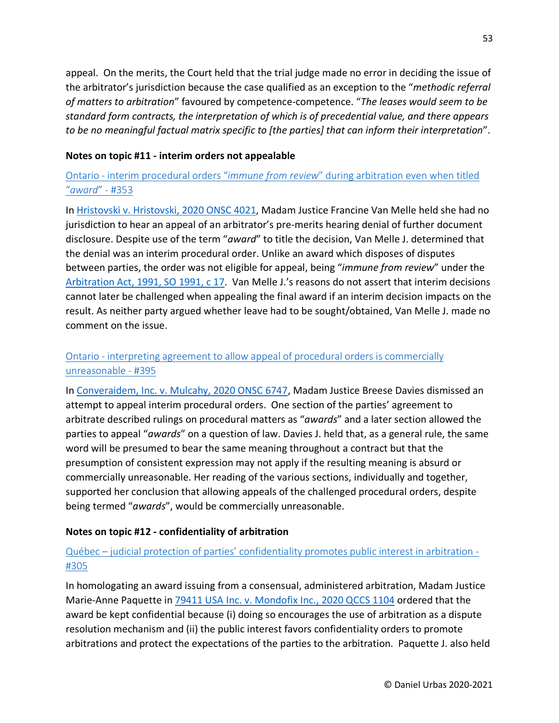appeal. On the merits, the Court held that the trial judge made no error in deciding the issue of the arbitrator's jurisdiction because the case qualified as an exception to the "*methodic referral of matters to arbitration*" favoured by competence-competence. "*The leases would seem to be standard form contracts, the interpretation of which is of precedential value, and there appears to be no meaningful factual matrix specific to [the parties] that can inform their interpretation*".

#### **Notes on topic #11 - interim orders not appealable**

# Ontario - interim procedural orders "*immune from review*[" during arbitration even when titled](https://urbas.ca/?p=2537)  "*[award](https://urbas.ca/?p=2537)*" - #353

In [Hristovski v. Hristovski, 2020 ONSC 4021,](https://www.canlii.org/en/on/onsc/doc/2020/2020onsc4021/2020onsc4021.html) Madam Justice Francine Van Melle held she had no jurisdiction to hear an appeal of an arbitrator's pre-merits hearing denial of further document disclosure. Despite use of the term "*award*" to title the decision, Van Melle J. determined that the denial was an interim procedural order. Unlike an award which disposes of disputes between parties, the order was not eligible for appeal, being "*immune from review*" under the [Arbitration Act, 1991, SO 1991, c 17.](https://www.canlii.org/en/on/laws/stat/so-1991-c-17/latest/so-1991-c-17.html) Van Melle J.'s reasons do not assert that interim decisions cannot later be challenged when appealing the final award if an interim decision impacts on the result. As neither party argued whether leave had to be sought/obtained, Van Melle J. made no comment on the issue.

# Ontario - [interpreting agreement to allow appeal of procedural orders is commercially](https://urbas.ca/?p=2765)  [unreasonable -](https://urbas.ca/?p=2765) #395

In [Converaidem, Inc. v. Mulcahy, 2020 ONSC 6747,](https://www.canlii.org/en/on/onsc/doc/2020/2020onsc6747/2020onsc6747.html) Madam Justice Breese Davies dismissed an attempt to appeal interim procedural orders. One section of the parties' agreement to arbitrate described rulings on procedural matters as "*awards*" and a later section allowed the parties to appeal "*awards*" on a question of law. Davies J. held that, as a general rule, the same word will be presumed to bear the same meaning throughout a contract but that the presumption of consistent expression may not apply if the resulting meaning is absurd or commercially unreasonable. Her reading of the various sections, individually and together, supported her conclusion that allowing appeals of the challenged procedural orders, despite being termed "*awards*", would be commercially unreasonable.

## **Notes on topic #12 - confidentiality of arbitration**

# Québec – [judicial protection of parties' confidentiality promotes public interest in arbitration -](https://urbas.ca/?p=2340) [#305](https://urbas.ca/?p=2340)

In homologating an award issuing from a consensual, administered arbitration, Madam Justice Marie-Anne Paquette in [79411 USA Inc. v. Mondofix Inc., 2020 QCCS 1104](https://www.canlii.org/en/qc/qccs/doc/2020/2020qccs1104/2020qccs1104.html) ordered that the award be kept confidential because (i) doing so encourages the use of arbitration as a dispute resolution mechanism and (ii) the public interest favors confidentiality orders to promote arbitrations and protect the expectations of the parties to the arbitration. Paquette J. also held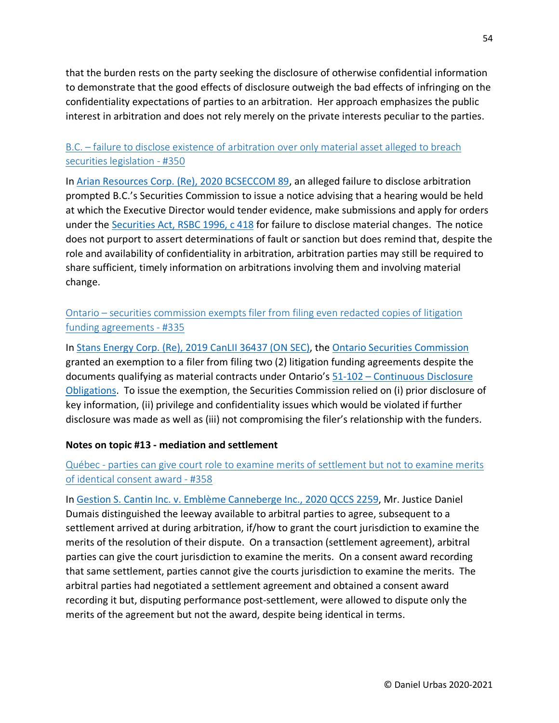that the burden rests on the party seeking the disclosure of otherwise confidential information to demonstrate that the good effects of disclosure outweigh the bad effects of infringing on the confidentiality expectations of parties to an arbitration. Her approach emphasizes the public interest in arbitration and does not rely merely on the private interests peculiar to the parties.

## B.C. – [failure to disclose existence of arbitration over only material asset alleged to breach](https://urbas.ca/?p=2524)  [securities legislation -](https://urbas.ca/?p=2524) #350

In [Arian Resources Corp. \(Re\), 2020 BCSECCOM 89,](https://www.canlii.org/en/bc/bcsec/doc/2020/2020bcseccom89/2020bcseccom89.html) an alleged failure to disclose arbitration prompted B.C.'s Securities Commission to issue a notice advising that a hearing would be held at which the Executive Director would tender evidence, make submissions and apply for orders under the [Securities Act, RSBC 1996, c 418](https://www.canlii.org/en/bc/laws/stat/rsbc-1996-c-418/latest/rsbc-1996-c-418.html) for failure to disclose material changes. The notice does not purport to assert determinations of fault or sanction but does remind that, despite the role and availability of confidentiality in arbitration, arbitration parties may still be required to share sufficient, timely information on arbitrations involving them and involving material change.

Ontario – [securities commission exempts filer from filing even redacted copies of litigation](https://urbas.ca/?p=2457)  [funding agreements -](https://urbas.ca/?p=2457) #335

In [Stans Energy Corp. \(Re\), 2019 CanLII 36437 \(ON SEC\),](https://www.canlii.org/en/on/onsec/doc/2019/2019canlii36437/2019canlii36437.html) the [Ontario Securities Commission](https://www.osc.gov.on.ca/en/home.htm) granted an exemption to a filer from filing two (2) litigation funding agreements despite the documents qualifying as material contracts under Ontario's 51-102 – [Continuous Disclosure](https://www.osc.gov.on.ca/en/SecuritiesLaw_51-102.htm)  [Obligations.](https://www.osc.gov.on.ca/en/SecuritiesLaw_51-102.htm) To issue the exemption, the Securities Commission relied on (i) prior disclosure of key information, (ii) privilege and confidentiality issues which would be violated if further disclosure was made as well as (iii) not compromising the filer's relationship with the funders.

#### **Notes on topic #13 - mediation and settlement**

# Québec - [parties can give court role to examine merits of settlement but not to examine merits](https://urbas.ca/?p=2552)  [of identical consent award -](https://urbas.ca/?p=2552) #358

In [Gestion S. Cantin Inc. v. Emblème Canneberge Inc., 2020 QCCS 2259,](https://www.canlii.org/fr/qc/qccs/doc/2020/2020qccs2259/2020qccs2259.html) Mr. Justice Daniel Dumais distinguished the leeway available to arbitral parties to agree, subsequent to a settlement arrived at during arbitration, if/how to grant the court jurisdiction to examine the merits of the resolution of their dispute. On a transaction (settlement agreement), arbitral parties can give the court jurisdiction to examine the merits. On a consent award recording that same settlement, parties cannot give the courts jurisdiction to examine the merits. The arbitral parties had negotiated a settlement agreement and obtained a consent award recording it but, disputing performance post-settlement, were allowed to dispute only the merits of the agreement but not the award, despite being identical in terms.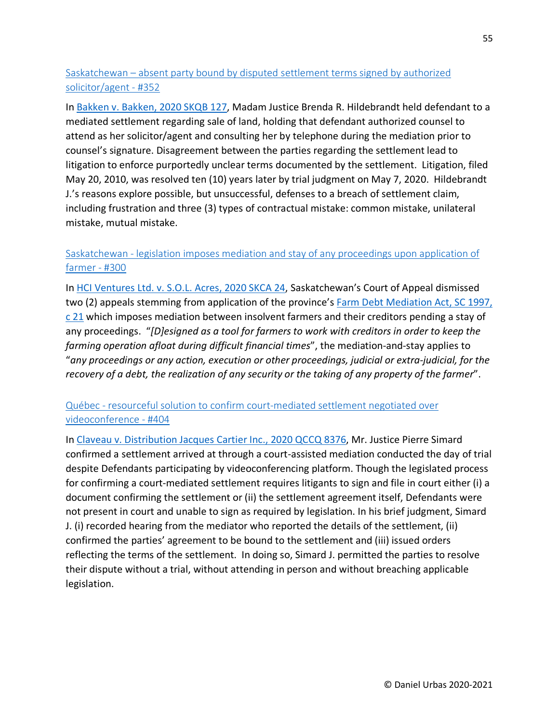# Saskatchewan – [absent party bound by disputed settlement terms signed by authorized](https://urbas.ca/?p=2534)  [solicitor/agent -](https://urbas.ca/?p=2534) #352

In [Bakken v. Bakken, 2020 SKQB 127,](https://www.canlii.org/en/sk/skqb/doc/2020/2020skqb127/2020skqb127.html) Madam Justice Brenda R. Hildebrandt held defendant to a mediated settlement regarding sale of land, holding that defendant authorized counsel to attend as her solicitor/agent and consulting her by telephone during the mediation prior to counsel's signature. Disagreement between the parties regarding the settlement lead to litigation to enforce purportedly unclear terms documented by the settlement. Litigation, filed May 20, 2010, was resolved ten (10) years later by trial judgment on May 7, 2020. Hildebrandt J.'s reasons explore possible, but unsuccessful, defenses to a breach of settlement claim, including frustration and three (3) types of contractual mistake: common mistake, unilateral mistake, mutual mistake.

## Saskatchewan - [legislation imposes mediation and stay of any proceedings upon application of](https://urbas.ca/?p=2315)  [farmer -](https://urbas.ca/?p=2315) #300

In [HCI Ventures Ltd. v. S.O.L. Acres, 2020 SKCA 24,](https://www.canlii.org/en/sk/skca/doc/2020/2020skca24/2020skca24.html) Saskatchewan's Court of Appeal dismissed two (2) appeals stemming from application of the province's [Farm Debt Mediation Act, SC 1997,](https://www.canlii.org/en/ca/laws/stat/sc-1997-c-21/latest/sc-1997-c-21.html)  [c 21](https://www.canlii.org/en/ca/laws/stat/sc-1997-c-21/latest/sc-1997-c-21.html) which imposes mediation between insolvent farmers and their creditors pending a stay of any proceedings. "*[D]esigned as a tool for farmers to work with creditors in order to keep the farming operation afloat during difficult financial times*", the mediation-and-stay applies to "*any proceedings or any action, execution or other proceedings, judicial or extra-judicial, for the recovery of a debt, the realization of any security or the taking of any property of the farmer*".

# Québec - [resourceful solution to confirm court-mediated settlement negotiated over](https://urbas.ca/?p=2842)  [videoconference -](https://urbas.ca/?p=2842) #404

In [Claveau v. Distribution Jacques Cartier Inc., 2020 QCCQ 8376,](https://www.canlii.org/fr/qc/qccq/doc/2020/2020qccq8376/2020qccq8376.html) Mr. Justice Pierre Simard confirmed a settlement arrived at through a court-assisted mediation conducted the day of trial despite Defendants participating by videoconferencing platform. Though the legislated process for confirming a court-mediated settlement requires litigants to sign and file in court either (i) a document confirming the settlement or (ii) the settlement agreement itself, Defendants were not present in court and unable to sign as required by legislation. In his brief judgment, Simard J. (i) recorded hearing from the mediator who reported the details of the settlement, (ii) confirmed the parties' agreement to be bound to the settlement and (iii) issued orders reflecting the terms of the settlement. In doing so, Simard J. permitted the parties to resolve their dispute without a trial, without attending in person and without breaching applicable legislation.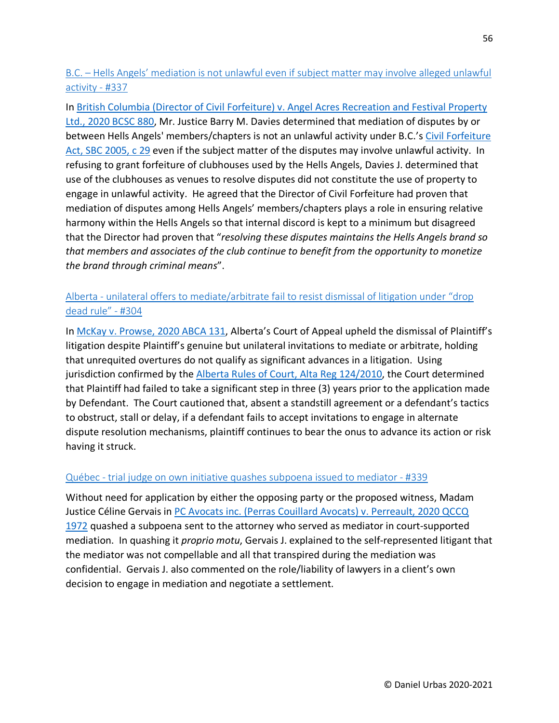B.C. – [Hells Angels' mediation is not unlawful even if subject matter may involve alleged unlawful](https://urbas.ca/?p=2475)  [activity -](https://urbas.ca/?p=2475) #337

In [British Columbia \(Director of Civil Forfeiture\) v. Angel Acres Recreation and Festival Property](https://www.canlii.org/en/bc/bcsc/doc/2020/2020bcsc880/2020bcsc880.html)  [Ltd., 2020 BCSC 880,](https://www.canlii.org/en/bc/bcsc/doc/2020/2020bcsc880/2020bcsc880.html) Mr. Justice Barry M. Davies determined that mediation of disputes by or between Hells Angels' members/chapters is not an unlawful activity under B.C.'s [Civil Forfeiture](https://www.canlii.org/en/bc/laws/stat/sbc-2005-c-29/latest/sbc-2005-c-29.html)  [Act, SBC 2005, c 29](https://www.canlii.org/en/bc/laws/stat/sbc-2005-c-29/latest/sbc-2005-c-29.html) even if the subject matter of the disputes may involve unlawful activity. In refusing to grant forfeiture of clubhouses used by the Hells Angels, Davies J. determined that use of the clubhouses as venues to resolve disputes did not constitute the use of property to engage in unlawful activity. He agreed that the Director of Civil Forfeiture had proven that mediation of disputes among Hells Angels' members/chapters plays a role in ensuring relative harmony within the Hells Angels so that internal discord is kept to a minimum but disagreed that the Director had proven that "*resolving these disputes maintains the Hells Angels brand so that members and associates of the club continue to benefit from the opportunity to monetize the brand through criminal means*".

### Alberta - [unilateral offers to mediate/arbitrate fail to resist dismissal of litigation under "drop](https://urbas.ca/?p=2331)  [dead rule" -](https://urbas.ca/?p=2331) #304

In [McKay v. Prowse, 2020 ABCA 131,](https://www.canlii.org/en/ab/abca/doc/2020/2020abca131/2020abca131.html) Alberta's Court of Appeal upheld the dismissal of Plaintiff's litigation despite Plaintiff's genuine but unilateral invitations to mediate or arbitrate, holding that unrequited overtures do not qualify as significant advances in a litigation. Using jurisdiction confirmed by the [Alberta Rules of Court, Alta Reg 124/2010,](https://www.canlii.org/en/ab/laws/regu/alta-reg-124-2010/latest/alta-reg-124-2010.html) the Court determined that Plaintiff had failed to take a significant step in three (3) years prior to the application made by Defendant. The Court cautioned that, absent a standstill agreement or a defendant's tactics to obstruct, stall or delay, if a defendant fails to accept invitations to engage in alternate dispute resolution mechanisms, plaintiff continues to bear the onus to advance its action or risk having it struck.

#### Québec - [trial judge on own initiative quashes subpoena issued to mediator -](https://urbas.ca/?p=2482) #339

Without need for application by either the opposing party or the proposed witness, Madam Justice Céline Gervais in PC Avocats inc. (Perras Couillard Avocats) v. Perreault, 2020 QCCQ [1972](https://www.canlii.org/fr/qc/qccq/doc/2020/2020qccq1972/2020qccq1972.html) quashed a subpoena sent to the attorney who served as mediator in court-supported mediation. In quashing it *proprio motu*, Gervais J. explained to the self-represented litigant that the mediator was not compellable and all that transpired during the mediation was confidential. Gervais J. also commented on the role/liability of lawyers in a client's own decision to engage in mediation and negotiate a settlement.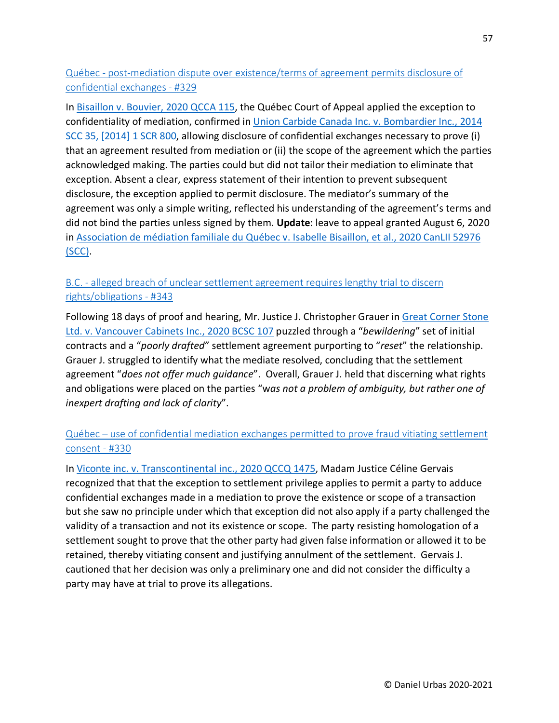Québec - [post-mediation dispute over existence/terms of agreement permits disclosure of](https://urbas.ca/?p=2439)  [confidential exchanges -](https://urbas.ca/?p=2439) #329

In [Bisaillon v. Bouvier, 2020 QCCA 115,](https://www.canlii.org/fr/qc/qcca/doc/2020/2020qcca115/2020qcca115.html) the Québec Court of Appeal applied the exception to confidentiality of mediation, confirmed in [Union Carbide Canada Inc. v. Bombardier Inc., 2014](https://www.canlii.org/en/ca/scc/doc/2014/2014scc35/2014scc35.html)  [SCC 35, \[2014\] 1 SCR 800,](https://www.canlii.org/en/ca/scc/doc/2014/2014scc35/2014scc35.html) allowing disclosure of confidential exchanges necessary to prove (i) that an agreement resulted from mediation or (ii) the scope of the agreement which the parties acknowledged making. The parties could but did not tailor their mediation to eliminate that exception. Absent a clear, express statement of their intention to prevent subsequent disclosure, the exception applied to permit disclosure. The mediator's summary of the agreement was only a simple writing, reflected his understanding of the agreement's terms and did not bind the parties unless signed by them. **Update**: leave to appeal granted August 6, 2020 in [Association de médiation familiale du Québec v.](https://www.canlii.org/en/ca/scc-l/doc/2020/2020canlii52976/2020canlii52976.html) Isabelle Bisaillon, et al., 2020 CanLII 52976 [\(SCC\).](https://www.canlii.org/en/ca/scc-l/doc/2020/2020canlii52976/2020canlii52976.html)

## B.C. - [alleged breach of unclear settlement agreement requires lengthy trial to discern](https://urbas.ca/?p=2495)  [rights/obligations -](https://urbas.ca/?p=2495) #343

Following 18 days of proof and hearing, Mr. Justice J. Christopher Grauer in [Great Corner Stone](https://www.canlii.org/en/bc/bcsc/doc/2020/2020bcsc107/2020bcsc107.html)  [Ltd. v. Vancouver Cabinets Inc., 2020 BCSC 107](https://www.canlii.org/en/bc/bcsc/doc/2020/2020bcsc107/2020bcsc107.html) puzzled through a "*bewildering*" set of initial contracts and a "*poorly drafted*" settlement agreement purporting to "*reset*" the relationship. Grauer J. struggled to identify what the mediate resolved, concluding that the settlement agreement "*does not offer much guidance*". Overall, Grauer J. held that discerning what rights and obligations were placed on the parties "w*as not a problem of ambiguity, but rather one of inexpert drafting and lack of clarity*".

# Québec – [use of confidential mediation exchanges permitted to prove fraud vitiating settlement](https://urbas.ca/?p=2442)  [consent -](https://urbas.ca/?p=2442) #330

In [Viconte inc. v. Transcontinental inc., 2020 QCCQ 1475,](https://www.canlii.org/fr/qc/qccq/doc/2020/2020qccq1475/2020qccq1475.html) Madam Justice Céline Gervais recognized that that the exception to settlement privilege applies to permit a party to adduce confidential exchanges made in a mediation to prove the existence or scope of a transaction but she saw no principle under which that exception did not also apply if a party challenged the validity of a transaction and not its existence or scope. The party resisting homologation of a settlement sought to prove that the other party had given false information or allowed it to be retained, thereby vitiating consent and justifying annulment of the settlement. Gervais J. cautioned that her decision was only a preliminary one and did not consider the difficulty a party may have at trial to prove its allegations.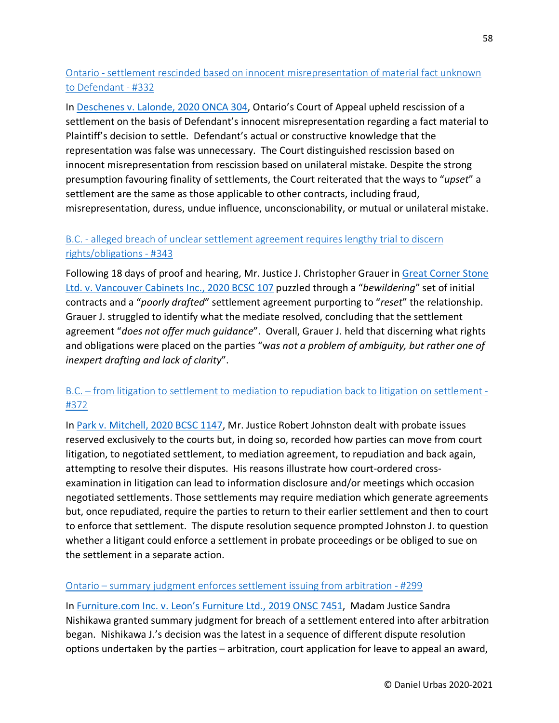## Ontario - [settlement rescinded based on innocent misrepresentation of material fact unknown](https://urbas.ca/?p=2447)  [to Defendant -](https://urbas.ca/?p=2447) #332

In [Deschenes v. Lalonde, 2020 ONCA 304,](https://www.canlii.org/en/on/onca/doc/2020/2020onca304/2020onca304.html) Ontario's Court of Appeal upheld rescission of a settlement on the basis of Defendant's innocent misrepresentation regarding a fact material to Plaintiff's decision to settle. Defendant's actual or constructive knowledge that the representation was false was unnecessary. The Court distinguished rescission based on innocent misrepresentation from rescission based on unilateral mistake. Despite the strong presumption favouring finality of settlements, the Court reiterated that the ways to "*upset*" a settlement are the same as those applicable to other contracts, including fraud, misrepresentation, duress, undue influence, unconscionability, or mutual or unilateral mistake.

# B.C. - [alleged breach of unclear settlement agreement requires lengthy trial to discern](https://urbas.ca/?p=2495)  [rights/obligations -](https://urbas.ca/?p=2495) #343

Following 18 days of proof and hearing, Mr. Justice J. Christopher Grauer in [Great Corner Stone](https://www.canlii.org/en/bc/bcsc/doc/2020/2020bcsc107/2020bcsc107.html)  [Ltd. v. Vancouver Cabinets Inc., 2020 BCSC 107](https://www.canlii.org/en/bc/bcsc/doc/2020/2020bcsc107/2020bcsc107.html) puzzled through a "*bewildering*" set of initial contracts and a "*poorly drafted*" settlement agreement purporting to "*reset*" the relationship. Grauer J. struggled to identify what the mediate resolved, concluding that the settlement agreement "*does not offer much guidance*". Overall, Grauer J. held that discerning what rights and obligations were placed on the parties "w*as not a problem of ambiguity, but rather one of inexpert drafting and lack of clarity*".

## B.C. – [from litigation to settlement to mediation to repudiation back to litigation on settlement -](https://urbas.ca/?p=2611) [#372](https://urbas.ca/?p=2611)

In [Park v. Mitchell, 2020 BCSC 1147,](https://www.canlii.org/en/bc/bcsc/doc/2020/2020bcsc1147/2020bcsc1147.html) Mr. Justice Robert Johnston dealt with probate issues reserved exclusively to the courts but, in doing so, recorded how parties can move from court litigation, to negotiated settlement, to mediation agreement, to repudiation and back again, attempting to resolve their disputes. His reasons illustrate how court-ordered crossexamination in litigation can lead to information disclosure and/or meetings which occasion negotiated settlements. Those settlements may require mediation which generate agreements but, once repudiated, require the parties to return to their earlier settlement and then to court to enforce that settlement. The dispute resolution sequence prompted Johnston J. to question whether a litigant could enforce a settlement in probate proceedings or be obliged to sue on the settlement in a separate action.

#### Ontario – [summary judgment enforces settlement issuing from arbitration -](https://urbas.ca/?p=2312) #299

In [Furniture.com Inc. v. Leon's Furniture Ltd., 2019 ONSC 7451,](https://www.canlii.org/en/on/onsc/doc/2019/2019onsc7451/2019onsc7451.html) Madam Justice Sandra Nishikawa granted summary judgment for breach of a settlement entered into after arbitration began. Nishikawa J.'s decision was the latest in a sequence of different dispute resolution options undertaken by the parties – arbitration, court application for leave to appeal an award,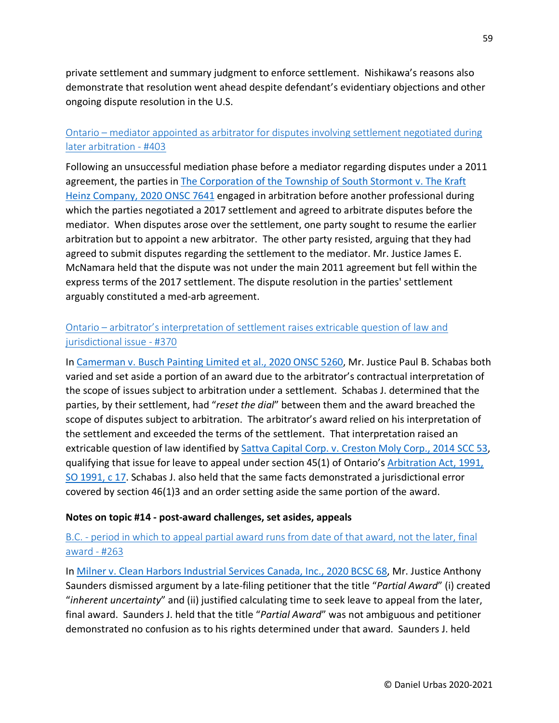private settlement and summary judgment to enforce settlement. Nishikawa's reasons also demonstrate that resolution went ahead despite defendant's evidentiary objections and other ongoing dispute resolution in the U.S.

## Ontario – [mediator appointed as arbitrator for disputes involving settlement negotiated during](https://urbas.ca/?p=2837)  [later arbitration -](https://urbas.ca/?p=2837) #403

Following an unsuccessful mediation phase before a mediator regarding disputes under a 2011 agreement, the parties in The Corporation of the Township of South Stormont v. The Kraft [Heinz Company, 2020 ONSC 7641](https://www.canlii.org/en/on/onsc/doc/2020/2020onsc7641/2020onsc7641.html) engaged in arbitration before another professional during which the parties negotiated a 2017 settlement and agreed to arbitrate disputes before the mediator. When disputes arose over the settlement, one party sought to resume the earlier arbitration but to appoint a new arbitrator. The other party resisted, arguing that they had agreed to submit disputes regarding the settlement to the mediator. Mr. Justice James E. McNamara held that the dispute was not under the main 2011 agreement but fell within the express terms of the 2017 settlement. The dispute resolution in the parties' settlement arguably constituted a med-arb agreement.

## Ontario – [arbitrator's interpretation of settlement raises extricable question of law and](https://urbas.ca/?p=2607)  [jurisdictional issue -](https://urbas.ca/?p=2607) #370

In [Camerman v. Busch Painting Limited et al., 2020 ONSC 5260,](https://www.canlii.org/en/on/onsc/doc/2020/2020onsc5260/2020onsc5260.html) Mr. Justice Paul B. Schabas both varied and set aside a portion of an award due to the arbitrator's contractual interpretation of the scope of issues subject to arbitration under a settlement. Schabas J. determined that the parties, by their settlement, had "*reset the dial*" between them and the award breached the scope of disputes subject to arbitration. The arbitrator's award relied on his interpretation of the settlement and exceeded the terms of the settlement. That interpretation raised an extricable question of law identified by [Sattva Capital Corp. v. Creston Moly Corp., 2014 SCC 53,](https://www.canlii.org/en/ca/scc/doc/2014/2014scc53/2014scc53.html) qualifying that issue for leave to appeal under section 45(1) of Ontario's [Arbitration Act, 1991,](https://www.canlii.org/en/on/laws/stat/so-1991-c-17/latest/so-1991-c-17.html)  [SO 1991, c 17.](https://www.canlii.org/en/on/laws/stat/so-1991-c-17/latest/so-1991-c-17.html) Schabas J. also held that the same facts demonstrated a jurisdictional error covered by section 46(1)3 and an order setting aside the same portion of the award.

#### **Notes on topic #14 - post-award challenges, set asides, appeals**

## B.C. - [period in which to appeal partial award runs from date of that award, not the later, final](https://urbas.ca/?p=1892)  [award -](https://urbas.ca/?p=1892) #263

In [Milner v. Clean Harbors Industrial Services Canada, Inc., 2020 BCSC 68,](https://www.canlii.org/en/bc/bcsc/doc/2020/2020bcsc68/2020bcsc68.html) Mr. Justice Anthony Saunders dismissed argument by a late-filing petitioner that the title "*Partial Award*" (i) created "*inherent uncertainty*" and (ii) justified calculating time to seek leave to appeal from the later, final award. Saunders J. held that the title "*Partial Award*" was not ambiguous and petitioner demonstrated no confusion as to his rights determined under that award. Saunders J. held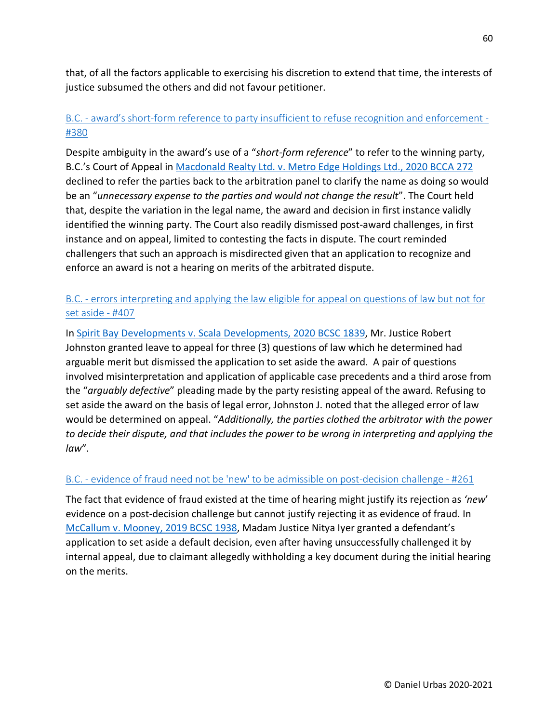that, of all the factors applicable to exercising his discretion to extend that time, the interests of justice subsumed the others and did not favour petitioner.

# B.C. - [award's short-form reference to party insufficient to refuse recognition and enforcement -](https://urbas.ca/?p=2692) [#380](https://urbas.ca/?p=2692)

Despite ambiguity in the award's use of a "*short-form reference*" to refer to the winning party, B.C.'s Court of Appeal in [Macdonald Realty Ltd. v. Metro Edge Holdings Ltd., 2020 BCCA 272](https://www.canlii.org/en/bc/bcca/doc/2020/2020bcca272/2020bcca272.html) declined to refer the parties back to the arbitration panel to clarify the name as doing so would be an "*unnecessary expense to the parties and would not change the result*". The Court held that, despite the variation in the legal name, the award and decision in first instance validly identified the winning party. The Court also readily dismissed post-award challenges, in first instance and on appeal, limited to contesting the facts in dispute. The court reminded challengers that such an approach is misdirected given that an application to recognize and enforce an award is not a hearing on merits of the arbitrated dispute.

### B.C. - [errors interpreting and applying the law eligible for appeal on questions of law but not for](https://urbas.ca/?p=2861)  [set aside -](https://urbas.ca/?p=2861) #407

In [Spirit Bay Developments v. Scala Developments, 2020 BCSC 1839,](https://www.canlii.org/en/bc/bcsc/doc/2020/2020bcsc1839/2020bcsc1839.html) Mr. Justice Robert Johnston granted leave to appeal for three (3) questions of law which he determined had arguable merit but dismissed the application to set aside the award. A pair of questions involved misinterpretation and application of applicable case precedents and a third arose from the "*arguably defective*" pleading made by the party resisting appeal of the award. Refusing to set aside the award on the basis of legal error, Johnston J. noted that the alleged error of law would be determined on appeal. "*Additionally, the parties clothed the arbitrator with the power to decide their dispute, and that includes the power to be wrong in interpreting and applying the law*".

#### B.C. - [evidence of fraud need not be 'new' to be admissible on post-decision challenge -](https://urbas.ca/?p=1882) #261

The fact that evidence of fraud existed at the time of hearing might justify its rejection as *'new*' evidence on a post-decision challenge but cannot justify rejecting it as evidence of fraud. In [McCallum v. Mooney, 2019 BCSC 1938,](https://www.canlii.org/en/bc/bcsc/doc/2019/2019bcsc1938/2019bcsc1938.html) Madam Justice Nitya Iyer granted a defendant's application to set aside a default decision, even after having unsuccessfully challenged it by internal appeal, due to claimant allegedly withholding a key document during the initial hearing on the merits.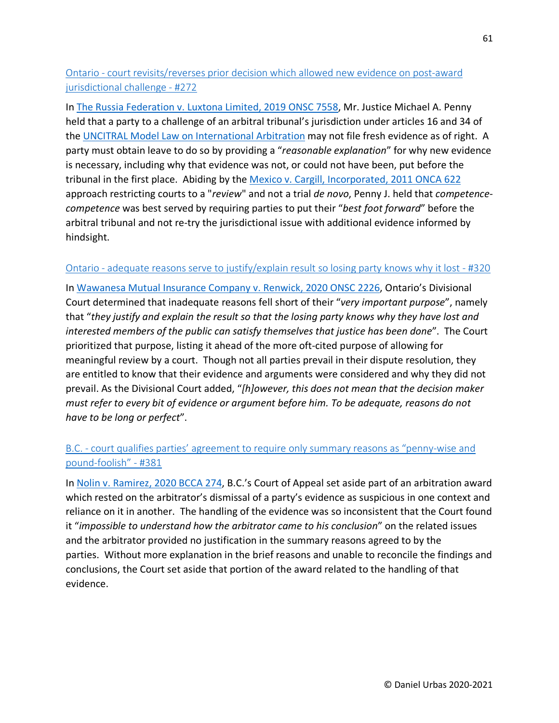Ontario - [court revisits/reverses prior decision which allowed new evidence on post-award](https://urbas.ca/?p=2198)  [jurisdictional challenge -](https://urbas.ca/?p=2198) #272

In [The Russia Federation v. Luxtona Limited, 2019 ONSC 7558,](https://www.canlii.org/en/on/onsc/doc/2019/2019onsc7558/2019onsc7558.html) Mr. Justice Michael A. Penny held that a party to a challenge of an arbitral tribunal's jurisdiction under articles 16 and 34 of the [UNCITRAL Model Law on International Arbitration](https://www.uncitral.org/pdf/english/texts/arbitration/ml-arb/07-86998_Ebook.pdf) may not file fresh evidence as of right. A party must obtain leave to do so by providing a "*reasonable explanation*" for why new evidence is necessary, including why that evidence was not, or could not have been, put before the tribunal in the first place. Abiding by the [Mexico v. Cargill, Incorporated, 2011 ONCA 622](https://www.canlii.org/en/on/onca/doc/2011/2011onca622/2011onca622.html) approach restricting courts to a "*review*" and not a trial *de novo*, Penny J. held that *competencecompetence* was best served by requiring parties to put their "*best foot forward*" before the arbitral tribunal and not re-try the jurisdictional issue with additional evidence informed by hindsight.

#### Ontario - [adequate reasons serve to justify/explain result so losing party knows why it lost -](https://urbas.ca/?p=2415) #320

In [Wawanesa Mutual Insurance Company v. Renwick, 2020 ONSC 2226,](https://www.canlii.org/en/on/onscdc/doc/2020/2020onsc2226/2020onsc2226.html) Ontario's Divisional Court determined that inadequate reasons fell short of their "*very important purpose*", namely that "*they justify and explain the result so that the losing party knows why they have lost and interested members of the public can satisfy themselves that justice has been done*". The Court prioritized that purpose, listing it ahead of the more oft-cited purpose of allowing for meaningful review by a court. Though not all parties prevail in their dispute resolution, they are entitled to know that their evidence and arguments were considered and why they did not prevail. As the Divisional Court added, "*[h]owever, this does not mean that the decision maker must refer to every bit of evidence or argument before him. To be adequate, reasons do not have to be long or perfect*".

## B.C. - court qualifies parties' agreement to require only summary reasons as "penny-wise and [pound-foolish" -](https://urbas.ca/?p=2695) #381

In [Nolin v. Ramirez, 2020 BCCA 274,](https://www.canlii.org/en/bc/bcca/doc/2020/2020bcca274/2020bcca274.html) B.C.'s Court of Appeal set aside part of an arbitration award which rested on the arbitrator's dismissal of a party's evidence as suspicious in one context and reliance on it in another. The handling of the evidence was so inconsistent that the Court found it "*impossible to understand how the arbitrator came to his conclusion*" on the related issues and the arbitrator provided no justification in the summary reasons agreed to by the parties. Without more explanation in the brief reasons and unable to reconcile the findings and conclusions, the Court set aside that portion of the award related to the handling of that evidence.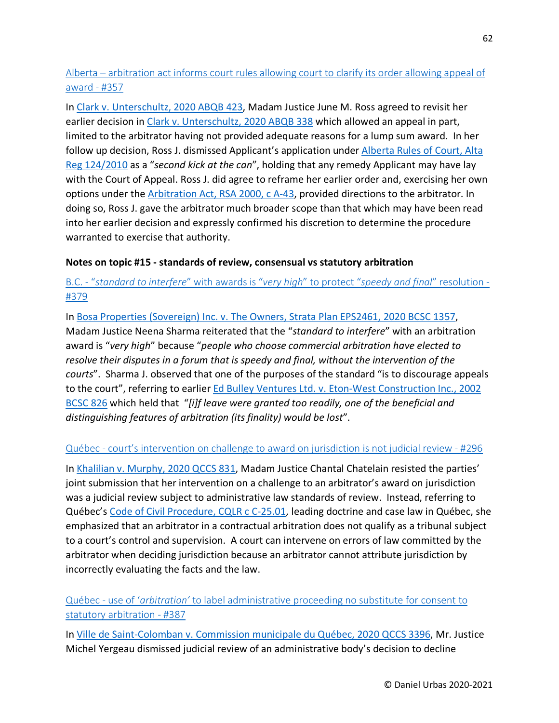Alberta – [arbitration act informs court rules allowing court to clarify its order allowing appeal of](https://urbas.ca/?p=2549)  [award -](https://urbas.ca/?p=2549) #357

In [Clark v. Unterschultz, 2020 ABQB 423,](https://www.canlii.org/en/ab/abqb/doc/2020/2020abqb423/2020abqb423.html) Madam Justice June M. Ross agreed to revisit her earlier decision in [Clark v. Unterschultz, 2020 ABQB 338](https://www.canlii.org/en/ab/abqb/doc/2020/2020abqb338/2020abqb338.html) which allowed an appeal in part, limited to the arbitrator having not provided adequate reasons for a lump sum award. In her follow up decision, Ross J. dismissed Applicant's application under [Alberta Rules of Court, Alta](https://www.canlii.org/en/ab/laws/regu/alta-reg-124-2010/latest/alta-reg-124-2010.html)  [Reg 124/2010](https://www.canlii.org/en/ab/laws/regu/alta-reg-124-2010/latest/alta-reg-124-2010.html) as a "*second kick at the can*", holding that any remedy Applicant may have lay with the Court of Appeal. Ross J. did agree to reframe her earlier order and, exercising her own options under the [Arbitration Act, RSA 2000, c A-43,](https://www.canlii.org/en/ab/laws/stat/rsa-2000-c-a-43/latest/rsa-2000-c-a-43.html) provided directions to the arbitrator. In doing so, Ross J. gave the arbitrator much broader scope than that which may have been read into her earlier decision and expressly confirmed his discretion to determine the procedure warranted to exercise that authority.

#### **Notes on topic #15 - standards of review, consensual vs statutory arbitration**

B.C. - "*[standard to interfere](https://urbas.ca/?p=2674)*" with awards is "*very high*" to protect "*speedy and final*" resolution - [#379](https://urbas.ca/?p=2674)

In [Bosa Properties \(Sovereign\) Inc. v. The Owners, Strata Plan EPS2461, 2020 BCSC 1357,](https://www.canlii.org/en/bc/bcsc/doc/2020/2020bcsc1357/2020bcsc1357.html) Madam Justice Neena Sharma reiterated that the "*standard to interfere*" with an arbitration award is "*very high*" because "*people who choose commercial arbitration have elected to resolve their disputes in a forum that is speedy and final, without the intervention of the courts*". Sharma J. observed that one of the purposes of the standard "is to discourage appeals to the court", referring to earlier [Ed Bulley Ventures Ltd. v. Eton-West Construction Inc., 2002](https://www.canlii.org/en/bc/bcsc/doc/2002/2002bcsc826/2002bcsc826.html)  [BCSC 826](https://www.canlii.org/en/bc/bcsc/doc/2002/2002bcsc826/2002bcsc826.html) which held that "*[i]f leave were granted too readily, one of the beneficial and distinguishing features of arbitration (its finality) would be lost*".

#### Québec - [court's intervention on challenge to award on jurisdiction is not judicial review -](https://urbas.ca/?p=2298) #296

In [Khalilian v. Murphy, 2020 QCCS 831,](https://www.canlii.org/fr/qc/qccs/doc/2020/2020qccs831/2020qccs831.html) Madam Justice Chantal Chatelain resisted the parties' joint submission that her intervention on a challenge to an arbitrator's award on jurisdiction was a judicial review subject to administrative law standards of review. Instead, referring to Québec's [Code of Civil Procedure, CQLR c C-25.01,](https://www.canlii.org/en/qc/laws/stat/cqlr-c-c-25.01/latest/cqlr-c-c-25.01.html) leading doctrine and case law in Québec, she emphasized that an arbitrator in a contractual arbitration does not qualify as a tribunal subject to a court's control and supervision. A court can intervene on errors of law committed by the arbitrator when deciding jurisdiction because an arbitrator cannot attribute jurisdiction by incorrectly evaluating the facts and the law.

Québec - use of '*arbitration'* [to label administrative proceeding no substitute for consent to](https://urbas.ca/?p=2724)  [statutory arbitration -](https://urbas.ca/?p=2724) #387

In [Ville de Saint-Colomban v. Commission municipale du Québec, 2020 QCCS 3396,](https://www.canlii.org/fr/qc/qccs/doc/2020/2020qccs3396/2020qccs3396.html) Mr. Justice Michel Yergeau dismissed judicial review of an administrative body's decision to decline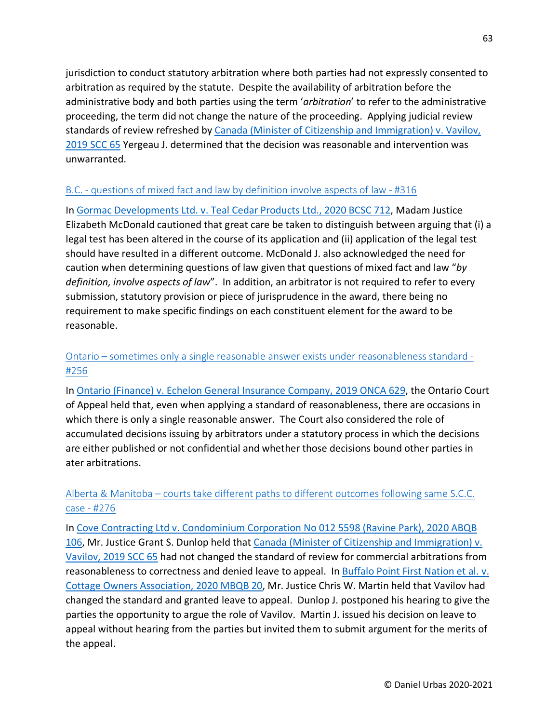jurisdiction to conduct statutory arbitration where both parties had not expressly consented to arbitration as required by the statute. Despite the availability of arbitration before the administrative body and both parties using the term '*arbitration*' to refer to the administrative proceeding, the term did not change the nature of the proceeding. Applying judicial review standards of review refreshed by [Canada \(Minister of Citizenship and Immigration\) v. Vavilov,](https://www.canlii.org/en/ca/scc/doc/2019/2019scc65/2019scc65.html)  [2019 SCC 65](https://www.canlii.org/en/ca/scc/doc/2019/2019scc65/2019scc65.html) Yergeau J. determined that the decision was reasonable and intervention was unwarranted.

#### B.C. - [questions of mixed fact and law by definition involve aspects of law -](https://urbas.ca/?p=2400) #316

In [Gormac Developments Ltd. v. Teal Cedar Products Ltd., 2020 BCSC 712,](https://www.canlii.org/en/bc/bcsc/doc/2020/2020bcsc712/2020bcsc712.html) Madam Justice Elizabeth McDonald cautioned that great care be taken to distinguish between arguing that (i) a legal test has been altered in the course of its application and (ii) application of the legal test should have resulted in a different outcome. McDonald J. also acknowledged the need for caution when determining questions of law given that questions of mixed fact and law "*by definition, involve aspects of law*". In addition, an arbitrator is not required to refer to every submission, statutory provision or piece of jurisprudence in the award, there being no requirement to make specific findings on each constituent element for the award to be reasonable.

## Ontario – [sometimes only a single reasonable answer exists under reasonableness standard -](https://urbas.ca/?p=1847) [#256](https://urbas.ca/?p=1847)

In [Ontario \(Finance\) v. Echelon General Insurance Company, 2019 ONCA 629,](https://www.canlii.org/en/on/onca/doc/2019/2019onca629/2019onca629.html) the Ontario Court of Appeal held that, even when applying a standard of reasonableness, there are occasions in which there is only a single reasonable answer. The Court also considered the role of accumulated decisions issuing by arbitrators under a statutory process in which the decisions are either published or not confidential and whether those decisions bound other parties in ater arbitrations.

# Alberta & Manitoba – [courts take different paths to different outcomes following same S.C.C.](https://urbas.ca/?p=2218)  [case -](https://urbas.ca/?p=2218) #276

In [Cove Contracting Ltd v. Condominium Corporation No 012 5598 \(Ravine Park\), 2020 ABQB](https://www.canlii.org/en/ab/abqb/doc/2020/2020abqb106/2020abqb106.html)  [106,](https://www.canlii.org/en/ab/abqb/doc/2020/2020abqb106/2020abqb106.html) Mr. Justice Grant S. Dunlop held that Canada (Minister [of Citizenship and Immigration\) v.](https://www.canlii.org/en/ca/scc/doc/2019/2019scc65/2019scc65.html)  [Vavilov, 2019 SCC 65](https://www.canlii.org/en/ca/scc/doc/2019/2019scc65/2019scc65.html) had not changed the standard of review for commercial arbitrations from reasonableness to correctness and denied leave to appeal. In Buffalo Point First Nation et al. v. [Cottage Owners Association, 2020 MBQB 20,](https://www.canlii.org/en/mb/mbqb/doc/2020/2020mbqb20/2020mbqb20.html) Mr. Justice Chris W. Martin held that Vavilov had changed the standard and granted leave to appeal. Dunlop J. postponed his hearing to give the parties the opportunity to argue the role of Vavilov. Martin J. issued his decision on leave to appeal without hearing from the parties but invited them to submit argument for the merits of the appeal.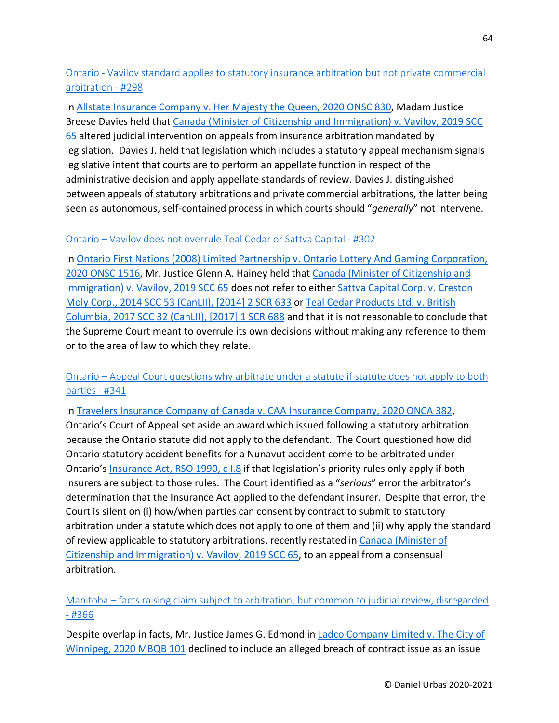# Ontario - [Vavilov standard applies to statutory insurance arbitration but not private commercial](https://urbas.ca/?p=2307)  [arbitration -](https://urbas.ca/?p=2307) #298

In [Allstate Insurance Company v. Her Majesty the Queen, 2020 ONSC 830,](https://www.canlii.org/en/on/onsc/doc/2020/2020onsc830/2020onsc830.html) Madam Justice Breese Davies held that [Canada \(Minister of Citizenship and Immigration\) v. Vavilov, 2019 SCC](https://www.canlii.org/en/ca/scc/doc/2019/2019scc65/2019scc65.html)  [65](https://www.canlii.org/en/ca/scc/doc/2019/2019scc65/2019scc65.html) altered judicial intervention on appeals from insurance arbitration mandated by legislation. Davies J. held that legislation which includes a statutory appeal mechanism signals legislative intent that courts are to perform an appellate function in respect of the administrative decision and apply appellate standards of review. Davies J. distinguished between appeals of statutory arbitrations and private commercial arbitrations, the latter being seen as autonomous, self-contained process in which courts should "*generally*" not intervene.

#### Ontario – [Vavilov does not overrule Teal Cedar or Sattva Capital -](https://urbas.ca/?p=2326) #302

In [Ontario First Nations \(2008\) Limited Partnership v. Ontario Lottery And Gaming Corporation,](https://www.canlii.org/en/on/onsc/doc/2020/2020onsc1516/2020onsc1516.html)  [2020 ONSC 1516,](https://www.canlii.org/en/on/onsc/doc/2020/2020onsc1516/2020onsc1516.html) Mr. Justice Glenn A. Hainey held that [Canada \(Minister of Citizenship and](https://www.canlii.org/en/ca/scc/doc/2019/2019scc65/2019scc65.html)  [Immigration\) v. Vavilov, 2019 SCC 65](https://www.canlii.org/en/ca/scc/doc/2019/2019scc65/2019scc65.html) does not refer to either [Sattva Capital Corp. v. Creston](https://www.canlii.org/en/ca/scc/doc/2014/2014scc53/2014scc53.html)  [Moly Corp., 2014 SCC 53 \(CanLII\), \[2014\] 2 SCR 633](https://www.canlii.org/en/ca/scc/doc/2014/2014scc53/2014scc53.html) or [Teal Cedar Products Ltd. v. British](https://www.canlii.org/en/ca/scc/doc/2017/2017scc32/2017scc32.html)  [Columbia, 2017 SCC 32 \(CanLII\), \[2017\] 1 SCR 688](https://www.canlii.org/en/ca/scc/doc/2017/2017scc32/2017scc32.html) and that it is not reasonable to conclude that the Supreme Court meant to overrule its own decisions without making any reference to them or to the area of law to which they relate.

## Ontario – [Appeal Court questions why arbitrate under a statute if statute does not apply to both](https://urbas.ca/?p=2488)  [parties -](https://urbas.ca/?p=2488) #341

In [Travelers Insurance Company of Canada v. CAA Insurance Company, 2020 ONCA 382,](https://www.canlii.org/en/on/onca/doc/2020/2020onca382/2020onca382.html) Ontario's Court of Appeal set aside an award which issued following a statutory arbitration because the Ontario statute did not apply to the defendant. The Court questioned how did Ontario statutory accident benefits for a Nunavut accident come to be arbitrated under Ontario'[s Insurance Act, RSO 1990, c I.8](https://www.canlii.org/en/on/laws/stat/rso-1990-c-i8/latest/rso-1990-c-i8.html) if that legislation's priority rules only apply if both insurers are subject to those rules. The Court identified as a "*serious*" error the arbitrator's determination that the Insurance Act applied to the defendant insurer. Despite that error, the Court is silent on (i) how/when parties can consent by contract to submit to statutory arbitration under a statute which does not apply to one of them and (ii) why apply the standard of review applicable to statutory arbitrations, recently restated in [Canada \(Minister of](https://www.canlii.org/en/ca/scc/doc/2019/2019scc65/2019scc65.html)  [Citizenship and Immigration\) v. Vavilov, 2019 SCC 65,](https://www.canlii.org/en/ca/scc/doc/2019/2019scc65/2019scc65.html) to an appeal from a consensual arbitration.

# Manitoba – [facts raising claim subject to arbitration, but common to judicial review, disregarded](https://urbas.ca/?p=2583)  - [#366](https://urbas.ca/?p=2583)

Despite overlap in facts, Mr. Justice James G. Edmond in [Ladco Company Limited v. The City of](https://www.canlii.org/en/mb/mbqb/doc/2020/2020mbqb101/2020mbqb101.html)  [Winnipeg, 2020 MBQB 101](https://www.canlii.org/en/mb/mbqb/doc/2020/2020mbqb101/2020mbqb101.html) declined to include an alleged breach of contract issue as an issue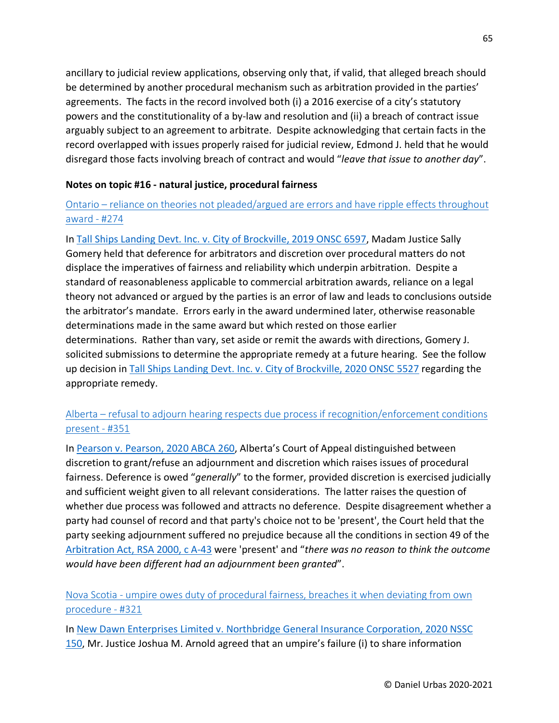ancillary to judicial review applications, observing only that, if valid, that alleged breach should be determined by another procedural mechanism such as arbitration provided in the parties' agreements. The facts in the record involved both (i) a 2016 exercise of a city's statutory powers and the constitutionality of a by-law and resolution and (ii) a breach of contract issue arguably subject to an agreement to arbitrate. Despite acknowledging that certain facts in the record overlapped with issues properly raised for judicial review, Edmond J. held that he would disregard those facts involving breach of contract and would "*leave that issue to another day*".

#### **Notes on topic #16 - natural justice, procedural fairness**

### Ontario – [reliance on theories not pleaded/argued are errors and have ripple effects throughout](https://urbas.ca/?p=2211)  [award -](https://urbas.ca/?p=2211) #274

In [Tall Ships Landing Devt. Inc. v. City of Brockville, 2019 ONSC 6597,](https://www.canlii.org/en/on/onsc/doc/2019/2019onsc6597/2019onsc6597.html) Madam Justice Sally Gomery held that deference for arbitrators and discretion over procedural matters do not displace the imperatives of fairness and reliability which underpin arbitration. Despite a standard of reasonableness applicable to commercial arbitration awards, reliance on a legal theory not advanced or argued by the parties is an error of law and leads to conclusions outside the arbitrator's mandate. Errors early in the award undermined later, otherwise reasonable determinations made in the same award but which rested on those earlier determinations. Rather than vary, set aside or remit the awards with directions, Gomery J. solicited submissions to determine the appropriate remedy at a future hearing. See the follow up decision in [Tall Ships Landing Devt. Inc. v. City of Brockville, 2020 ONSC 5527](https://www.canlii.org/en/on/onsc/doc/2020/2020onsc5527/2020onsc5527.html) regarding the appropriate remedy.

## Alberta – [refusal to adjourn hearing respects due process if recognition/enforcement conditions](https://urbas.ca/?p=2531)  [present -](https://urbas.ca/?p=2531) #351

In [Pearson v. Pearson, 2020 ABCA 260,](https://www.canlii.org/en/ab/abca/doc/2020/2020abca260/2020abca260.html) Alberta's Court of Appeal distinguished between discretion to grant/refuse an adjournment and discretion which raises issues of procedural fairness. Deference is owed "*generally*" to the former, provided discretion is exercised judicially and sufficient weight given to all relevant considerations. The latter raises the question of whether due process was followed and attracts no deference. Despite disagreement whether a party had counsel of record and that party's choice not to be 'present', the Court held that the party seeking adjournment suffered no prejudice because all the conditions in section 49 of the [Arbitration Act, RSA 2000, c A-43](https://www.canlii.org/en/ab/laws/stat/rsa-2000-c-a-43/latest/rsa-2000-c-a-43.html) were 'present' and "*there was no reason to think the outcome would have been different had an adjournment been granted*".

Nova Scotia - [umpire owes duty of procedural fairness, breaches it when deviating from own](https://urbas.ca/?p=2419)  [procedure -](https://urbas.ca/?p=2419) #321

In [New Dawn Enterprises Limited v. Northbridge General Insurance Corporation, 2020 NSSC](https://www.canlii.org/en/ns/nssc/doc/2020/2020nssc150/2020nssc150.html)  [150,](https://www.canlii.org/en/ns/nssc/doc/2020/2020nssc150/2020nssc150.html) Mr. Justice Joshua M. Arnold agreed that an umpire's failure (i) to share information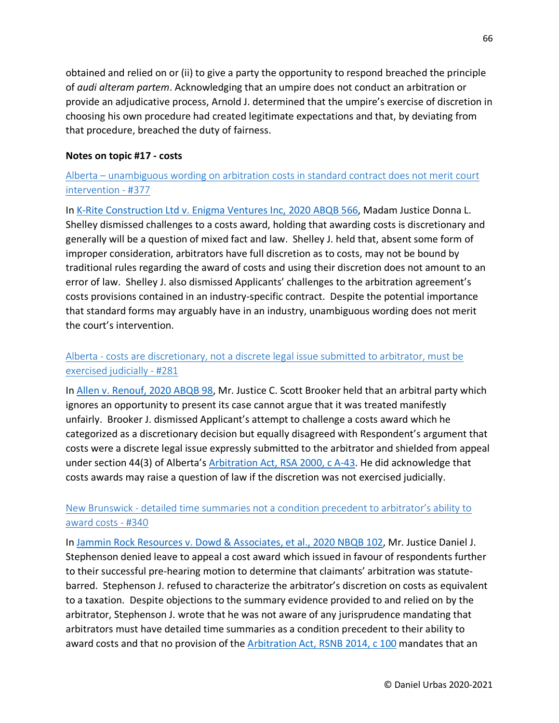obtained and relied on or (ii) to give a party the opportunity to respond breached the principle of *audi alteram partem*. Acknowledging that an umpire does not conduct an arbitration or provide an adjudicative process, Arnold J. determined that the umpire's exercise of discretion in choosing his own procedure had created legitimate expectations and that, by deviating from that procedure, breached the duty of fairness.

#### **Notes on topic #17 - costs**

## Alberta – [unambiguous wording on arbitration costs in standard contract does not merit court](https://urbas.ca/?p=2667)  [intervention -](https://urbas.ca/?p=2667) #377

In [K-Rite Construction Ltd v. Enigma Ventures Inc, 2020 ABQB 566,](https://www.canlii.org/en/ab/abqb/doc/2020/2020abqb566/2020abqb566.html) Madam Justice Donna L. Shelley dismissed challenges to a costs award, holding that awarding costs is discretionary and generally will be a question of mixed fact and law. Shelley J. held that, absent some form of improper consideration, arbitrators have full discretion as to costs, may not be bound by traditional rules regarding the award of costs and using their discretion does not amount to an error of law. Shelley J. also dismissed Applicants' challenges to the arbitration agreement's costs provisions contained in an industry-specific contract. Despite the potential importance that standard forms may arguably have in an industry, unambiguous wording does not merit the court's intervention.

## Alberta - [costs are discretionary, not a discrete legal issue submitted to arbitrator, must be](https://urbas.ca/?p=2241)  [exercised judicially -](https://urbas.ca/?p=2241) #281

In Allen [v. Renouf, 2020 ABQB 98,](https://www.canlii.org/en/ab/abqb/doc/2020/2020abqb98/2020abqb98.html) Mr. Justice C. Scott Brooker held that an arbitral party which ignores an opportunity to present its case cannot argue that it was treated manifestly unfairly. Brooker J. dismissed Applicant's attempt to challenge a costs award which he categorized as a discretionary decision but equally disagreed with Respondent's argument that costs were a discrete legal issue expressly submitted to the arbitrator and shielded from appeal under section 44(3) of Alberta's [Arbitration Act, RSA 2000, c A-43.](https://www.canlii.org/en/ab/laws/stat/rsa-2000-c-a-43/latest/rsa-2000-c-a-43.html) He did acknowledge that costs awards may raise a question of law if the discretion was not exercised judicially.

#### New Brunswick - [detailed time summaries not a condition precedent to arbitrator's ability to](https://urbas.ca/?p=2484)  [award costs -](https://urbas.ca/?p=2484) #340

In [Jammin Rock Resources v. Dowd & Associates, et al., 2020 NBQB 102,](https://www.canlii.org/en/nb/nbqb/doc/2020/2020nbqb102/2020nbqb102.html) Mr. Justice Daniel J. Stephenson denied leave to appeal a cost award which issued in favour of respondents further to their successful pre-hearing motion to determine that claimants' arbitration was statutebarred. Stephenson J. refused to characterize the arbitrator's discretion on costs as equivalent to a taxation. Despite objections to the summary evidence provided to and relied on by the arbitrator, Stephenson J. wrote that he was not aware of any jurisprudence mandating that arbitrators must have detailed time summaries as a condition precedent to their ability to award costs and that no provision of the [Arbitration Act, RSNB 2014,](https://www.canlii.org/en/nb/laws/stat/rsnb-2014-c-100/latest/rsnb-2014-c-100.html) c 100 mandates that an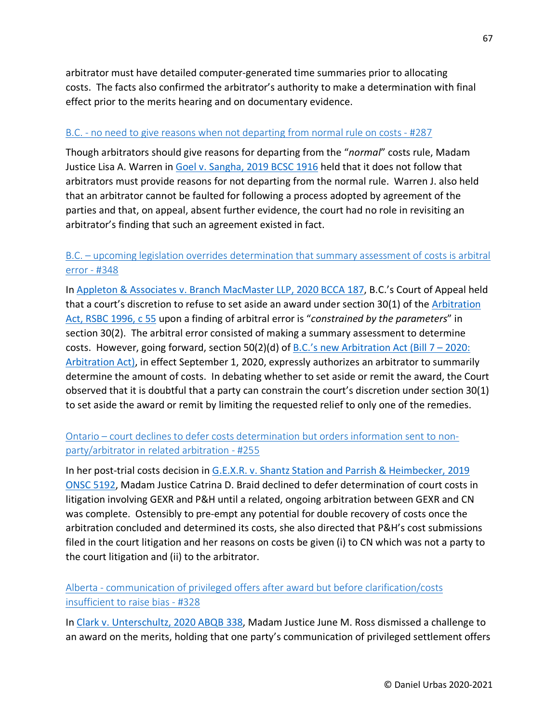arbitrator must have detailed computer-generated time summaries prior to allocating costs. The facts also confirmed the arbitrator's authority to make a determination with final effect prior to the merits hearing and on documentary evidence.

#### B.C. - [no need to give reasons when not departing from normal rule on costs -](https://urbas.ca/?p=2269) #287

Though arbitrators should give reasons for departing from the "*normal*" costs rule, Madam Justice Lisa A. Warren in [Goel v. Sangha, 2019 BCSC 1916](https://www.canlii.org/en/bc/bcsc/doc/2019/2019bcsc1916/2019bcsc1916.html) held that it does not follow that arbitrators must provide reasons for not departing from the normal rule. Warren J. also held that an arbitrator cannot be faulted for following a process adopted by agreement of the parties and that, on appeal, absent further evidence, the court had no role in revisiting an arbitrator's finding that such an agreement existed in fact.

### B.C. – [upcoming legislation overrides determination that summary assessment of costs is arbitral](https://urbas.ca/?p=2510)  [error -](https://urbas.ca/?p=2510) #348

In [Appleton & Associates v. Branch MacMaster LLP, 2020 BCCA 187,](https://www.canlii.org/en/bc/bcca/doc/2020/2020bcca187/2020bcca187.html) B.C.'s Court of Appeal held that a court's discretion to refuse to set aside an award under section 30(1) of the [Arbitration](https://www.canlii.org/en/bc/laws/stat/rsbc-1996-c-55/latest/rsbc-1996-c-55.html)  [Act, RSBC 1996, c 55](https://www.canlii.org/en/bc/laws/stat/rsbc-1996-c-55/latest/rsbc-1996-c-55.html) upon a finding of arbitral error is "*constrained by the parameters*" in section 30(2). The arbitral error consisted of making a summary assessment to determine costs. However, going forward, section 50(2)(d) of [B.C.'s new Arbitration Act \(Bill 7 –](https://www.leg.bc.ca/parliamentary-business/legislation-debates-proceedings/41st-parliament/5th-session/bills/third-reading/gov07-3) 2020: [Arbitration Act\),](https://www.leg.bc.ca/parliamentary-business/legislation-debates-proceedings/41st-parliament/5th-session/bills/third-reading/gov07-3) in effect September 1, 2020, expressly authorizes an arbitrator to summarily determine the amount of costs. In debating whether to set aside or remit the award, the Court observed that it is doubtful that a party can constrain the court's discretion under section 30(1) to set aside the award or remit by limiting the requested relief to only one of the remedies.

## Ontario – [court declines to defer costs determination but orders information sent to non](https://urbas.ca/?p=1843)[party/arbitrator in related arbitration -](https://urbas.ca/?p=1843) #255

In her post-trial costs decision in [G.E.X.R. v. Shantz Station and Parrish & Heimbecker, 2019](https://www.canlii.org/en/on/onsc/doc/2019/2019onsc5192/2019onsc5192.html)  [ONSC 5192,](https://www.canlii.org/en/on/onsc/doc/2019/2019onsc5192/2019onsc5192.html) Madam Justice Catrina D. Braid declined to defer determination of court costs in litigation involving GEXR and P&H until a related, ongoing arbitration between GEXR and CN was complete. Ostensibly to pre-empt any potential for double recovery of costs once the arbitration concluded and determined its costs, she also directed that P&H's cost submissions filed in the court litigation and her reasons on costs be given (i) to CN which was not a party to the court litigation and (ii) to the arbitrator.

Alberta - [communication of privileged offers after award but before clarification/costs](https://urbas.ca/?p=2436)  [insufficient to raise bias -](https://urbas.ca/?p=2436) #328

In [Clark v. Unterschultz, 2020 ABQB 338,](https://www.canlii.org/en/ab/abqb/doc/2020/2020abqb338/2020abqb338.html) Madam Justice June M. Ross dismissed a challenge to an award on the merits, holding that one party's communication of privileged settlement offers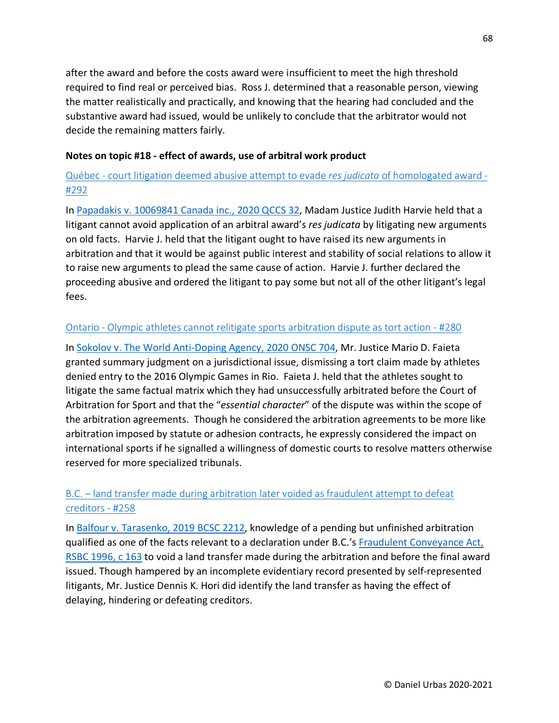after the award and before the costs award were insufficient to meet the high threshold required to find real or perceived bias. Ross J. determined that a reasonable person, viewing the matter realistically and practically, and knowing that the hearing had concluded and the substantive award had issued, would be unlikely to conclude that the arbitrator would not decide the remaining matters fairly.

#### **Notes on topic #18 - effect of awards, use of arbitral work product**

# Québec - [court litigation deemed abusive attempt to evade](https://urbas.ca/?p=2286) *res judicata* of homologated award - [#292](https://urbas.ca/?p=2286)

In [Papadakis v. 10069841 Canada inc., 2020 QCCS 32,](https://www.canlii.org/fr/qc/qccs/doc/2020/2020qccs32/2020qccs32.html) Madam Justice Judith Harvie held that a litigant cannot avoid application of an arbitral award's *res judicata* by litigating new arguments on old facts. Harvie J. held that the litigant ought to have raised its new arguments in arbitration and that it would be against public interest and stability of social relations to allow it to raise new arguments to plead the same cause of action. Harvie J. further declared the proceeding abusive and ordered the litigant to pay some but not all of the other litigant's legal fees.

#### Ontario - [Olympic athletes cannot relitigate sports arbitration dispute as tort action -](https://urbas.ca/?p=2236) #280

In [Sokolov v. The World Anti-Doping Agency, 2020 ONSC 704,](https://www.canlii.org/en/on/onsc/doc/2020/2020onsc704/2020onsc704.html) Mr. Justice Mario D. Faieta granted summary judgment on a jurisdictional issue, dismissing a tort claim made by athletes denied entry to the 2016 Olympic Games in Rio. Faieta J. held that the athletes sought to litigate the same factual matrix which they had unsuccessfully arbitrated before the Court of Arbitration for Sport and that the "*essential character*" of the dispute was within the scope of the arbitration agreements. Though he considered the arbitration agreements to be more like arbitration imposed by statute or adhesion contracts, he expressly considered the impact on international sports if he signalled a willingness of domestic courts to resolve matters otherwise reserved for more specialized tribunals.

# B.C. – [land transfer made during arbitration later voided as fraudulent attempt to defeat](https://urbas.ca/?p=1855)  [creditors -](https://urbas.ca/?p=1855) #258

In [Balfour v. Tarasenko, 2019 BCSC 2212,](https://www.canlii.org/en/bc/bcsc/doc/2019/2019bcsc2212/2019bcsc2212.html) knowledge of a pending but unfinished arbitration qualified as one of the facts relevant to a declaration under B.C.'s [Fraudulent Conveyance Act,](https://www.canlii.org/en/bc/bcsc/doc/2019/2019bcsc2212/2019bcsc2212.html) [RSBC 1996, c 163](https://www.canlii.org/en/bc/bcsc/doc/2019/2019bcsc2212/2019bcsc2212.html) to void a land transfer made during the arbitration and before the final award issued. Though hampered by an incomplete evidentiary record presented by self-represented litigants, Mr. Justice Dennis K. Hori did identify the land transfer as having the effect of delaying, hindering or defeating creditors.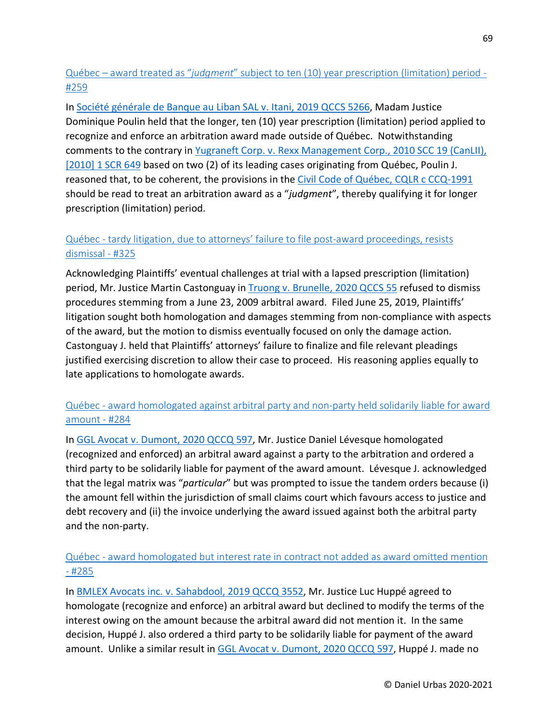# Québec – award treated as "*judgment*[" subject to ten \(10\) year prescription \(limitation\) period -](https://urbas.ca/?p=1862) [#259](https://urbas.ca/?p=1862)

In [Société générale de Banque au Liban SAL v. Itani, 2019 QCCS 5266,](https://www.canlii.org/fr/qc/qccs/doc/2019/2019qccs5266/2019qccs5266.html) Madam Justice Dominique Poulin held that the longer, ten (10) year prescription (limitation) period applied to recognize and enforce an arbitration award made outside of Québec. Notwithstanding comments to the contrary in [Yugraneft Corp. v. Rexx Management Corp., 2010 SCC 19 \(CanLII\),](https://www.canlii.org/en/ca/scc/doc/2010/2010scc19/2010scc19.html)  [\[2010\] 1 SCR 649](https://www.canlii.org/en/ca/scc/doc/2010/2010scc19/2010scc19.html) based on two (2) of its leading cases originating from Québec, Poulin J. reasoned that, to be coherent, the provisions in the [Civil Code of Québec, CQLR c CCQ-1991](https://www.canlii.org/en/qc/laws/stat/cqlr-c-ccq-1991/latest/cqlr-c-ccq-1991.html) should be read to treat an arbitration award as a "*judgment*", thereby qualifying it for longer prescription (limitation) period.

# Québec - [tardy litigation, due to attorneys' failure to file post-award proceedings, resists](https://urbas.ca/?p=2430)  [dismissal -](https://urbas.ca/?p=2430) #325

Acknowledging Plaintiffs' eventual challenges at trial with a lapsed prescription (limitation) period, Mr. Justice Martin Castonguay in [Truong v. Brunelle, 2020 QCCS 55](https://www.canlii.org/fr/qc/qccs/doc/2020/2020qccs55/2020qccs55.html) refused to dismiss procedures stemming from a June 23, 2009 arbitral award. Filed June 25, 2019, Plaintiffs' litigation sought both homologation and damages stemming from non-compliance with aspects of the award, but the motion to dismiss eventually focused on only the damage action. Castonguay J. held that Plaintiffs' attorneys' failure to finalize and file relevant pleadings justified exercising discretion to allow their case to proceed. His reasoning applies equally to late applications to homologate awards.

## Québec - [award homologated against arbitral party and non-party held solidarily liable for award](https://urbas.ca/?p=2256)  [amount -](https://urbas.ca/?p=2256) #284

In [GGL Avocat v. Dumont, 2020 QCCQ 597,](https://www.canlii.org/fr/qc/qccq/doc/2020/2020qccq597/2020qccq597.html) Mr. Justice Daniel Lévesque homologated (recognized and enforced) an arbitral award against a party to the arbitration and ordered a third party to be solidarily liable for payment of the award amount. Lévesque J. acknowledged that the legal matrix was "*particular*" but was prompted to issue the tandem orders because (i) the amount fell within the jurisdiction of small claims court which favours access to justice and debt recovery and (ii) the invoice underlying the award issued against both the arbitral party and the non-party.

## Québec - [award homologated but interest rate in contract not added as award omitted mention](https://urbas.ca/?p=2260)   $-$ [#285](https://urbas.ca/?p=2260)

In [BMLEX Avocats inc. v. Sahabdool, 2019 QCCQ 3552,](https://www.canlii.org/fr/qc/qccq/doc/2019/2019qccq3552/2019qccq3552.html) Mr. Justice Luc Huppé agreed to homologate (recognize and enforce) an arbitral award but declined to modify the terms of the interest owing on the amount because the arbitral award did not mention it. In the same decision, Huppé J. also ordered a third party to be solidarily liable for payment of the award amount. Unlike a similar result in [GGL Avocat v. Dumont, 2020 QCCQ 597,](https://www.canlii.org/fr/qc/qccq/doc/2020/2020qccq597/2020qccq597.html) Huppé J. made no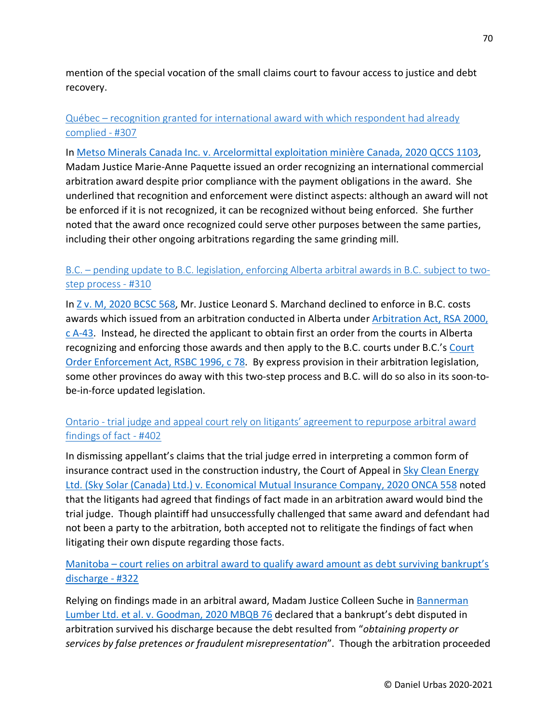mention of the special vocation of the small claims court to favour access to justice and debt recovery.

## Québec – [recognition granted for international award with which respondent had already](https://urbas.ca/?p=2355)  [complied -](https://urbas.ca/?p=2355) #307

In [Metso Minerals Canada Inc. v. Arcelormittal exploitation minière Canada, 2020 QCCS 1103,](https://www.canlii.org/en/qc/qccs/doc/2020/2020qccs1103/2020qccs1103.html) Madam Justice Marie-Anne Paquette issued an order recognizing an international commercial arbitration award despite prior compliance with the payment obligations in the award. She underlined that recognition and enforcement were distinct aspects: although an award will not be enforced if it is not recognized, it can be recognized without being enforced. She further noted that the award once recognized could serve other purposes between the same parties, including their other ongoing arbitrations regarding the same grinding mill.

## B.C. – [pending update to B.C. legislation, enforcing Alberta arbitral awards in B.C. subject to two](https://urbas.ca/?p=2376)[step process -](https://urbas.ca/?p=2376) #310

In [Z v. M, 2020 BCSC 568,](https://www.canlii.org/en/bc/bcsc/doc/2020/2020bcsc568/2020bcsc568.html) Mr. Justice Leonard S. Marchand declined to enforce in B.C. costs awards which issued from an arbitration conducted in Alberta under [Arbitration Act, RSA 2000,](https://www.canlii.org/en/ab/laws/stat/rsa-2000-c-a-43/latest/rsa-2000-c-a-43.html)  [c A-43.](https://www.canlii.org/en/ab/laws/stat/rsa-2000-c-a-43/latest/rsa-2000-c-a-43.html) Instead, he directed the applicant to obtain first an order from the courts in Alberta recognizing and enforcing those awards and then apply to the B.C. courts under B.C.'s [Court](https://www.canlii.org/en/bc/laws/stat/rsbc-1996-c-78/latest/rsbc-1996-c-78.html)  [Order Enforcement Act, RSBC 1996, c 78.](https://www.canlii.org/en/bc/laws/stat/rsbc-1996-c-78/latest/rsbc-1996-c-78.html) By express provision in their arbitration legislation, some other provinces do away with this two-step process and B.C. will do so also in its soon-tobe-in-force updated legislation.

## Ontario - [trial judge and appeal court rely on litigants' agreement to repurpose arbitral award](https://urbas.ca/?p=2833)  [findings of fact -](https://urbas.ca/?p=2833) #402

In dismissing appellant's claims that the trial judge erred in interpreting a common form of insurance contract used in the construction industry, the Court of Appeal in [Sky Clean Energy](https://www.canlii.org/en/on/onca/doc/2020/2020onca558/2020onca558.html)  [Ltd. \(Sky Solar \(Canada\) Ltd.\) v. Economical Mutual Insurance Company, 2020 ONCA 558](https://www.canlii.org/en/on/onca/doc/2020/2020onca558/2020onca558.html) noted that the litigants had agreed that findings of fact made in an arbitration award would bind the trial judge. Though plaintiff had unsuccessfully challenged that same award and defendant had not been a party to the arbitration, both accepted not to relitigate the findings of fact when litigating their own dispute regarding those facts.

Manitoba – court relies on arbitral award to qualify award amount as debt surviving bankrupt's [discharge -](https://urbas.ca/?p=2422) #322

Relying on findings made in an arbitral award, Madam Justice Colleen Suche in [Bannerman](https://www.canlii.org/en/mb/mbqb/doc/2020/2020mbqb76/2020mbqb76.html)  [Lumber Ltd. et al. v. Goodman, 2020 MBQB 76](https://www.canlii.org/en/mb/mbqb/doc/2020/2020mbqb76/2020mbqb76.html) declared that a bankrupt's debt disputed in arbitration survived his discharge because the debt resulted from "*obtaining property or services by false pretences or fraudulent misrepresentation*". Though the arbitration proceeded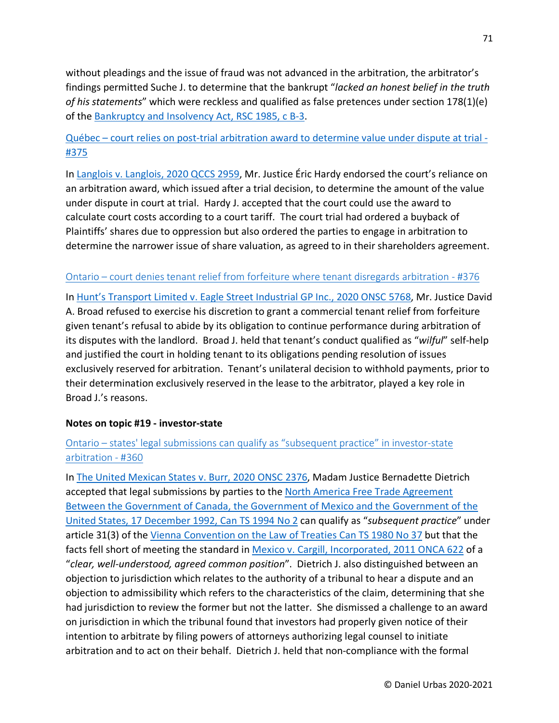without pleadings and the issue of fraud was not advanced in the arbitration, the arbitrator's findings permitted Suche J. to determine that the bankrupt "*lacked an honest belief in the truth of his statements*" which were reckless and qualified as false pretences under section 178(1)(e) of the [Bankruptcy and Insolvency Act, RSC 1985, c B-3.](https://www.canlii.org/en/ca/laws/stat/rsc-1985-c-b-3/latest/rsc-1985-c-b-3.html)

## Québec – [court relies on post-trial arbitration award to determine value under dispute at trial -](https://urbas.ca/?p=2650) [#375](https://urbas.ca/?p=2650)

In [Langlois v. Langlois, 2020 QCCS 2959,](https://www.canlii.org/fr/qc/qccs/doc/2020/2020qccs2959/2020qccs2959.html) Mr. Justice Éric Hardy endorsed the court's reliance on an arbitration award, which issued after a trial decision, to determine the amount of the value under dispute in court at trial. Hardy J. accepted that the court could use the award to calculate court costs according to a court tariff. The court trial had ordered a buyback of Plaintiffs' shares due to oppression but also ordered the parties to engage in arbitration to determine the narrower issue of share valuation, as agreed to in their shareholders agreement.

#### Ontario – [court denies tenant relief from forfeiture where tenant](https://urbas.ca/?p=2661) disregards arbitration - #376

In [Hunt's Transport Limited v. Eagle Street Industrial GP Inc., 2020 ONSC 5768,](https://www.canlii.org/en/on/onsc/doc/2020/2020onsc5768/2020onsc5768.html) Mr. Justice David A. Broad refused to exercise his discretion to grant a commercial tenant relief from forfeiture given tenant's refusal to abide by its obligation to continue performance during arbitration of its disputes with the landlord. Broad J. held that tenant's conduct qualified as "*wilful*" self-help and justified the court in holding tenant to its obligations pending resolution of issues exclusively reserved for arbitration. Tenant's unilateral decision to withhold payments, prior to their determination exclusively reserved in the lease to the arbitrator, played a key role in Broad J.'s reasons.

#### **Notes on topic #19 - investor-state**

## Ontario – [states' legal submissions can qualify as "subsequent practice" in investor-state](https://urbas.ca/?p=2561)  [arbitration -](https://urbas.ca/?p=2561) #360

In [The United Mexican States v. Burr, 2020 ONSC 2376,](https://www.canlii.org/en/on/onsc/doc/2020/2020onsc2376/2020onsc2376.html) Madam Justice Bernadette Dietrich accepted that legal submissions by parties to the North America Free Trade Agreement [Between the Government of Canada, the Government of Mexico and the Government of the](https://www.international.gc.ca/trade-commerce/trade-agreements-accords-commerciaux/agr-acc/nafta-alena/fta-ale/index.aspx?lang=eng&_ga=2.202344465.1440995240.1596384790-1217407796.1596384790)  [United States, 17 December 1992, Can TS 1994 No 2](https://www.international.gc.ca/trade-commerce/trade-agreements-accords-commerciaux/agr-acc/nafta-alena/fta-ale/index.aspx?lang=eng&_ga=2.202344465.1440995240.1596384790-1217407796.1596384790) can qualify as "*subsequent practice*" under article 31(3) of the [Vienna Convention on the Law of Treaties Can TS 1980 No 37](https://treaties.un.org/doc/publication/unts/volume%201155/volume-1155-i-18232-english.pdf) but that the facts fell short of meeting the standard in [Mexico v. Cargill, Incorporated, 2011 ONCA 622](https://www.canlii.org/en/on/onca/doc/2011/2011onca622/2011onca622.html) of a "*clear, well-understood, agreed common position*". Dietrich J. also distinguished between an objection to jurisdiction which relates to the authority of a tribunal to hear a dispute and an objection to admissibility which refers to the characteristics of the claim, determining that she had jurisdiction to review the former but not the latter. She dismissed a challenge to an award on jurisdiction in which the tribunal found that investors had properly given notice of their intention to arbitrate by filing powers of attorneys authorizing legal counsel to initiate arbitration and to act on their behalf. Dietrich J. held that non-compliance with the formal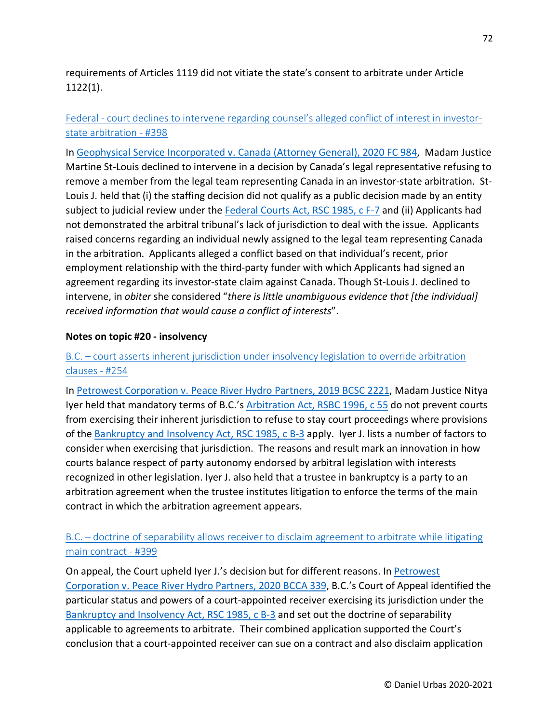requirements of Articles 1119 did not vitiate the state's consent to arbitrate under Article 1122(1).

# Federal - [court declines to intervene regarding counsel's alleged conflict of interest in investor](https://urbas.ca/?p=2791)[state arbitration -](https://urbas.ca/?p=2791) #398

In [Geophysical Service Incorporated v. Canada \(Attorney General\), 2020 FC 984,](https://www.canlii.org/en/ca/fct/doc/2020/2020fc984/2020fc984.html) Madam Justice Martine St-Louis declined to intervene in a decision by Canada's legal representative refusing to remove a member from the legal team representing Canada in an investor-state arbitration. St-Louis J. held that (i) the staffing decision did not qualify as a public decision made by an entity subject to judicial review under the [Federal Courts Act, RSC 1985, c F-7](https://www.canlii.org/en/ca/laws/stat/rsc-1985-c-f-7/latest/rsc-1985-c-f-7.html) and (ii) Applicants had not demonstrated the arbitral tribunal's lack of jurisdiction to deal with the issue. Applicants raised concerns regarding an individual newly assigned to the legal team representing Canada in the arbitration. Applicants alleged a conflict based on that individual's recent, prior employment relationship with the third-party funder with which Applicants had signed an agreement regarding its investor-state claim against Canada. Though St-Louis J. declined to intervene, in *obiter* she considered "*there is little unambiguous evidence that [the individual] received information that would cause a conflict of interests*".

#### **Notes on topic #20 - insolvency**

#### B.C. – [court asserts inherent jurisdiction under insolvency legislation to override arbitration](https://urbas.ca/?p=1827)  [clauses -](https://urbas.ca/?p=1827) #254

In [Petrowest Corporation v. Peace River Hydro Partners, 2019 BCSC 2221,](https://www.canlii.org/en/bc/bcsc/doc/2019/2019bcsc2221/2019bcsc2221.html) Madam Justice Nitya Iyer held that mandatory terms of B.C.'s [Arbitration Act, RSBC 1996, c 55](https://www.canlii.org/en/bc/laws/stat/rsbc-1996-c-55/latest/rsbc-1996-c-55.html) do not prevent courts from exercising their inherent jurisdiction to refuse to stay court proceedings where provisions of the [Bankruptcy and Insolvency Act, RSC 1985, c](https://www.canlii.org/en/ca/laws/stat/rsc-1985-c-b-3/latest/rsc-1985-c-b-3.html) B-3 apply. Iyer J. lists a number of factors to consider when exercising that jurisdiction. The reasons and result mark an innovation in how courts balance respect of party autonomy endorsed by arbitral legislation with interests recognized in other legislation. Iyer J. also held that a trustee in bankruptcy is a party to an arbitration agreement when the trustee institutes litigation to enforce the terms of the main contract in which the arbitration agreement appears.

#### B.C. – doctrine of separability allows receiver to disclaim agreement to arbitrate while litigating [main contract -](https://urbas.ca/?p=2820) #399

On appeal, the Court upheld Iyer J.'s decision but for different reasons. In Petrowest [Corporation v. Peace River Hydro Partners, 2020 BCCA 339,](https://www.canlii.org/en/bc/bcca/doc/2020/2020bcca339/2020bcca339.html) B.C.'s Court of Appeal identified the particular status and powers of a court-appointed receiver exercising its jurisdiction under the [Bankruptcy and Insolvency Act, RSC 1985, c B-3](https://www.canlii.org/en/ca/laws/stat/rsc-1985-c-b-3/latest/rsc-1985-c-b-3.html) and set out the doctrine of separability applicable to agreements to arbitrate. Their combined application supported the Court's conclusion that a court-appointed receiver can sue on a contract and also disclaim application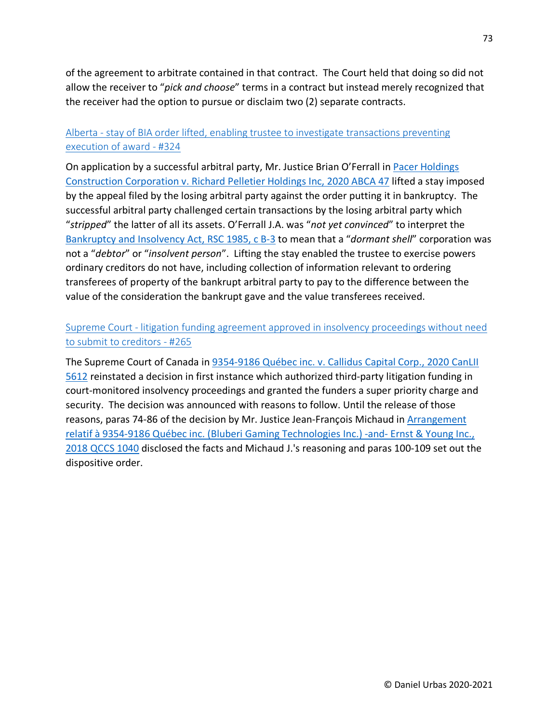of the agreement to arbitrate contained in that contract. The Court held that doing so did not allow the receiver to "*pick and choose*" terms in a contract but instead merely recognized that the receiver had the option to pursue or disclaim two (2) separate contracts.

## Alberta - [stay of BIA order lifted, enabling trustee to investigate transactions preventing](https://urbas.ca/?p=2428)  [execution of award -](https://urbas.ca/?p=2428) #324

On application by a successful arbitral party, Mr. Justice Brian O'Ferrall in Pacer Holdings [Construction Corporation v. Richard Pelletier Holdings Inc, 2020 ABCA 47](https://www.canlii.org/en/ab/abca/doc/2020/2020abca47/2020abca47.html) lifted a stay imposed by the appeal filed by the losing arbitral party against the order putting it in bankruptcy. The successful arbitral party challenged certain transactions by the losing arbitral party which "*stripped*" the latter of all its assets. O'Ferrall J.A. was "*not yet convinced*" to interpret the [Bankruptcy and Insolvency Act, RSC 1985, c B-3](https://www.canlii.org/en/ca/laws/stat/rsc-1985-c-b-3/latest/rsc-1985-c-b-3.html) to mean that a "*dormant shell*" corporation was not a "*debtor*" or "*insolvent person*". Lifting the stay enabled the trustee to exercise powers ordinary creditors do not have, including collection of information relevant to ordering transferees of property of the bankrupt arbitral party to pay to the difference between the value of the consideration the bankrupt gave and the value transferees received.

## Supreme Court - [litigation funding agreement approved in insolvency proceedings without need](https://urbas.ca/?p=1910)  [to submit to creditors -](https://urbas.ca/?p=1910) #265

The Supreme Court of Canada in [9354-9186 Québec inc. v. Callidus Capital Corp., 2020 CanLII](https://www.canlii.org/en/ca/scc/doc/2020/2020scc10/2020scc10.html)  [5612](https://www.canlii.org/en/ca/scc/doc/2020/2020scc10/2020scc10.html) reinstated a decision in first instance which authorized third-party litigation funding in court-monitored insolvency proceedings and granted the funders a super priority charge and security. The decision was announced with reasons to follow. Until the release of those reasons, paras 74-86 of the decision by Mr. Justice Jean-François Michaud in [Arrangement](https://www.canlii.org/en/qc/qccs/doc/2018/2018qccs1040/2018qccs1040.html)  [relatif à 9354-9186 Québec inc. \(Bluberi Gaming Technologies Inc.\) -and-](https://www.canlii.org/en/qc/qccs/doc/2018/2018qccs1040/2018qccs1040.html) Ernst & Young Inc., [2018 QCCS 1040](https://www.canlii.org/en/qc/qccs/doc/2018/2018qccs1040/2018qccs1040.html) disclosed the facts and Michaud J.'s reasoning and paras 100-109 set out the dispositive order.